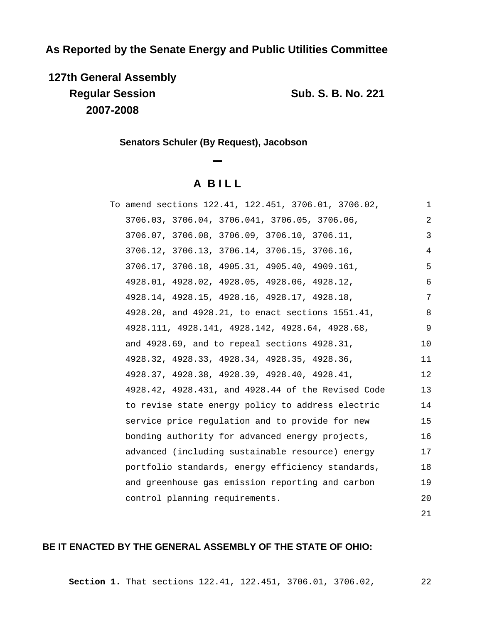# **As Reported by the Senate Energy and Public Utilities Committee**

**127th General Assembly Regular Session Sub. S. B. No. 221 2007-2008**

21

**Senators Schuler (By Request), Jacobson**

# **A B I L L**

| To amend sections 122.41, 122.451, 3706.01, 3706.02, | 1  |
|------------------------------------------------------|----|
| 3706.03, 3706.04, 3706.041, 3706.05, 3706.06,        | 2  |
| 3706.07, 3706.08, 3706.09, 3706.10, 3706.11,         | 3  |
| 3706.12, 3706.13, 3706.14, 3706.15, 3706.16,         | 4  |
| 3706.17, 3706.18, 4905.31, 4905.40, 4909.161,        | 5  |
| 4928.01, 4928.02, 4928.05, 4928.06, 4928.12,         | 6  |
| 4928.14, 4928.15, 4928.16, 4928.17, 4928.18,         | 7  |
| 4928.20, and 4928.21, to enact sections 1551.41,     | 8  |
| 4928.111, 4928.141, 4928.142, 4928.64, 4928.68,      | 9  |
| and 4928.69, and to repeal sections 4928.31,         | 10 |
| 4928.32, 4928.33, 4928.34, 4928.35, 4928.36,         | 11 |
| 4928.37, 4928.38, 4928.39, 4928.40, 4928.41,         | 12 |
| 4928.42, 4928.431, and 4928.44 of the Revised Code   | 13 |
| to revise state energy policy to address electric    | 14 |
| service price regulation and to provide for new      | 15 |
| bonding authority for advanced energy projects,      | 16 |
| advanced (including sustainable resource) energy     | 17 |
| portfolio standards, energy efficiency standards,    | 18 |
| and greenhouse gas emission reporting and carbon     | 19 |
| control planning requirements.                       | 20 |
|                                                      |    |

# **BE IT ENACTED BY THE GENERAL ASSEMBLY OF THE STATE OF OHIO:**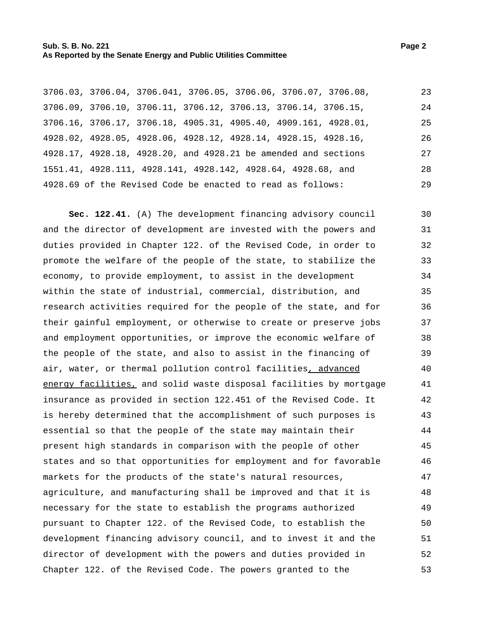|  |  | 3706.03, 3706.04, 3706.041, 3706.05, 3706.06, 3706.07, 3706.08, | 23 |
|--|--|-----------------------------------------------------------------|----|
|  |  | 3706.09, 3706.10, 3706.11, 3706.12, 3706.13, 3706.14, 3706.15,  | 24 |
|  |  | 3706.16, 3706.17, 3706.18, 4905.31, 4905.40, 4909.161, 4928.01, | 25 |
|  |  | 4928.02, 4928.05, 4928.06, 4928.12, 4928.14, 4928.15, 4928.16,  | 26 |
|  |  | 4928.17, 4928.18, 4928.20, and 4928.21 be amended and sections  | 27 |
|  |  | 1551.41, 4928.111, 4928.141, 4928.142, 4928.64, 4928.68, and    | 28 |
|  |  | 4928.69 of the Revised Code be enacted to read as follows:      | 29 |

**Sec. 122.41.** (A) The development financing advisory council and the director of development are invested with the powers and duties provided in Chapter 122. of the Revised Code, in order to promote the welfare of the people of the state, to stabilize the economy, to provide employment, to assist in the development within the state of industrial, commercial, distribution, and research activities required for the people of the state, and for their gainful employment, or otherwise to create or preserve jobs and employment opportunities, or improve the economic welfare of the people of the state, and also to assist in the financing of air, water, or thermal pollution control facilities, advanced energy facilities, and solid waste disposal facilities by mortgage insurance as provided in section 122.451 of the Revised Code. It is hereby determined that the accomplishment of such purposes is essential so that the people of the state may maintain their present high standards in comparison with the people of other states and so that opportunities for employment and for favorable markets for the products of the state's natural resources, agriculture, and manufacturing shall be improved and that it is necessary for the state to establish the programs authorized pursuant to Chapter 122. of the Revised Code, to establish the development financing advisory council, and to invest it and the director of development with the powers and duties provided in Chapter 122. of the Revised Code. The powers granted to the 30 31 32 33 34 35 36 37 38 39 40 41 42 43 44 45 46 47 48 49 50 51 52 53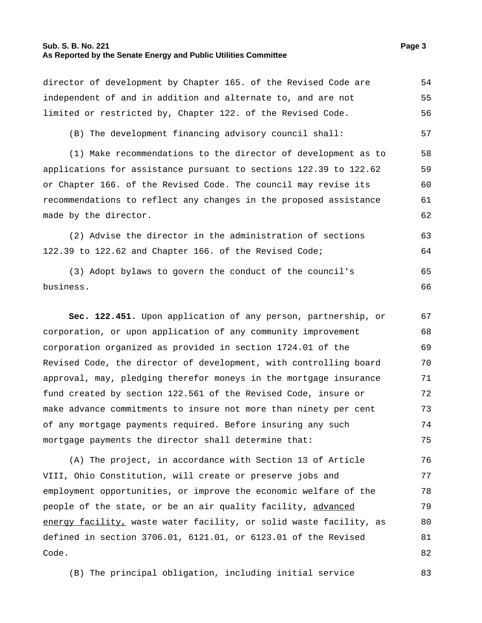#### **Sub. S. B. No. 221 Page 3 As Reported by the Senate Energy and Public Utilities Committee**

director of development by Chapter 165. of the Revised Code are independent of and in addition and alternate to, and are not limited or restricted by, Chapter 122. of the Revised Code. 54 55 56 (B) The development financing advisory council shall: 57 (1) Make recommendations to the director of development as to applications for assistance pursuant to sections 122.39 to 122.62 or Chapter 166. of the Revised Code. The council may revise its recommendations to reflect any changes in the proposed assistance made by the director. 58 59 60 61 62 (2) Advise the director in the administration of sections 122.39 to 122.62 and Chapter 166. of the Revised Code; 63 64 (3) Adopt bylaws to govern the conduct of the council's business. 65 66 **Sec. 122.451.** Upon application of any person, partnership, or corporation, or upon application of any community improvement 67 68

corporation organized as provided in section 1724.01 of the Revised Code, the director of development, with controlling board approval, may, pledging therefor moneys in the mortgage insurance fund created by section 122.561 of the Revised Code, insure or make advance commitments to insure not more than ninety per cent of any mortgage payments required. Before insuring any such mortgage payments the director shall determine that: 69 70 71 72 73 74 75

(A) The project, in accordance with Section 13 of Article VIII, Ohio Constitution, will create or preserve jobs and employment opportunities, or improve the economic welfare of the people of the state, or be an air quality facility, advanced energy facility, waste water facility, or solid waste facility, as defined in section 3706.01, 6121.01, or 6123.01 of the Revised Code. 76 77 78 79 80 81 82

(B) The principal obligation, including initial service 83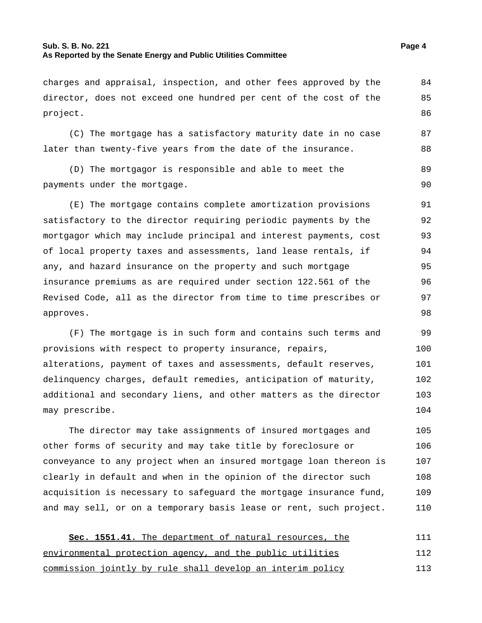# **Sub. S. B. No. 221 Page 4 As Reported by the Senate Energy and Public Utilities Committee**

87 88

charges and appraisal, inspection, and other fees approved by the director, does not exceed one hundred per cent of the cost of the project. 84 85 86

(C) The mortgage has a satisfactory maturity date in no case later than twenty-five years from the date of the insurance.

(D) The mortgagor is responsible and able to meet the payments under the mortgage. 89 90

(E) The mortgage contains complete amortization provisions satisfactory to the director requiring periodic payments by the mortgagor which may include principal and interest payments, cost of local property taxes and assessments, land lease rentals, if any, and hazard insurance on the property and such mortgage insurance premiums as are required under section 122.561 of the Revised Code, all as the director from time to time prescribes or approves. 91 92 93 94 95 96 97 98

(F) The mortgage is in such form and contains such terms and provisions with respect to property insurance, repairs, alterations, payment of taxes and assessments, default reserves, delinquency charges, default remedies, anticipation of maturity, additional and secondary liens, and other matters as the director may prescribe. 99 100 101 102 103 104

The director may take assignments of insured mortgages and other forms of security and may take title by foreclosure or conveyance to any project when an insured mortgage loan thereon is clearly in default and when in the opinion of the director such acquisition is necessary to safeguard the mortgage insurance fund, and may sell, or on a temporary basis lease or rent, such project. 105 106 107 108 109 110

**Sec. 1551.41.** The department of natural resources, the environmental protection agency, and the public utilities commission jointly by rule shall develop an interim policy 111 112 113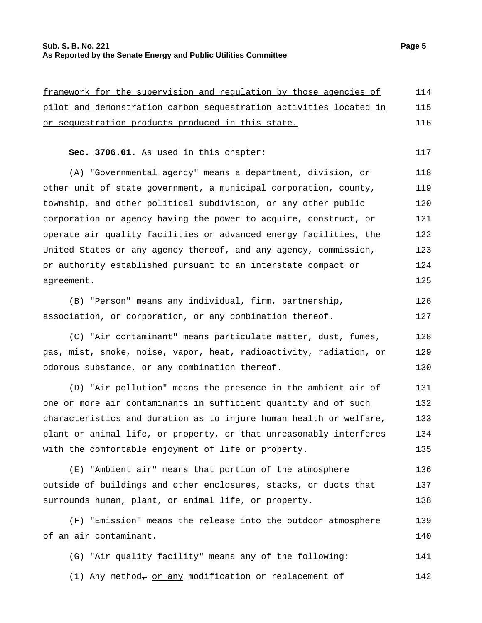# **Sub. S. B. No. 221 Page 5 As Reported by the Senate Energy and Public Utilities Committee**

or sequestration products produced in this state.

framework for the supervision and regulation by those agencies of pilot and demonstration carbon sequestration activities located in

| Sec. 3706.01. As used in this chapter:                                    | 117 |
|---------------------------------------------------------------------------|-----|
| (A) "Governmental agency" means a department, division, or                | 118 |
| other unit of state government, a municipal corporation, county,          | 119 |
| township, and other political subdivision, or any other public            | 120 |
| corporation or agency having the power to acquire, construct, or          | 121 |
| operate air quality facilities <u>or advanced energy facilities</u> , the | 122 |
| United States or any agency thereof, and any agency, commission,          | 123 |
| or authority established pursuant to an interstate compact or             | 124 |
| agreement.                                                                | 125 |
| (B) "Person" means any individual, firm, partnership,                     | 126 |
| association, or corporation, or any combination thereof.                  | 127 |
| (C) "Air contaminant" means particulate matter, dust, fumes,              | 128 |
| gas, mist, smoke, noise, vapor, heat, radioactivity, radiation, or        | 129 |
| odorous substance, or any combination thereof.                            | 130 |
| (D) "Air pollution" means the presence in the ambient air of              | 131 |
| one or more air contaminants in sufficient quantity and of such           | 132 |
| characteristics and duration as to injure human health or welfare,        | 133 |
| plant or animal life, or property, or that unreasonably interferes        | 134 |
| with the comfortable enjoyment of life or property.                       | 135 |
| (E) "Ambient air" means that portion of the atmosphere                    | 136 |
| outside of buildings and other enclosures, stacks, or ducts that          | 137 |
| surrounds human, plant, or animal life, or property.                      | 138 |
| (F) "Emission" means the release into the outdoor atmosphere              | 139 |
| of an air contaminant.                                                    | 140 |
| (G) "Air quality facility" means any of the following:                    | 141 |
|                                                                           |     |

(1) Any method<sub> $\tau$ </sub> or any modification or replacement of  $142$ 

114 115 116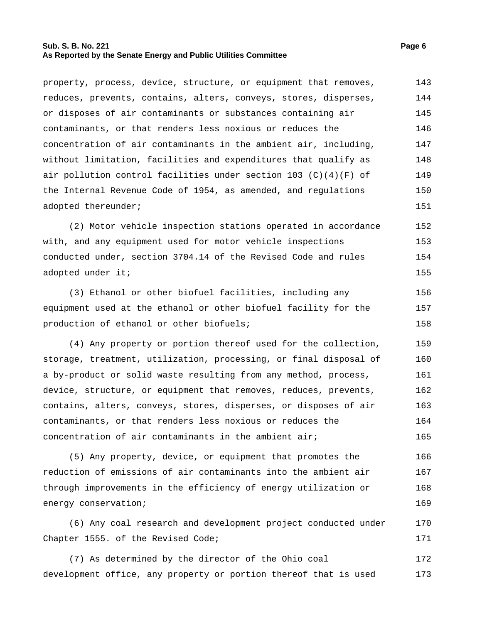#### **Sub. S. B. No. 221 Page 6 As Reported by the Senate Energy and Public Utilities Committee**

property, process, device, structure, or equipment that removes, reduces, prevents, contains, alters, conveys, stores, disperses, or disposes of air contaminants or substances containing air contaminants, or that renders less noxious or reduces the concentration of air contaminants in the ambient air, including, without limitation, facilities and expenditures that qualify as air pollution control facilities under section 103  $(C)(4)(F)$  of the Internal Revenue Code of 1954, as amended, and regulations adopted thereunder; 143 144 145 146 147 148 149 150 151

(2) Motor vehicle inspection stations operated in accordance with, and any equipment used for motor vehicle inspections conducted under, section 3704.14 of the Revised Code and rules adopted under it; 152 153 154 155

(3) Ethanol or other biofuel facilities, including any equipment used at the ethanol or other biofuel facility for the production of ethanol or other biofuels; 156 157 158

(4) Any property or portion thereof used for the collection, storage, treatment, utilization, processing, or final disposal of a by-product or solid waste resulting from any method, process, device, structure, or equipment that removes, reduces, prevents, contains, alters, conveys, stores, disperses, or disposes of air contaminants, or that renders less noxious or reduces the concentration of air contaminants in the ambient air; 159 160 161 162 163 164 165

(5) Any property, device, or equipment that promotes the reduction of emissions of air contaminants into the ambient air through improvements in the efficiency of energy utilization or energy conservation; 166 167 168 169

(6) Any coal research and development project conducted under Chapter 1555. of the Revised Code; 170 171

(7) As determined by the director of the Ohio coal development office, any property or portion thereof that is used 172 173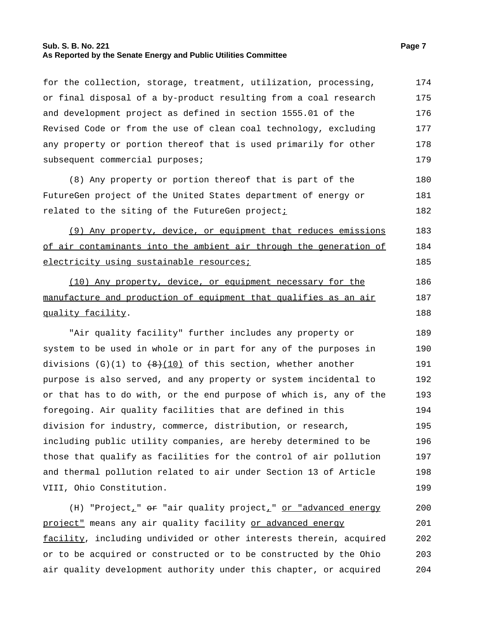#### **Sub. S. B. No. 221 Page 7 As Reported by the Senate Energy and Public Utilities Committee**

for the collection, storage, treatment, utilization, processing,

or final disposal of a by-product resulting from a coal research and development project as defined in section 1555.01 of the Revised Code or from the use of clean coal technology, excluding any property or portion thereof that is used primarily for other subsequent commercial purposes; 175 176 177 178 179 (8) Any property or portion thereof that is part of the FutureGen project of the United States department of energy or related to the siting of the FutureGen project $i$ 180 181 182 (9) Any property, device, or equipment that reduces emissions of air contaminants into the ambient air through the generation of electricity using sustainable resources; 183 184 185 (10) Any property, device, or equipment necessary for the manufacture and production of equipment that qualifies as an air quality facility. 186 187 188 "Air quality facility" further includes any property or system to be used in whole or in part for any of the purposes in divisions (G)(1) to  $(8)(10)$  of this section, whether another purpose is also served, and any property or system incidental to or that has to do with, or the end purpose of which is, any of the foregoing. Air quality facilities that are defined in this division for industry, commerce, distribution, or research, including public utility companies, are hereby determined to be those that qualify as facilities for the control of air pollution and thermal pollution related to air under Section 13 of Article VIII, Ohio Constitution. 189 190 191 192 193 194 195 196 197 198 199 (H) "Project<sub>r</sub>"  $\Theta$  "air quality project<sub>r</sub>" or "advanced energy project" means any air quality facility or advanced energy facility, including undivided or other interests therein, acquired or to be acquired or constructed or to be constructed by the Ohio 200 201 202 203

air quality development authority under this chapter, or acquired

174

204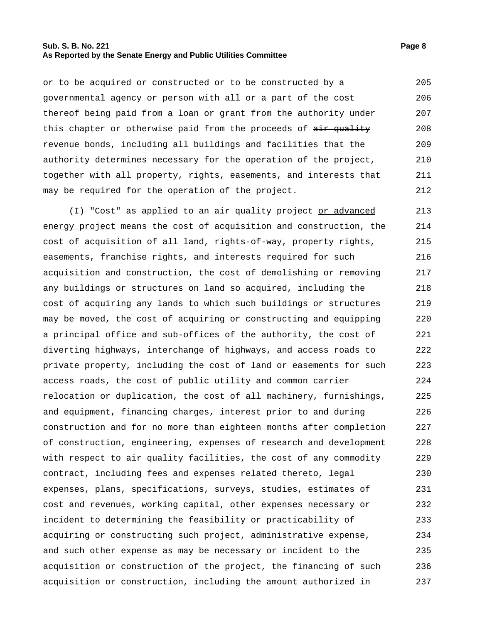#### **Sub. S. B. No. 221 Page 8 As Reported by the Senate Energy and Public Utilities Committee**

or to be acquired or constructed or to be constructed by a governmental agency or person with all or a part of the cost thereof being paid from a loan or grant from the authority under this chapter or otherwise paid from the proceeds of air quality revenue bonds, including all buildings and facilities that the authority determines necessary for the operation of the project, together with all property, rights, easements, and interests that may be required for the operation of the project. 205 206 207 208 209 210 211 212

(I) "Cost" as applied to an air quality project or advanced energy project means the cost of acquisition and construction, the cost of acquisition of all land, rights-of-way, property rights, easements, franchise rights, and interests required for such acquisition and construction, the cost of demolishing or removing any buildings or structures on land so acquired, including the cost of acquiring any lands to which such buildings or structures may be moved, the cost of acquiring or constructing and equipping a principal office and sub-offices of the authority, the cost of diverting highways, interchange of highways, and access roads to private property, including the cost of land or easements for such access roads, the cost of public utility and common carrier relocation or duplication, the cost of all machinery, furnishings, and equipment, financing charges, interest prior to and during construction and for no more than eighteen months after completion of construction, engineering, expenses of research and development with respect to air quality facilities, the cost of any commodity contract, including fees and expenses related thereto, legal expenses, plans, specifications, surveys, studies, estimates of cost and revenues, working capital, other expenses necessary or incident to determining the feasibility or practicability of acquiring or constructing such project, administrative expense, and such other expense as may be necessary or incident to the acquisition or construction of the project, the financing of such acquisition or construction, including the amount authorized in 213 214 215 216 217 218 219 220 221 222 223 224 225 226 227 228 229 230 231 232 233 234 235 236 237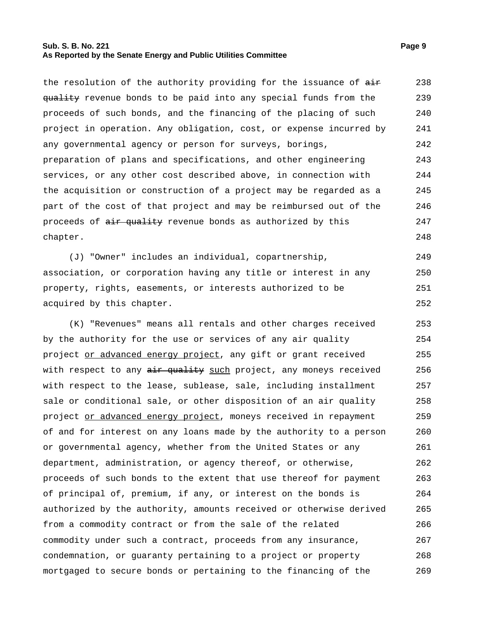#### **Sub. S. B. No. 221 Page 9 As Reported by the Senate Energy and Public Utilities Committee**

the resolution of the authority providing for the issuance of  $\frac{1}{n+1}$ quality revenue bonds to be paid into any special funds from the proceeds of such bonds, and the financing of the placing of such project in operation. Any obligation, cost, or expense incurred by any governmental agency or person for surveys, borings, preparation of plans and specifications, and other engineering services, or any other cost described above, in connection with the acquisition or construction of a project may be regarded as a part of the cost of that project and may be reimbursed out of the proceeds of  $air$  quality revenue bonds as authorized by this chapter. 238 239 240 241 242 243 244 245 246 247 248

(J) "Owner" includes an individual, copartnership, association, or corporation having any title or interest in any property, rights, easements, or interests authorized to be acquired by this chapter. 249 250 251 252

(K) "Revenues" means all rentals and other charges received by the authority for the use or services of any air quality project or advanced energy project, any gift or grant received with respect to any air quality such project, any moneys received with respect to the lease, sublease, sale, including installment sale or conditional sale, or other disposition of an air quality project or advanced energy project, moneys received in repayment of and for interest on any loans made by the authority to a person or governmental agency, whether from the United States or any department, administration, or agency thereof, or otherwise, proceeds of such bonds to the extent that use thereof for payment of principal of, premium, if any, or interest on the bonds is authorized by the authority, amounts received or otherwise derived from a commodity contract or from the sale of the related commodity under such a contract, proceeds from any insurance, condemnation, or guaranty pertaining to a project or property mortgaged to secure bonds or pertaining to the financing of the 253 254 255 256 257 258 259 260 261 262 263 264 265 266 267 268 269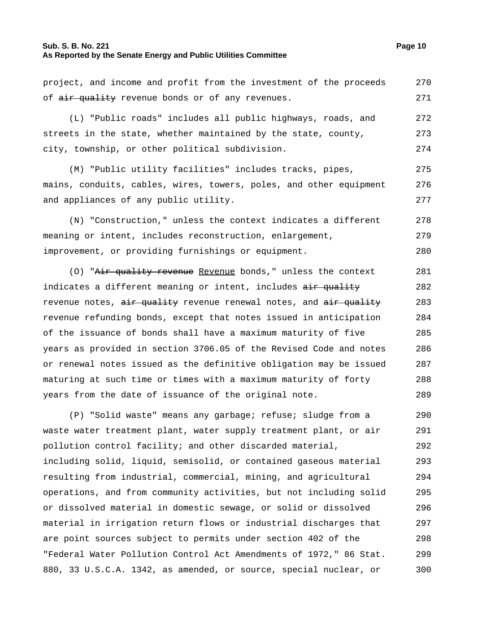#### **Sub. S. B. No. 221 Page 10 As Reported by the Senate Energy and Public Utilities Committee**

project, and income and profit from the investment of the proceeds of air quality revenue bonds or of any revenues. 270 271

(L) "Public roads" includes all public highways, roads, and streets in the state, whether maintained by the state, county, city, township, or other political subdivision. 272 273 274

(M) "Public utility facilities" includes tracks, pipes, mains, conduits, cables, wires, towers, poles, and other equipment and appliances of any public utility. 275 276 277

(N) "Construction," unless the context indicates a different meaning or intent, includes reconstruction, enlargement, improvement, or providing furnishings or equipment. 278 279 280

(O) "Air quality revenue Revenue bonds," unless the context indicates a different meaning or intent, includes air quality revenue notes, air quality revenue renewal notes, and air quality revenue refunding bonds, except that notes issued in anticipation of the issuance of bonds shall have a maximum maturity of five years as provided in section 3706.05 of the Revised Code and notes or renewal notes issued as the definitive obligation may be issued maturing at such time or times with a maximum maturity of forty years from the date of issuance of the original note. 281 282 283 284 285 286 287 288 289

(P) "Solid waste" means any garbage; refuse; sludge from a waste water treatment plant, water supply treatment plant, or air pollution control facility; and other discarded material, including solid, liquid, semisolid, or contained gaseous material resulting from industrial, commercial, mining, and agricultural operations, and from community activities, but not including solid or dissolved material in domestic sewage, or solid or dissolved material in irrigation return flows or industrial discharges that are point sources subject to permits under section 402 of the "Federal Water Pollution Control Act Amendments of 1972," 86 Stat. 880, 33 U.S.C.A. 1342, as amended, or source, special nuclear, or 290 291 292 293 294 295 296 297 298 299 300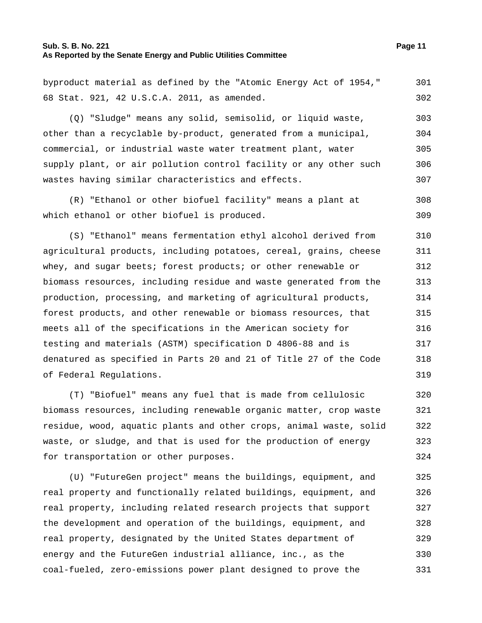# **Sub. S. B. No. 221 Page 11 As Reported by the Senate Energy and Public Utilities Committee**

byproduct material as defined by the "Atomic Energy Act of 1954," 68 Stat. 921, 42 U.S.C.A. 2011, as amended. 301 302

(Q) "Sludge" means any solid, semisolid, or liquid waste, other than a recyclable by-product, generated from a municipal, commercial, or industrial waste water treatment plant, water supply plant, or air pollution control facility or any other such wastes having similar characteristics and effects. 303 304 305 306 307

(R) "Ethanol or other biofuel facility" means a plant at which ethanol or other biofuel is produced. 308 309

(S) "Ethanol" means fermentation ethyl alcohol derived from agricultural products, including potatoes, cereal, grains, cheese whey, and sugar beets; forest products; or other renewable or biomass resources, including residue and waste generated from the production, processing, and marketing of agricultural products, forest products, and other renewable or biomass resources, that meets all of the specifications in the American society for testing and materials (ASTM) specification D 4806-88 and is denatured as specified in Parts 20 and 21 of Title 27 of the Code of Federal Regulations. 310 311 312 313 314 315 316 317 318 319

(T) "Biofuel" means any fuel that is made from cellulosic biomass resources, including renewable organic matter, crop waste residue, wood, aquatic plants and other crops, animal waste, solid waste, or sludge, and that is used for the production of energy for transportation or other purposes. 320 321 322 323 324

(U) "FutureGen project" means the buildings, equipment, and real property and functionally related buildings, equipment, and real property, including related research projects that support the development and operation of the buildings, equipment, and real property, designated by the United States department of energy and the FutureGen industrial alliance, inc., as the coal-fueled, zero-emissions power plant designed to prove the 325 326 327 328 329 330 331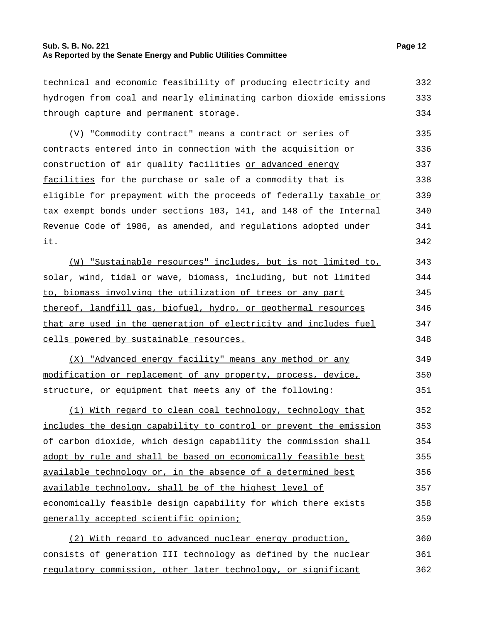# **Sub. S. B. No. 221 Page 12 As Reported by the Senate Energy and Public Utilities Committee**

technical and economic feasibility of producing electricity and hydrogen from coal and nearly eliminating carbon dioxide emissions through capture and permanent storage. 332 333 334

(V) "Commodity contract" means a contract or series of contracts entered into in connection with the acquisition or construction of air quality facilities or advanced energy facilities for the purchase or sale of a commodity that is eligible for prepayment with the proceeds of federally taxable or tax exempt bonds under sections 103, 141, and 148 of the Internal Revenue Code of 1986, as amended, and regulations adopted under it. 335 336 337 338 339 340 341 342

(W) "Sustainable resources" includes, but is not limited to, solar, wind, tidal or wave, biomass, including, but not limited to, biomass involving the utilization of trees or any part thereof, landfill gas, biofuel, hydro, or geothermal resources that are used in the generation of electricity and includes fuel cells powered by sustainable resources. 343 344 345 346 347 348

(X) "Advanced energy facility" means any method or any modification or replacement of any property, process, device, structure, or equipment that meets any of the following: 349 350 351

(1) With regard to clean coal technology, technology that includes the design capability to control or prevent the emission of carbon dioxide, which design capability the commission shall adopt by rule and shall be based on economically feasible best available technology or, in the absence of a determined best available technology, shall be of the highest level of economically feasible design capability for which there exists generally accepted scientific opinion; 352 353 354 355 356 357 358 359

(2) With regard to advanced nuclear energy production, consists of generation III technology as defined by the nuclear regulatory commission, other later technology, or significant 360 361 362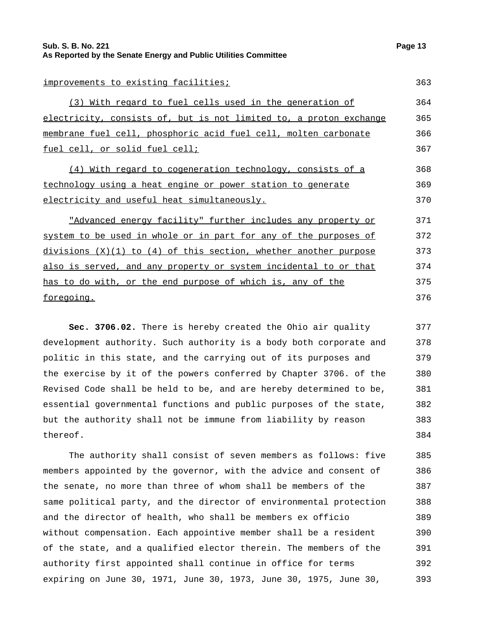# **Sub. S. B. No. 221 Page 13 As Reported by the Senate Energy and Public Utilities Committee**

improvements to existing facilities; 1996) 363

| (3) With regard to fuel cells used in the generation of            | 364 |
|--------------------------------------------------------------------|-----|
| electricity, consists of, but is not limited to, a proton exchange | 365 |
| membrane fuel cell, phosphoric acid fuel cell, molten carbonate    | 366 |
| <u>fuel cell, or solid fuel cell;</u>                              | 367 |

(4) With regard to cogeneration technology, consists of a technology using a heat engine or power station to generate electricity and useful heat simultaneously. 368 369 370

"Advanced energy facility" further includes any property or system to be used in whole or in part for any of the purposes of divisions  $(X)(1)$  to  $(4)$  of this section, whether another purpose also is served, and any property or system incidental to or that has to do with, or the end purpose of which is, any of the foregoing. 371 372 373 374 375 376

**Sec. 3706.02.** There is hereby created the Ohio air quality development authority. Such authority is a body both corporate and politic in this state, and the carrying out of its purposes and the exercise by it of the powers conferred by Chapter 3706. of the Revised Code shall be held to be, and are hereby determined to be, essential governmental functions and public purposes of the state, but the authority shall not be immune from liability by reason thereof. 377 378 379 380 381 382 383 384

The authority shall consist of seven members as follows: five members appointed by the governor, with the advice and consent of the senate, no more than three of whom shall be members of the same political party, and the director of environmental protection and the director of health, who shall be members ex officio without compensation. Each appointive member shall be a resident of the state, and a qualified elector therein. The members of the authority first appointed shall continue in office for terms expiring on June 30, 1971, June 30, 1973, June 30, 1975, June 30, 385 386 387 388 389 390 391 392 393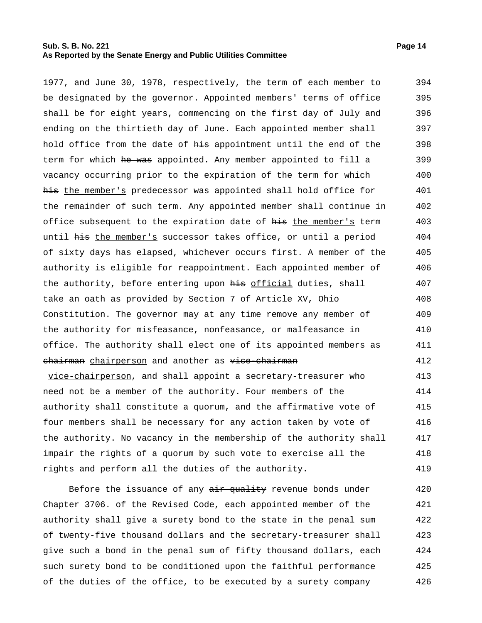# **Sub. S. B. No. 221 Page 14 As Reported by the Senate Energy and Public Utilities Committee**

1977, and June 30, 1978, respectively, the term of each member to be designated by the governor. Appointed members' terms of office shall be for eight years, commencing on the first day of July and ending on the thirtieth day of June. Each appointed member shall hold office from the date of his appointment until the end of the term for which he was appointed. Any member appointed to fill a vacancy occurring prior to the expiration of the term for which his the member's predecessor was appointed shall hold office for the remainder of such term. Any appointed member shall continue in office subsequent to the expiration date of his the member's term until his the member's successor takes office, or until a period of sixty days has elapsed, whichever occurs first. A member of the authority is eligible for reappointment. Each appointed member of the authority, before entering upon his official duties, shall take an oath as provided by Section 7 of Article XV, Ohio Constitution. The governor may at any time remove any member of the authority for misfeasance, nonfeasance, or malfeasance in office. The authority shall elect one of its appointed members as chairman chairperson and another as vice-chairman vice-chairperson, and shall appoint a secretary-treasurer who need not be a member of the authority. Four members of the authority shall constitute a quorum, and the affirmative vote of four members shall be necessary for any action taken by vote of 394 395 396 397 398 399 400 401 402 403 404 405 406 407 408 409 410 411 412 413 414 415 416

the authority. No vacancy in the membership of the authority shall impair the rights of a quorum by such vote to exercise all the rights and perform all the duties of the authority. 417 418 419

Before the issuance of any air quality revenue bonds under Chapter 3706. of the Revised Code, each appointed member of the authority shall give a surety bond to the state in the penal sum of twenty-five thousand dollars and the secretary-treasurer shall give such a bond in the penal sum of fifty thousand dollars, each such surety bond to be conditioned upon the faithful performance of the duties of the office, to be executed by a surety company 420 421 422 423 424 425 426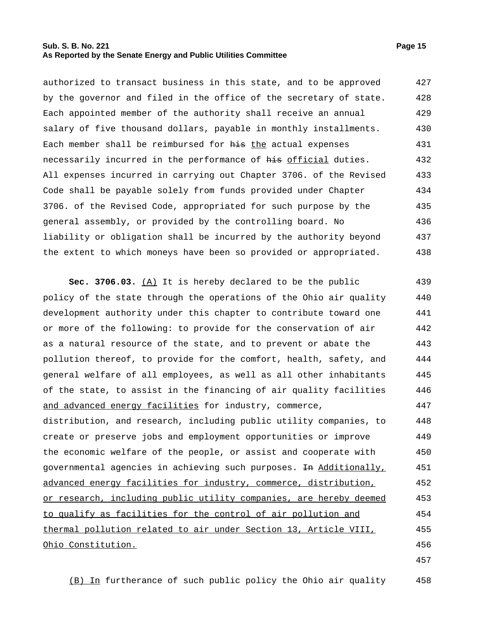#### **Sub. S. B. No. 221 Page 15 As Reported by the Senate Energy and Public Utilities Committee**

| authorized to transact business in this state, and to be approved                 | 427 |
|-----------------------------------------------------------------------------------|-----|
| by the governor and filed in the office of the secretary of state.                | 428 |
| Each appointed member of the authority shall receive an annual                    | 429 |
| salary of five thousand dollars, payable in monthly installments.                 | 430 |
| Each member shall be reimbursed for his the actual expenses                       | 431 |
| necessarily incurred in the performance of <del>his</del> <u>official</u> duties. | 432 |
| All expenses incurred in carrying out Chapter 3706. of the Revised                | 433 |
| Code shall be payable solely from funds provided under Chapter                    | 434 |
| 3706. of the Revised Code, appropriated for such purpose by the                   | 435 |
| general assembly, or provided by the controlling board. No                        | 436 |
| liability or obligation shall be incurred by the authority beyond                 | 437 |
| the extent to which moneys have been so provided or appropriated.                 | 438 |

**Sec. 3706.03.** (A) It is hereby declared to be the public policy of the state through the operations of the Ohio air quality development authority under this chapter to contribute toward one or more of the following: to provide for the conservation of air as a natural resource of the state, and to prevent or abate the pollution thereof, to provide for the comfort, health, safety, and general welfare of all employees, as well as all other inhabitants of the state, to assist in the financing of air quality facilities and advanced energy facilities for industry, commerce, distribution, and research, including public utility companies, to create or preserve jobs and employment opportunities or improve the economic welfare of the people, or assist and cooperate with governmental agencies in achieving such purposes. In Additionally, advanced energy facilities for industry, commerce, distribution, or research, including public utility companies, are hereby deemed to qualify as facilities for the control of air pollution and thermal pollution related to air under Section 13, Article VIII, Ohio Constitution. 439 440 441 442 443 444 445 446 447 448 449 450 451 452 453 454 455 456

(B) In furtherance of such public policy the Ohio air quality 458

457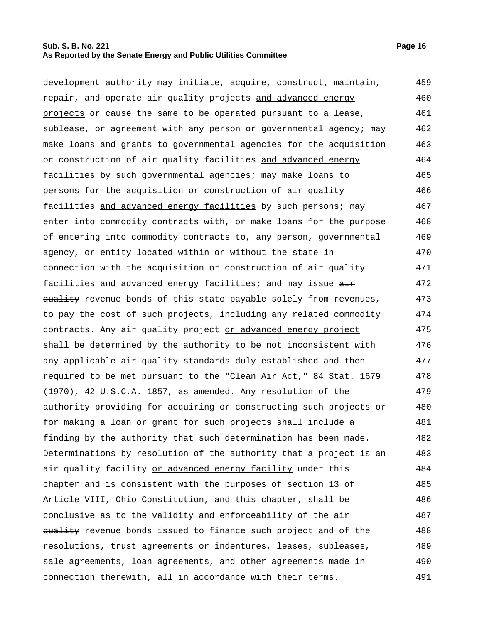# **Sub. S. B. No. 221 Page 16 As Reported by the Senate Energy and Public Utilities Committee**

development authority may initiate, acquire, construct, maintain, repair, and operate air quality projects and advanced energy projects or cause the same to be operated pursuant to a lease, sublease, or agreement with any person or governmental agency; may make loans and grants to governmental agencies for the acquisition or construction of air quality facilities and advanced energy facilities by such governmental agencies; may make loans to persons for the acquisition or construction of air quality facilities and advanced energy facilities by such persons; may enter into commodity contracts with, or make loans for the purpose of entering into commodity contracts to, any person, governmental agency, or entity located within or without the state in connection with the acquisition or construction of air quality facilities and advanced energy facilities; and may issue air quality revenue bonds of this state payable solely from revenues, to pay the cost of such projects, including any related commodity contracts. Any air quality project or advanced energy project shall be determined by the authority to be not inconsistent with any applicable air quality standards duly established and then required to be met pursuant to the "Clean Air Act," 84 Stat. 1679 (1970), 42 U.S.C.A. 1857, as amended. Any resolution of the authority providing for acquiring or constructing such projects or for making a loan or grant for such projects shall include a finding by the authority that such determination has been made. Determinations by resolution of the authority that a project is an air quality facility or advanced energy facility under this chapter and is consistent with the purposes of section 13 of Article VIII, Ohio Constitution, and this chapter, shall be conclusive as to the validity and enforceability of the  $\frac{1}{n+1}$ quality revenue bonds issued to finance such project and of the resolutions, trust agreements or indentures, leases, subleases, sale agreements, loan agreements, and other agreements made in connection therewith, all in accordance with their terms. 459 460 461 462 463 464 465 466 467 468 469 470 471 472 473 474 475 476 477 478 479 480 481 482 483 484 485 486 487 488 489 490 491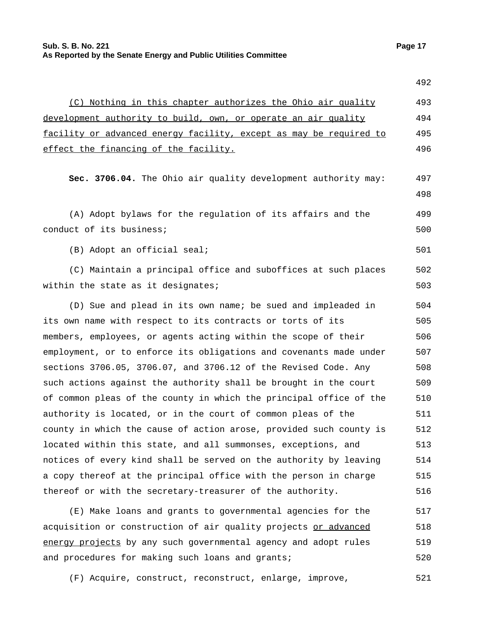**Sub. S. B. No. 221 Page 17 As Reported by the Senate Energy and Public Utilities Committee**

|                                                                    | 492 |
|--------------------------------------------------------------------|-----|
| (C) Nothing in this chapter authorizes the Ohio air quality        | 493 |
| development authority to build, own, or operate an air quality     | 494 |
| facility or advanced energy facility, except as may be required to | 495 |
| effect the financing of the facility.                              | 496 |
|                                                                    |     |
| Sec. 3706.04. The Ohio air quality development authority may:      | 497 |
|                                                                    | 498 |
| (A) Adopt bylaws for the regulation of its affairs and the         | 499 |
| conduct of its business;                                           | 500 |
| (B) Adopt an official seal;                                        | 501 |
| (C) Maintain a principal office and suboffices at such places      | 502 |
| within the state as it designates;                                 | 503 |
| (D) Sue and plead in its own name; be sued and impleaded in        | 504 |
| its own name with respect to its contracts or torts of its         | 505 |
| members, employees, or agents acting within the scope of their     | 506 |
| employment, or to enforce its obligations and covenants made under | 507 |
| sections 3706.05, 3706.07, and 3706.12 of the Revised Code. Any    | 508 |
| such actions against the authority shall be brought in the court   | 509 |
| of common pleas of the county in which the principal office of the | 510 |
| authority is located, or in the court of common pleas of the       | 511 |
| county in which the cause of action arose, provided such county is | 512 |
| located within this state, and all summonses, exceptions, and      | 513 |
| notices of every kind shall be served on the authority by leaving  | 514 |
| a copy thereof at the principal office with the person in charge   | 515 |
| thereof or with the secretary-treasurer of the authority.          | 516 |
|                                                                    | 517 |
| (E) Make loans and grants to governmental agencies for the         |     |

acquisition or construction of air quality projects or advanced energy projects by any such governmental agency and adopt rules and procedures for making such loans and grants; 518 519 520

(F) Acquire, construct, reconstruct, enlarge, improve, 521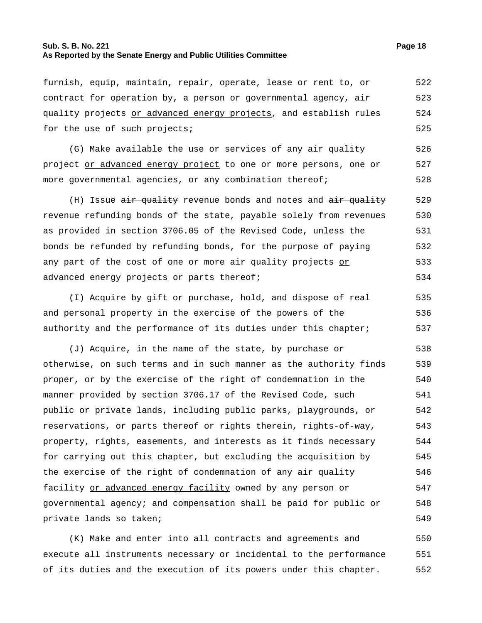# **Sub. S. B. No. 221 Page 18 As Reported by the Senate Energy and Public Utilities Committee**

furnish, equip, maintain, repair, operate, lease or rent to, or contract for operation by, a person or governmental agency, air quality projects or advanced energy projects, and establish rules for the use of such projects; 522 523 524 525

(G) Make available the use or services of any air quality project or advanced energy project to one or more persons, one or more governmental agencies, or any combination thereof; 526 527 528

(H) Issue  $\frac{a}{b}$  and  $\frac{a}{b}$  revenue bonds and notes and  $\frac{a}{b}$  and  $\frac{a}{b}$ revenue refunding bonds of the state, payable solely from revenues as provided in section 3706.05 of the Revised Code, unless the bonds be refunded by refunding bonds, for the purpose of paying any part of the cost of one or more air quality projects or advanced energy projects or parts thereof; 529 530 531 532 533 534

(I) Acquire by gift or purchase, hold, and dispose of real and personal property in the exercise of the powers of the authority and the performance of its duties under this chapter; 535 536 537

(J) Acquire, in the name of the state, by purchase or otherwise, on such terms and in such manner as the authority finds proper, or by the exercise of the right of condemnation in the manner provided by section 3706.17 of the Revised Code, such public or private lands, including public parks, playgrounds, or reservations, or parts thereof or rights therein, rights-of-way, property, rights, easements, and interests as it finds necessary for carrying out this chapter, but excluding the acquisition by the exercise of the right of condemnation of any air quality facility or advanced energy facility owned by any person or governmental agency; and compensation shall be paid for public or private lands so taken; 538 539 540 541 542 543 544 545 546 547 548 549

(K) Make and enter into all contracts and agreements and execute all instruments necessary or incidental to the performance of its duties and the execution of its powers under this chapter. 550 551 552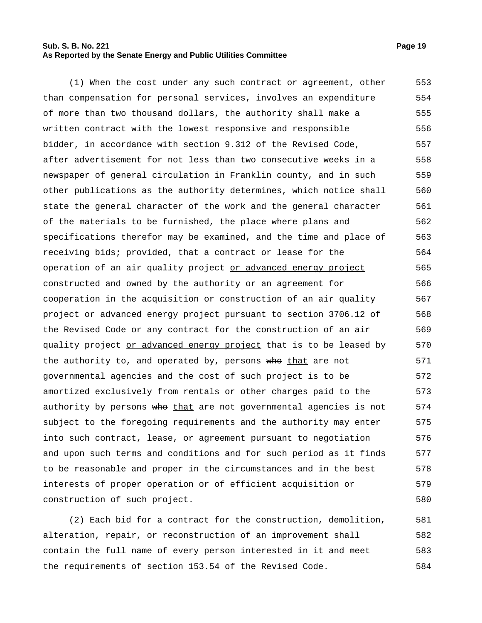# **Sub. S. B. No. 221 Page 19 As Reported by the Senate Energy and Public Utilities Committee**

(1) When the cost under any such contract or agreement, other than compensation for personal services, involves an expenditure of more than two thousand dollars, the authority shall make a written contract with the lowest responsive and responsible bidder, in accordance with section 9.312 of the Revised Code, after advertisement for not less than two consecutive weeks in a newspaper of general circulation in Franklin county, and in such other publications as the authority determines, which notice shall state the general character of the work and the general character of the materials to be furnished, the place where plans and specifications therefor may be examined, and the time and place of receiving bids; provided, that a contract or lease for the operation of an air quality project or advanced energy project constructed and owned by the authority or an agreement for cooperation in the acquisition or construction of an air quality project or advanced energy project pursuant to section 3706.12 of the Revised Code or any contract for the construction of an air quality project or advanced energy project that is to be leased by the authority to, and operated by, persons who that are not governmental agencies and the cost of such project is to be amortized exclusively from rentals or other charges paid to the authority by persons who that are not governmental agencies is not subject to the foregoing requirements and the authority may enter into such contract, lease, or agreement pursuant to negotiation and upon such terms and conditions and for such period as it finds to be reasonable and proper in the circumstances and in the best interests of proper operation or of efficient acquisition or construction of such project. 553 554 555 556 557 558 559 560 561 562 563 564 565 566 567 568 569 570 571 572 573 574 575 576 577 578 579 580

(2) Each bid for a contract for the construction, demolition, alteration, repair, or reconstruction of an improvement shall contain the full name of every person interested in it and meet the requirements of section 153.54 of the Revised Code. 581 582 583 584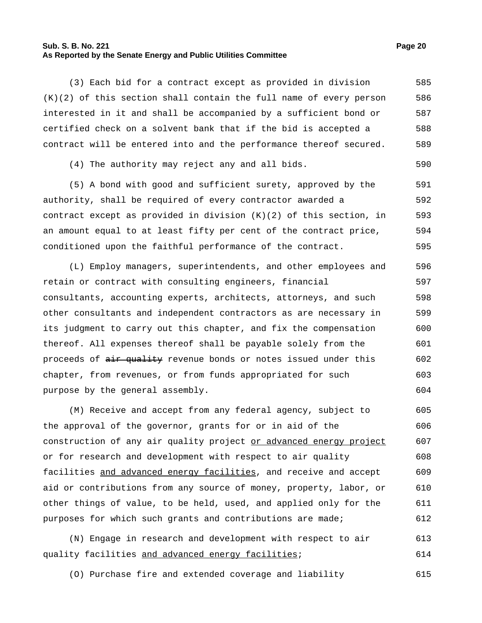#### **Sub. S. B. No. 221 Page 20 As Reported by the Senate Energy and Public Utilities Committee**

(3) Each bid for a contract except as provided in division (K)(2) of this section shall contain the full name of every person interested in it and shall be accompanied by a sufficient bond or certified check on a solvent bank that if the bid is accepted a contract will be entered into and the performance thereof secured. 585 586 587 588 589

(4) The authority may reject any and all bids. 590

(5) A bond with good and sufficient surety, approved by the authority, shall be required of every contractor awarded a contract except as provided in division (K)(2) of this section, in an amount equal to at least fifty per cent of the contract price, conditioned upon the faithful performance of the contract. 591 592 593 594 595

(L) Employ managers, superintendents, and other employees and retain or contract with consulting engineers, financial consultants, accounting experts, architects, attorneys, and such other consultants and independent contractors as are necessary in its judgment to carry out this chapter, and fix the compensation thereof. All expenses thereof shall be payable solely from the proceeds of air quality revenue bonds or notes issued under this chapter, from revenues, or from funds appropriated for such purpose by the general assembly. 596 597 598 599 600 601 602 603 604

(M) Receive and accept from any federal agency, subject to the approval of the governor, grants for or in aid of the construction of any air quality project or advanced energy project or for research and development with respect to air quality facilities and advanced energy facilities, and receive and accept aid or contributions from any source of money, property, labor, or other things of value, to be held, used, and applied only for the purposes for which such grants and contributions are made; 605 606 607 608 609 610 611 612

(N) Engage in research and development with respect to air quality facilities and advanced energy facilities; 613 614

(O) Purchase fire and extended coverage and liability 615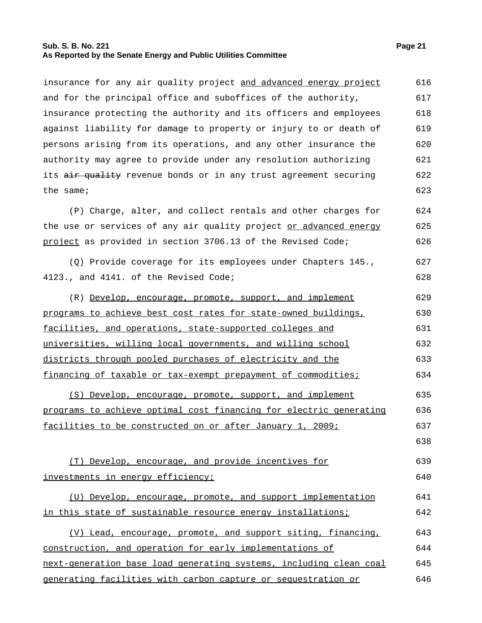# **Sub. S. B. No. 221 Page 21 As Reported by the Senate Energy and Public Utilities Committee**

insurance for any air quality project and advanced energy project and for the principal office and suboffices of the authority, insurance protecting the authority and its officers and employees against liability for damage to property or injury to or death of persons arising from its operations, and any other insurance the authority may agree to provide under any resolution authorizing its air quality revenue bonds or in any trust agreement securing the same; 616 617 618 619 620 621 622 623

(P) Charge, alter, and collect rentals and other charges for the use or services of any air quality project or advanced energy project as provided in section 3706.13 of the Revised Code; 624 625 626

(Q) Provide coverage for its employees under Chapters 145., 4123., and 4141. of the Revised Code; 627 628

(R) Develop, encourage, promote, support, and implement programs to achieve best cost rates for state-owned buildings, facilities, and operations, state-supported colleges and universities, willing local governments, and willing school districts through pooled purchases of electricity and the financing of taxable or tax-exempt prepayment of commodities; 629 630 631 632 633 634

(S) Develop, encourage, promote, support, and implement programs to achieve optimal cost financing for electric generating facilities to be constructed on or after January 1, 2009; 635 636 637

(T) Develop, encourage, and provide incentives for investments in energy efficiency; 639 640

(U) Develop, encourage, promote, and support implementation in this state of sustainable resource energy installations; 641 642

(V) Lead, encourage, promote, and support siting, financing, construction, and operation for early implementations of next-generation base load generating systems, including clean coal generating facilities with carbon capture or sequestration or 643 644 645 646

638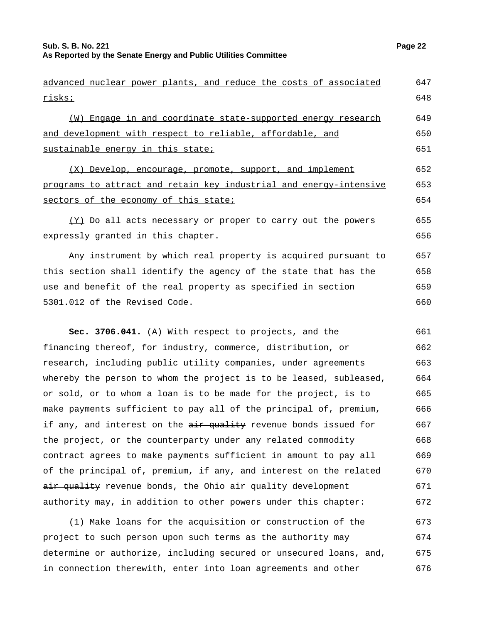risks;

(W) Engage in and coordinate state-supported energy research and development with respect to reliable, affordable, and sustainable energy in this state; (X) Develop, encourage, promote, support, and implement

programs to attract and retain key industrial and energy-intensive sectors of the economy of this state; 652 653 654

advanced nuclear power plants, and reduce the costs of associated

(Y) Do all acts necessary or proper to carry out the powers expressly granted in this chapter. 655 656

Any instrument by which real property is acquired pursuant to this section shall identify the agency of the state that has the use and benefit of the real property as specified in section 5301.012 of the Revised Code. 657 658 659 660

**Sec. 3706.041.** (A) With respect to projects, and the financing thereof, for industry, commerce, distribution, or research, including public utility companies, under agreements whereby the person to whom the project is to be leased, subleased, or sold, or to whom a loan is to be made for the project, is to make payments sufficient to pay all of the principal of, premium, if any, and interest on the  $\frac{1}{x}$  and it revenue bonds issued for the project, or the counterparty under any related commodity contract agrees to make payments sufficient in amount to pay all of the principal of, premium, if any, and interest on the related air quality revenue bonds, the Ohio air quality development authority may, in addition to other powers under this chapter: 661 662 663 664 665 666 667 668 669 670 671 672

(1) Make loans for the acquisition or construction of the project to such person upon such terms as the authority may determine or authorize, including secured or unsecured loans, and, in connection therewith, enter into loan agreements and other 673 674 675 676

647 648

649 650 651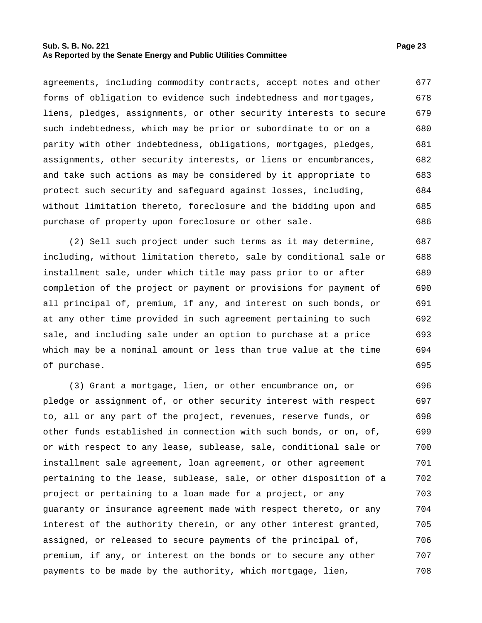# **Sub. S. B. No. 221 Page 23 As Reported by the Senate Energy and Public Utilities Committee**

agreements, including commodity contracts, accept notes and other forms of obligation to evidence such indebtedness and mortgages, liens, pledges, assignments, or other security interests to secure such indebtedness, which may be prior or subordinate to or on a parity with other indebtedness, obligations, mortgages, pledges, assignments, other security interests, or liens or encumbrances, and take such actions as may be considered by it appropriate to protect such security and safeguard against losses, including, without limitation thereto, foreclosure and the bidding upon and purchase of property upon foreclosure or other sale. 677 678 679 680 681 682 683 684 685 686

(2) Sell such project under such terms as it may determine, including, without limitation thereto, sale by conditional sale or installment sale, under which title may pass prior to or after completion of the project or payment or provisions for payment of all principal of, premium, if any, and interest on such bonds, or at any other time provided in such agreement pertaining to such sale, and including sale under an option to purchase at a price which may be a nominal amount or less than true value at the time of purchase. 687 688 689 690 691 692 693 694 695

(3) Grant a mortgage, lien, or other encumbrance on, or pledge or assignment of, or other security interest with respect to, all or any part of the project, revenues, reserve funds, or other funds established in connection with such bonds, or on, of, or with respect to any lease, sublease, sale, conditional sale or installment sale agreement, loan agreement, or other agreement pertaining to the lease, sublease, sale, or other disposition of a project or pertaining to a loan made for a project, or any guaranty or insurance agreement made with respect thereto, or any interest of the authority therein, or any other interest granted, assigned, or released to secure payments of the principal of, premium, if any, or interest on the bonds or to secure any other payments to be made by the authority, which mortgage, lien, 696 697 698 699 700 701 702 703 704 705 706 707 708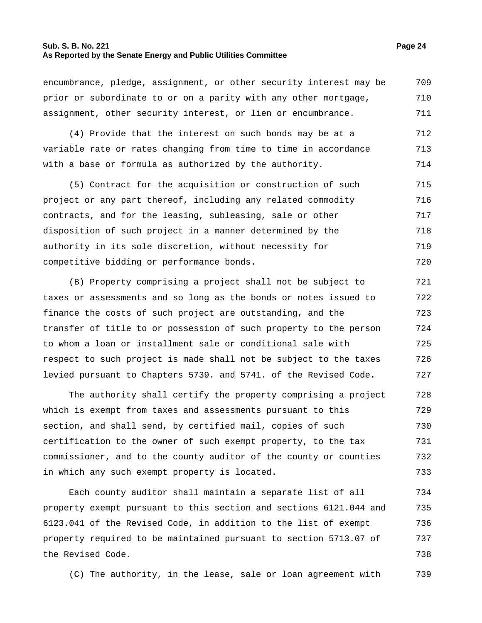# **Sub. S. B. No. 221 Page 24 As Reported by the Senate Energy and Public Utilities Committee**

encumbrance, pledge, assignment, or other security interest may be prior or subordinate to or on a parity with any other mortgage, assignment, other security interest, or lien or encumbrance. 709 710 711

(4) Provide that the interest on such bonds may be at a variable rate or rates changing from time to time in accordance with a base or formula as authorized by the authority. 712 713 714

(5) Contract for the acquisition or construction of such project or any part thereof, including any related commodity contracts, and for the leasing, subleasing, sale or other disposition of such project in a manner determined by the authority in its sole discretion, without necessity for competitive bidding or performance bonds. 715 716 717 718 719 720

(B) Property comprising a project shall not be subject to taxes or assessments and so long as the bonds or notes issued to finance the costs of such project are outstanding, and the transfer of title to or possession of such property to the person to whom a loan or installment sale or conditional sale with respect to such project is made shall not be subject to the taxes levied pursuant to Chapters 5739. and 5741. of the Revised Code. 721 722 723 724 725 726 727

The authority shall certify the property comprising a project which is exempt from taxes and assessments pursuant to this section, and shall send, by certified mail, copies of such certification to the owner of such exempt property, to the tax commissioner, and to the county auditor of the county or counties in which any such exempt property is located. 728 729 730 731 732 733

Each county auditor shall maintain a separate list of all property exempt pursuant to this section and sections 6121.044 and 6123.041 of the Revised Code, in addition to the list of exempt property required to be maintained pursuant to section 5713.07 of the Revised Code. 734 735 736 737 738

(C) The authority, in the lease, sale or loan agreement with 739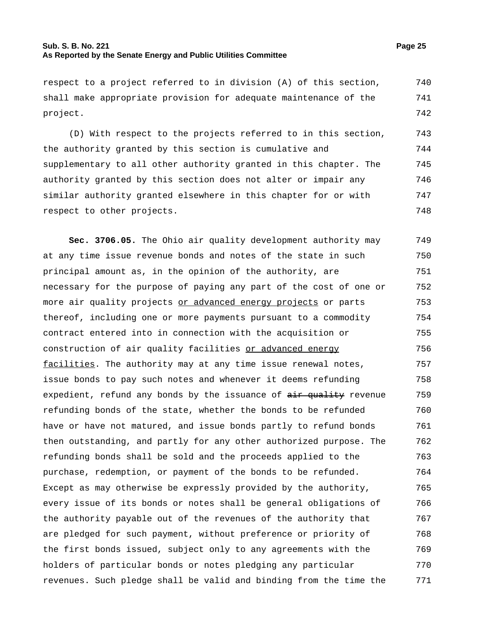#### **Sub. S. B. No. 221 Page 25 As Reported by the Senate Energy and Public Utilities Committee**

shall make appropriate provision for adequate maintenance of the project. 741 742

(D) With respect to the projects referred to in this section, the authority granted by this section is cumulative and supplementary to all other authority granted in this chapter. The authority granted by this section does not alter or impair any similar authority granted elsewhere in this chapter for or with respect to other projects. 743 744 745 746 747 748

**Sec. 3706.05.** The Ohio air quality development authority may at any time issue revenue bonds and notes of the state in such principal amount as, in the opinion of the authority, are necessary for the purpose of paying any part of the cost of one or more air quality projects or advanced energy projects or parts thereof, including one or more payments pursuant to a commodity contract entered into in connection with the acquisition or construction of air quality facilities or advanced energy facilities. The authority may at any time issue renewal notes, issue bonds to pay such notes and whenever it deems refunding expedient, refund any bonds by the issuance of  $\frac{1}{x}$  evenue refunding bonds of the state, whether the bonds to be refunded have or have not matured, and issue bonds partly to refund bonds then outstanding, and partly for any other authorized purpose. The refunding bonds shall be sold and the proceeds applied to the purchase, redemption, or payment of the bonds to be refunded. Except as may otherwise be expressly provided by the authority, every issue of its bonds or notes shall be general obligations of the authority payable out of the revenues of the authority that are pledged for such payment, without preference or priority of the first bonds issued, subject only to any agreements with the holders of particular bonds or notes pledging any particular revenues. Such pledge shall be valid and binding from the time the 749 750 751 752 753 754 755 756 757 758 759 760 761 762 763 764 765 766 767 768 769 770 771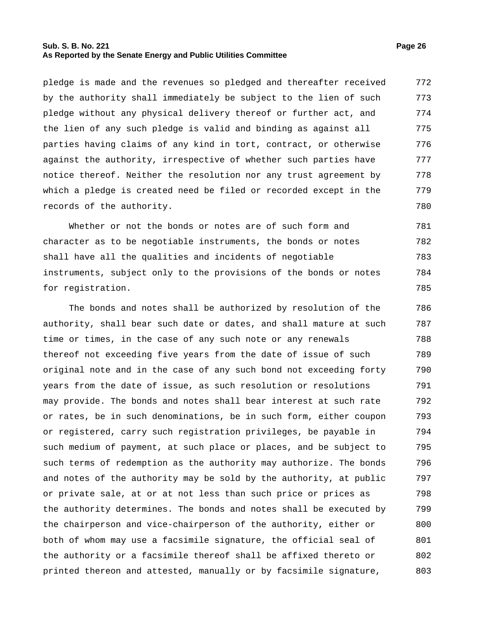# **Sub. S. B. No. 221 Page 26 As Reported by the Senate Energy and Public Utilities Committee**

pledge is made and the revenues so pledged and thereafter received by the authority shall immediately be subject to the lien of such pledge without any physical delivery thereof or further act, and the lien of any such pledge is valid and binding as against all parties having claims of any kind in tort, contract, or otherwise against the authority, irrespective of whether such parties have notice thereof. Neither the resolution nor any trust agreement by which a pledge is created need be filed or recorded except in the records of the authority. 772 773 774 775 776 777 778 779 780

Whether or not the bonds or notes are of such form and character as to be negotiable instruments, the bonds or notes shall have all the qualities and incidents of negotiable instruments, subject only to the provisions of the bonds or notes for registration. 781 782 783 784 785

The bonds and notes shall be authorized by resolution of the authority, shall bear such date or dates, and shall mature at such time or times, in the case of any such note or any renewals thereof not exceeding five years from the date of issue of such original note and in the case of any such bond not exceeding forty years from the date of issue, as such resolution or resolutions may provide. The bonds and notes shall bear interest at such rate or rates, be in such denominations, be in such form, either coupon or registered, carry such registration privileges, be payable in such medium of payment, at such place or places, and be subject to such terms of redemption as the authority may authorize. The bonds and notes of the authority may be sold by the authority, at public or private sale, at or at not less than such price or prices as the authority determines. The bonds and notes shall be executed by the chairperson and vice-chairperson of the authority, either or both of whom may use a facsimile signature, the official seal of the authority or a facsimile thereof shall be affixed thereto or printed thereon and attested, manually or by facsimile signature, 786 787 788 789 790 791 792 793 794 795 796 797 798 799 800 801 802 803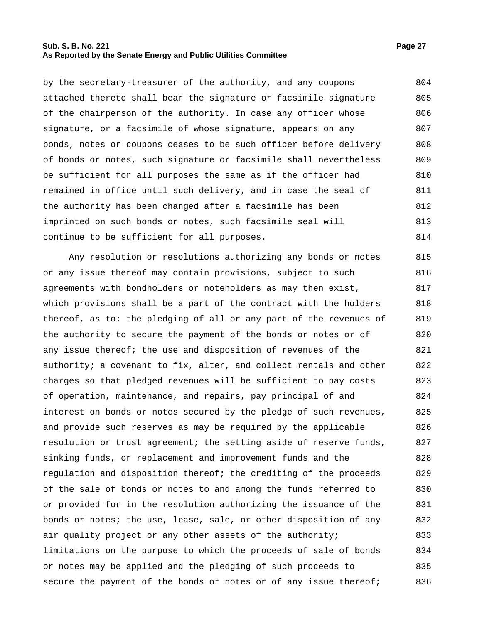# **Sub. S. B. No. 221 Page 27 As Reported by the Senate Energy and Public Utilities Committee**

by the secretary-treasurer of the authority, and any coupons attached thereto shall bear the signature or facsimile signature of the chairperson of the authority. In case any officer whose signature, or a facsimile of whose signature, appears on any bonds, notes or coupons ceases to be such officer before delivery of bonds or notes, such signature or facsimile shall nevertheless be sufficient for all purposes the same as if the officer had remained in office until such delivery, and in case the seal of the authority has been changed after a facsimile has been imprinted on such bonds or notes, such facsimile seal will continue to be sufficient for all purposes. 804 805 806 807 808 809 810 811 812 813 814

Any resolution or resolutions authorizing any bonds or notes or any issue thereof may contain provisions, subject to such agreements with bondholders or noteholders as may then exist, which provisions shall be a part of the contract with the holders thereof, as to: the pledging of all or any part of the revenues of the authority to secure the payment of the bonds or notes or of any issue thereof; the use and disposition of revenues of the authority; a covenant to fix, alter, and collect rentals and other charges so that pledged revenues will be sufficient to pay costs of operation, maintenance, and repairs, pay principal of and interest on bonds or notes secured by the pledge of such revenues, and provide such reserves as may be required by the applicable resolution or trust agreement; the setting aside of reserve funds, sinking funds, or replacement and improvement funds and the regulation and disposition thereof; the crediting of the proceeds of the sale of bonds or notes to and among the funds referred to or provided for in the resolution authorizing the issuance of the bonds or notes; the use, lease, sale, or other disposition of any air quality project or any other assets of the authority; limitations on the purpose to which the proceeds of sale of bonds or notes may be applied and the pledging of such proceeds to secure the payment of the bonds or notes or of any issue thereof; 815 816 817 818 819 820 821 822 823 824 825 826 827 828 829 830 831 832 833 834 835 836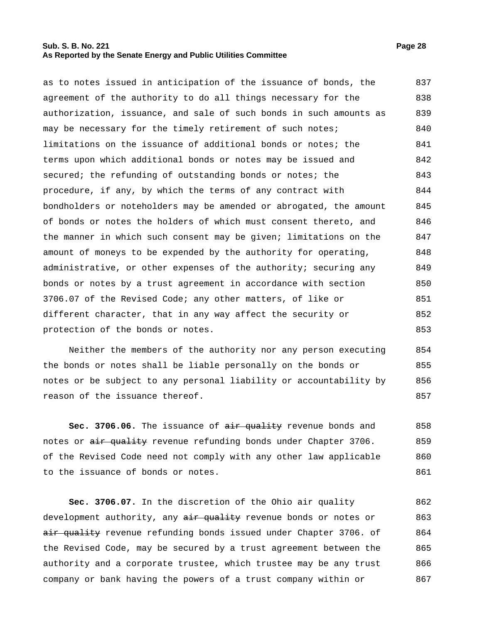# **Sub. S. B. No. 221 Page 28 As Reported by the Senate Energy and Public Utilities Committee**

as to notes issued in anticipation of the issuance of bonds, the agreement of the authority to do all things necessary for the authorization, issuance, and sale of such bonds in such amounts as may be necessary for the timely retirement of such notes; limitations on the issuance of additional bonds or notes; the terms upon which additional bonds or notes may be issued and secured; the refunding of outstanding bonds or notes; the procedure, if any, by which the terms of any contract with bondholders or noteholders may be amended or abrogated, the amount of bonds or notes the holders of which must consent thereto, and the manner in which such consent may be given; limitations on the amount of moneys to be expended by the authority for operating, administrative, or other expenses of the authority; securing any bonds or notes by a trust agreement in accordance with section 3706.07 of the Revised Code; any other matters, of like or different character, that in any way affect the security or protection of the bonds or notes. 837 838 839 840 841 842 843 844 845 846 847 848 849 850 851 852 853

Neither the members of the authority nor any person executing the bonds or notes shall be liable personally on the bonds or notes or be subject to any personal liability or accountability by reason of the issuance thereof. 854 855 856 857

**Sec. 3706.06.** The issuance of  $\frac{a}{b}$  and  $\frac{b}{c}$  revenue bonds and notes or air quality revenue refunding bonds under Chapter 3706. of the Revised Code need not comply with any other law applicable to the issuance of bonds or notes. 858 859 860 861

**Sec. 3706.07.** In the discretion of the Ohio air quality development authority, any air quality revenue bonds or notes or air quality revenue refunding bonds issued under Chapter 3706. of the Revised Code, may be secured by a trust agreement between the authority and a corporate trustee, which trustee may be any trust company or bank having the powers of a trust company within or 862 863 864 865 866 867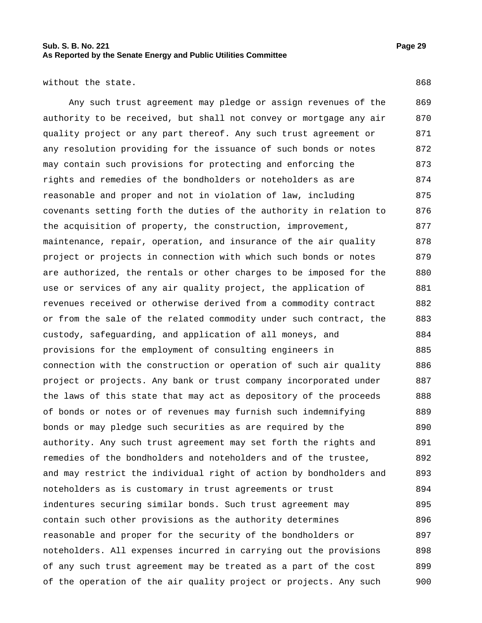without the state. 868

Any such trust agreement may pledge or assign revenues of the authority to be received, but shall not convey or mortgage any air quality project or any part thereof. Any such trust agreement or any resolution providing for the issuance of such bonds or notes may contain such provisions for protecting and enforcing the rights and remedies of the bondholders or noteholders as are reasonable and proper and not in violation of law, including covenants setting forth the duties of the authority in relation to the acquisition of property, the construction, improvement, maintenance, repair, operation, and insurance of the air quality project or projects in connection with which such bonds or notes are authorized, the rentals or other charges to be imposed for the use or services of any air quality project, the application of revenues received or otherwise derived from a commodity contract or from the sale of the related commodity under such contract, the custody, safeguarding, and application of all moneys, and provisions for the employment of consulting engineers in connection with the construction or operation of such air quality project or projects. Any bank or trust company incorporated under the laws of this state that may act as depository of the proceeds of bonds or notes or of revenues may furnish such indemnifying bonds or may pledge such securities as are required by the authority. Any such trust agreement may set forth the rights and remedies of the bondholders and noteholders and of the trustee, and may restrict the individual right of action by bondholders and noteholders as is customary in trust agreements or trust indentures securing similar bonds. Such trust agreement may contain such other provisions as the authority determines reasonable and proper for the security of the bondholders or noteholders. All expenses incurred in carrying out the provisions of any such trust agreement may be treated as a part of the cost of the operation of the air quality project or projects. Any such 869 870 871 872 873 874 875 876 877 878 879 880 881 882 883 884 885 886 887 888 889 890 891 892 893 894 895 896 897 898 899 900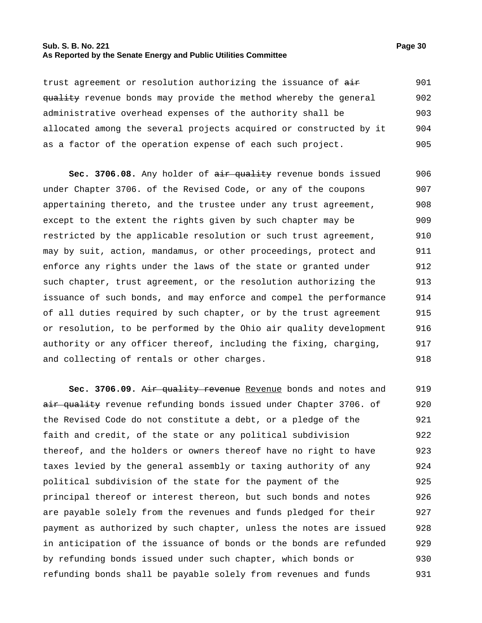# **Sub. S. B. No. 221 Page 30 As Reported by the Senate Energy and Public Utilities Committee**

trust agreement or resolution authorizing the issuance of  $\frac{1}{n+1}$ quality revenue bonds may provide the method whereby the general administrative overhead expenses of the authority shall be allocated among the several projects acquired or constructed by it as a factor of the operation expense of each such project. 901 902 903 904 905

Sec. 3706.08. Any holder of air quality revenue bonds issued under Chapter 3706. of the Revised Code, or any of the coupons appertaining thereto, and the trustee under any trust agreement, except to the extent the rights given by such chapter may be restricted by the applicable resolution or such trust agreement, may by suit, action, mandamus, or other proceedings, protect and enforce any rights under the laws of the state or granted under such chapter, trust agreement, or the resolution authorizing the issuance of such bonds, and may enforce and compel the performance of all duties required by such chapter, or by the trust agreement or resolution, to be performed by the Ohio air quality development authority or any officer thereof, including the fixing, charging, and collecting of rentals or other charges. 906 907 908 909 910 911 912 913 914 915 916 917 918

Sec. 3706.09. Air quality revenue Revenue bonds and notes and air quality revenue refunding bonds issued under Chapter 3706. of the Revised Code do not constitute a debt, or a pledge of the faith and credit, of the state or any political subdivision thereof, and the holders or owners thereof have no right to have taxes levied by the general assembly or taxing authority of any political subdivision of the state for the payment of the principal thereof or interest thereon, but such bonds and notes are payable solely from the revenues and funds pledged for their payment as authorized by such chapter, unless the notes are issued in anticipation of the issuance of bonds or the bonds are refunded by refunding bonds issued under such chapter, which bonds or refunding bonds shall be payable solely from revenues and funds 919 920 921 922 923 924 925 926 927 928 929 930 931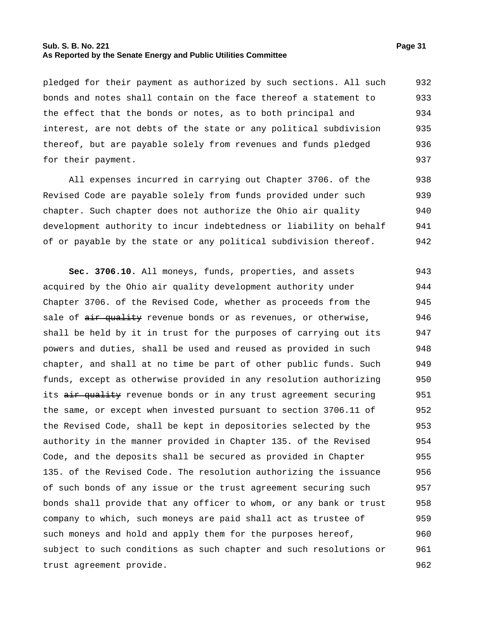# **Sub. S. B. No. 221 Page 31 As Reported by the Senate Energy and Public Utilities Committee**

pledged for their payment as authorized by such sections. All such bonds and notes shall contain on the face thereof a statement to the effect that the bonds or notes, as to both principal and interest, are not debts of the state or any political subdivision thereof, but are payable solely from revenues and funds pledged for their payment. 932 933 934 935 936 937

All expenses incurred in carrying out Chapter 3706. of the Revised Code are payable solely from funds provided under such chapter. Such chapter does not authorize the Ohio air quality development authority to incur indebtedness or liability on behalf of or payable by the state or any political subdivision thereof. 938 939 940 941 942

**Sec. 3706.10.** All moneys, funds, properties, and assets acquired by the Ohio air quality development authority under Chapter 3706. of the Revised Code, whether as proceeds from the sale of air quality revenue bonds or as revenues, or otherwise, shall be held by it in trust for the purposes of carrying out its powers and duties, shall be used and reused as provided in such chapter, and shall at no time be part of other public funds. Such funds, except as otherwise provided in any resolution authorizing its air quality revenue bonds or in any trust agreement securing the same, or except when invested pursuant to section 3706.11 of the Revised Code, shall be kept in depositories selected by the authority in the manner provided in Chapter 135. of the Revised Code, and the deposits shall be secured as provided in Chapter 135. of the Revised Code. The resolution authorizing the issuance of such bonds of any issue or the trust agreement securing such bonds shall provide that any officer to whom, or any bank or trust company to which, such moneys are paid shall act as trustee of such moneys and hold and apply them for the purposes hereof, subject to such conditions as such chapter and such resolutions or trust agreement provide. 943 944 945 946 947 948 949 950 951 952 953 954 955 956 957 958 959 960 961 962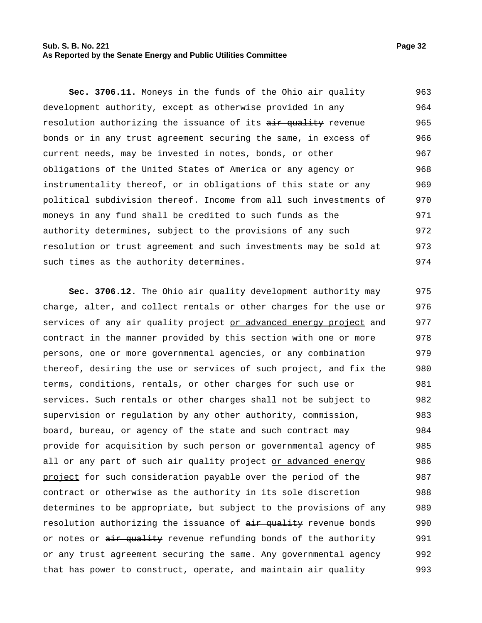#### **Sub. S. B. No. 221 Page 32 As Reported by the Senate Energy and Public Utilities Committee**

**Sec. 3706.11.** Moneys in the funds of the Ohio air quality development authority, except as otherwise provided in any resolution authorizing the issuance of its air quality revenue bonds or in any trust agreement securing the same, in excess of current needs, may be invested in notes, bonds, or other obligations of the United States of America or any agency or instrumentality thereof, or in obligations of this state or any political subdivision thereof. Income from all such investments of moneys in any fund shall be credited to such funds as the authority determines, subject to the provisions of any such resolution or trust agreement and such investments may be sold at 963 964 965 966 967 968 969 970 971 972 973

such times as the authority determines. 974

**Sec. 3706.12.** The Ohio air quality development authority may charge, alter, and collect rentals or other charges for the use or services of any air quality project or advanced energy project and contract in the manner provided by this section with one or more persons, one or more governmental agencies, or any combination thereof, desiring the use or services of such project, and fix the terms, conditions, rentals, or other charges for such use or services. Such rentals or other charges shall not be subject to supervision or regulation by any other authority, commission, board, bureau, or agency of the state and such contract may provide for acquisition by such person or governmental agency of all or any part of such air quality project or advanced energy project for such consideration payable over the period of the contract or otherwise as the authority in its sole discretion determines to be appropriate, but subject to the provisions of any resolution authorizing the issuance of  $\frac{air - quality}{}$  revenue bonds or notes or air quality revenue refunding bonds of the authority or any trust agreement securing the same. Any governmental agency that has power to construct, operate, and maintain air quality 975 976 977 978 979 980 981 982 983 984 985 986 987 988 989 990 991 992 993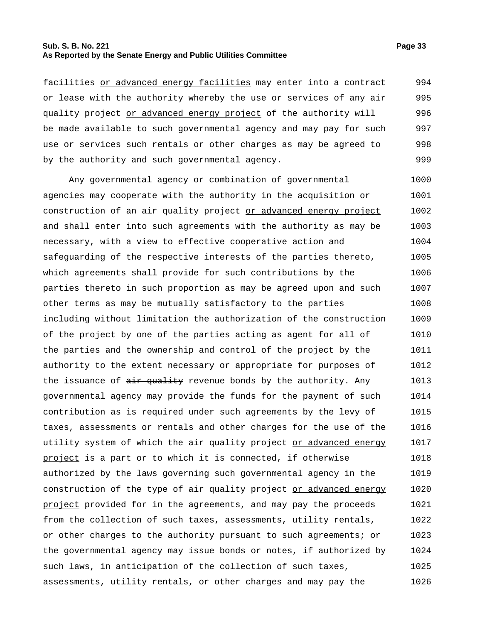# **Sub. S. B. No. 221 Page 33 As Reported by the Senate Energy and Public Utilities Committee**

facilities or advanced energy facilities may enter into a contract or lease with the authority whereby the use or services of any air quality project or advanced energy project of the authority will be made available to such governmental agency and may pay for such use or services such rentals or other charges as may be agreed to by the authority and such governmental agency. 994 995 996 997 998 999

Any governmental agency or combination of governmental agencies may cooperate with the authority in the acquisition or construction of an air quality project or advanced energy project and shall enter into such agreements with the authority as may be necessary, with a view to effective cooperative action and safeguarding of the respective interests of the parties thereto, which agreements shall provide for such contributions by the parties thereto in such proportion as may be agreed upon and such other terms as may be mutually satisfactory to the parties including without limitation the authorization of the construction of the project by one of the parties acting as agent for all of the parties and the ownership and control of the project by the authority to the extent necessary or appropriate for purposes of the issuance of air quality revenue bonds by the authority. Any governmental agency may provide the funds for the payment of such contribution as is required under such agreements by the levy of taxes, assessments or rentals and other charges for the use of the utility system of which the air quality project or advanced energy project is a part or to which it is connected, if otherwise authorized by the laws governing such governmental agency in the construction of the type of air quality project or advanced energy project provided for in the agreements, and may pay the proceeds from the collection of such taxes, assessments, utility rentals, or other charges to the authority pursuant to such agreements; or the governmental agency may issue bonds or notes, if authorized by such laws, in anticipation of the collection of such taxes, assessments, utility rentals, or other charges and may pay the 1000 1001 1002 1003 1004 1005 1006 1007 1008 1009 1010 1011 1012 1013 1014 1015 1016 1017 1018 1019 1020 1021 1022 1023 1024 1025 1026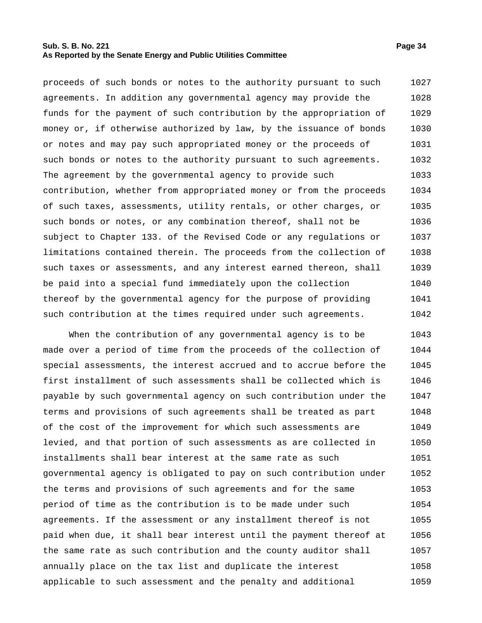# **Sub. S. B. No. 221 Page 34 As Reported by the Senate Energy and Public Utilities Committee**

proceeds of such bonds or notes to the authority pursuant to such agreements. In addition any governmental agency may provide the funds for the payment of such contribution by the appropriation of money or, if otherwise authorized by law, by the issuance of bonds or notes and may pay such appropriated money or the proceeds of such bonds or notes to the authority pursuant to such agreements. The agreement by the governmental agency to provide such contribution, whether from appropriated money or from the proceeds of such taxes, assessments, utility rentals, or other charges, or such bonds or notes, or any combination thereof, shall not be subject to Chapter 133. of the Revised Code or any regulations or limitations contained therein. The proceeds from the collection of such taxes or assessments, and any interest earned thereon, shall be paid into a special fund immediately upon the collection thereof by the governmental agency for the purpose of providing such contribution at the times required under such agreements. 1027 1028 1029 1030 1031 1032 1033 1034 1035 1036 1037 1038 1039 1040 1041 1042

When the contribution of any governmental agency is to be made over a period of time from the proceeds of the collection of special assessments, the interest accrued and to accrue before the first installment of such assessments shall be collected which is payable by such governmental agency on such contribution under the terms and provisions of such agreements shall be treated as part of the cost of the improvement for which such assessments are levied, and that portion of such assessments as are collected in installments shall bear interest at the same rate as such governmental agency is obligated to pay on such contribution under the terms and provisions of such agreements and for the same period of time as the contribution is to be made under such agreements. If the assessment or any installment thereof is not paid when due, it shall bear interest until the payment thereof at the same rate as such contribution and the county auditor shall annually place on the tax list and duplicate the interest applicable to such assessment and the penalty and additional 1043 1044 1045 1046 1047 1048 1049 1050 1051 1052 1053 1054 1055 1056 1057 1058 1059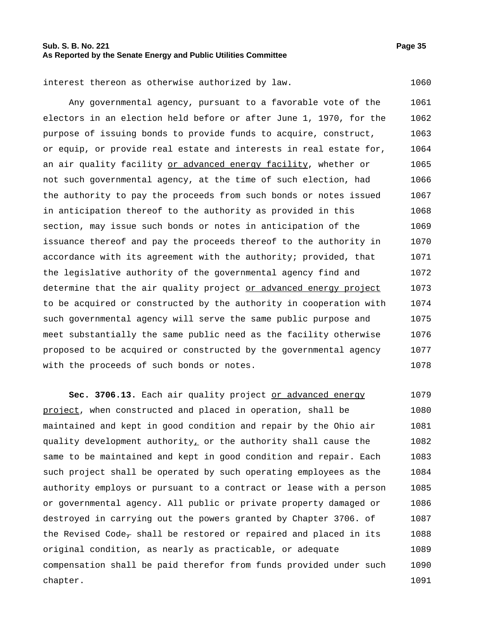Any governmental agency, pursuant to a favorable vote of the electors in an election held before or after June 1, 1970, for the purpose of issuing bonds to provide funds to acquire, construct, or equip, or provide real estate and interests in real estate for, an air quality facility or advanced energy facility, whether or not such governmental agency, at the time of such election, had the authority to pay the proceeds from such bonds or notes issued in anticipation thereof to the authority as provided in this section, may issue such bonds or notes in anticipation of the issuance thereof and pay the proceeds thereof to the authority in accordance with its agreement with the authority; provided, that the legislative authority of the governmental agency find and determine that the air quality project or advanced energy project to be acquired or constructed by the authority in cooperation with such governmental agency will serve the same public purpose and meet substantially the same public need as the facility otherwise proposed to be acquired or constructed by the governmental agency with the proceeds of such bonds or notes. 1061 1062 1063 1064 1065 1066 1067 1068 1069 1070 1071 1072 1073 1074 1075 1076 1077 1078

**Sec. 3706.13.** Each air quality project or advanced energy project, when constructed and placed in operation, shall be maintained and kept in good condition and repair by the Ohio air quality development authority<sub> $L$ </sub> or the authority shall cause the same to be maintained and kept in good condition and repair. Each such project shall be operated by such operating employees as the authority employs or pursuant to a contract or lease with a person or governmental agency. All public or private property damaged or destroyed in carrying out the powers granted by Chapter 3706. of the Revised Code<sub> $\tau$ </sub> shall be restored or repaired and placed in its original condition, as nearly as practicable, or adequate compensation shall be paid therefor from funds provided under such chapter. 1079 1080 1081 1082 1083 1084 1085 1086 1087 1088 1089 1090 1091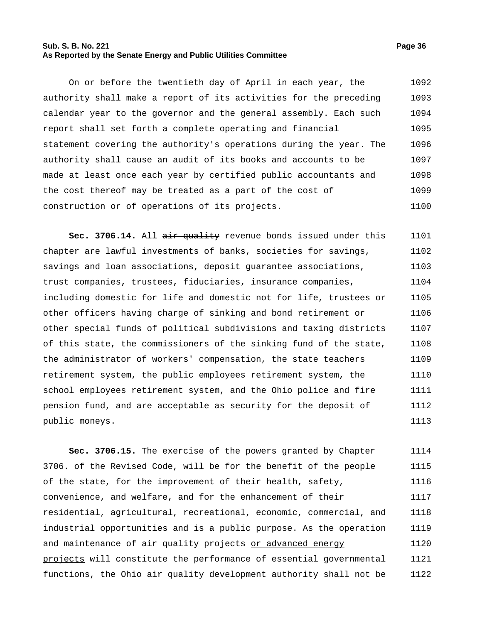# **Sub. S. B. No. 221 Page 36 As Reported by the Senate Energy and Public Utilities Committee**

On or before the twentieth day of April in each year, the authority shall make a report of its activities for the preceding calendar year to the governor and the general assembly. Each such report shall set forth a complete operating and financial statement covering the authority's operations during the year. The authority shall cause an audit of its books and accounts to be made at least once each year by certified public accountants and the cost thereof may be treated as a part of the cost of construction or of operations of its projects. 1092 1093 1094 1095 1096 1097 1098 1099 1100

Sec. 3706.14. All air quality revenue bonds issued under this chapter are lawful investments of banks, societies for savings, savings and loan associations, deposit guarantee associations, trust companies, trustees, fiduciaries, insurance companies, including domestic for life and domestic not for life, trustees or other officers having charge of sinking and bond retirement or other special funds of political subdivisions and taxing districts of this state, the commissioners of the sinking fund of the state, the administrator of workers' compensation, the state teachers retirement system, the public employees retirement system, the school employees retirement system, and the Ohio police and fire pension fund, and are acceptable as security for the deposit of public moneys. 1101 1102 1103 1104 1105 1106 1107 1108 1109 1110 1111 1112 1113

**Sec. 3706.15.** The exercise of the powers granted by Chapter 3706. of the Revised Code, will be for the benefit of the people of the state, for the improvement of their health, safety, convenience, and welfare, and for the enhancement of their residential, agricultural, recreational, economic, commercial, and industrial opportunities and is a public purpose. As the operation and maintenance of air quality projects or advanced energy projects will constitute the performance of essential governmental functions, the Ohio air quality development authority shall not be 1114 1115 1116 1117 1118 1119 1120 1121 1122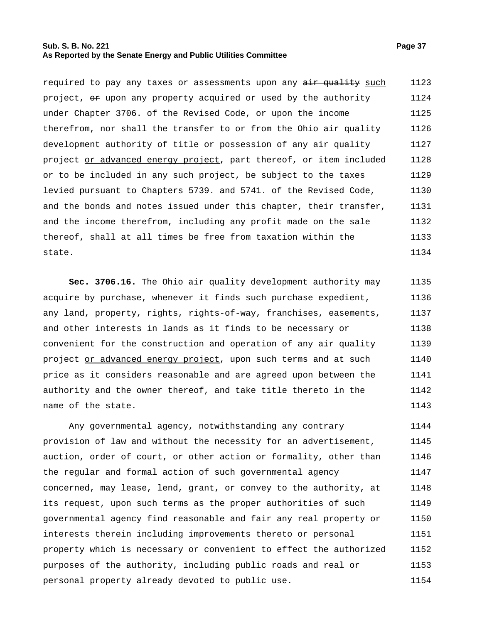## **Sub. S. B. No. 221 Page 37 As Reported by the Senate Energy and Public Utilities Committee**

required to pay any taxes or assessments upon any air quality such project,  $\Theta$  upon any property acquired or used by the authority under Chapter 3706. of the Revised Code, or upon the income therefrom, nor shall the transfer to or from the Ohio air quality development authority of title or possession of any air quality project or advanced energy project, part thereof, or item included or to be included in any such project, be subject to the taxes levied pursuant to Chapters 5739. and 5741. of the Revised Code, and the bonds and notes issued under this chapter, their transfer, and the income therefrom, including any profit made on the sale thereof, shall at all times be free from taxation within the state. 1123 1124 1125 1126 1127 1128 1129 1130 1131 1132 1133 1134

**Sec. 3706.16.** The Ohio air quality development authority may acquire by purchase, whenever it finds such purchase expedient, any land, property, rights, rights-of-way, franchises, easements, and other interests in lands as it finds to be necessary or convenient for the construction and operation of any air quality project or advanced energy project, upon such terms and at such price as it considers reasonable and are agreed upon between the authority and the owner thereof, and take title thereto in the name of the state. 1135 1136 1137 1138 1139 1140 1141 1142 1143

Any governmental agency, notwithstanding any contrary provision of law and without the necessity for an advertisement, auction, order of court, or other action or formality, other than the regular and formal action of such governmental agency concerned, may lease, lend, grant, or convey to the authority, at its request, upon such terms as the proper authorities of such governmental agency find reasonable and fair any real property or interests therein including improvements thereto or personal property which is necessary or convenient to effect the authorized purposes of the authority, including public roads and real or personal property already devoted to public use. 1144 1145 1146 1147 1148 1149 1150 1151 1152 1153 1154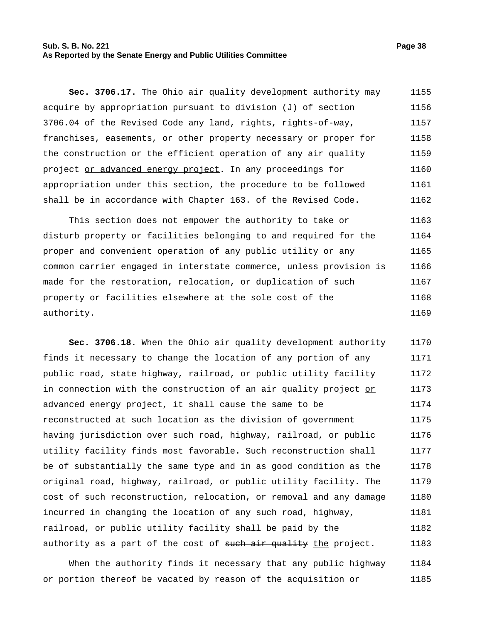## **Sub. S. B. No. 221 Page 38 As Reported by the Senate Energy and Public Utilities Committee**

**Sec. 3706.17.** The Ohio air quality development authority may acquire by appropriation pursuant to division (J) of section 3706.04 of the Revised Code any land, rights, rights-of-way, franchises, easements, or other property necessary or proper for the construction or the efficient operation of any air quality project or advanced energy project. In any proceedings for appropriation under this section, the procedure to be followed shall be in accordance with Chapter 163. of the Revised Code. 1155 1156 1157 1158 1159 1160 1161 1162

This section does not empower the authority to take or disturb property or facilities belonging to and required for the proper and convenient operation of any public utility or any common carrier engaged in interstate commerce, unless provision is made for the restoration, relocation, or duplication of such property or facilities elsewhere at the sole cost of the authority. 1163 1164 1165 1166 1167 1168 1169

**Sec. 3706.18.** When the Ohio air quality development authority finds it necessary to change the location of any portion of any public road, state highway, railroad, or public utility facility in connection with the construction of an air quality project or advanced energy project, it shall cause the same to be reconstructed at such location as the division of government having jurisdiction over such road, highway, railroad, or public utility facility finds most favorable. Such reconstruction shall be of substantially the same type and in as good condition as the original road, highway, railroad, or public utility facility. The cost of such reconstruction, relocation, or removal and any damage incurred in changing the location of any such road, highway, railroad, or public utility facility shall be paid by the authority as a part of the cost of such air quality the project. 1170 1171 1172 1173 1174 1175 1176 1177 1178 1179 1180 1181 1182 1183

When the authority finds it necessary that any public highway or portion thereof be vacated by reason of the acquisition or 1184 1185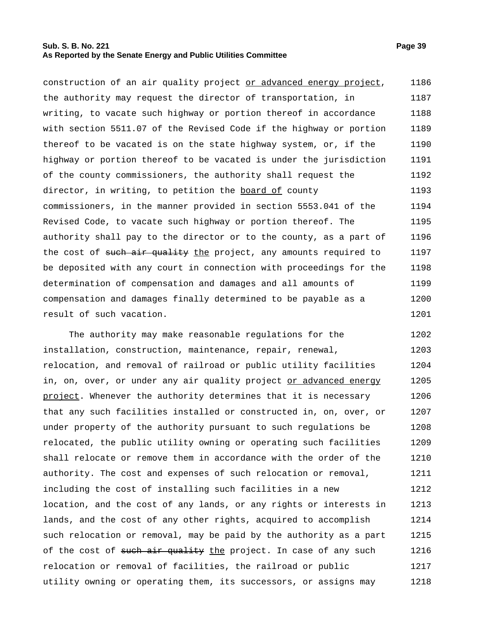## **Sub. S. B. No. 221 Page 39 As Reported by the Senate Energy and Public Utilities Committee**

construction of an air quality project or advanced energy project, the authority may request the director of transportation, in writing, to vacate such highway or portion thereof in accordance with section 5511.07 of the Revised Code if the highway or portion thereof to be vacated is on the state highway system, or, if the highway or portion thereof to be vacated is under the jurisdiction of the county commissioners, the authority shall request the director, in writing, to petition the board of county commissioners, in the manner provided in section 5553.041 of the Revised Code, to vacate such highway or portion thereof. The authority shall pay to the director or to the county, as a part of the cost of such air quality the project, any amounts required to be deposited with any court in connection with proceedings for the determination of compensation and damages and all amounts of compensation and damages finally determined to be payable as a result of such vacation. 1186 1187 1188 1189 1190 1191 1192 1193 1194 1195 1196 1197 1198 1199 1200 1201

The authority may make reasonable regulations for the installation, construction, maintenance, repair, renewal, relocation, and removal of railroad or public utility facilities in, on, over, or under any air quality project or advanced energy project. Whenever the authority determines that it is necessary that any such facilities installed or constructed in, on, over, or under property of the authority pursuant to such regulations be relocated, the public utility owning or operating such facilities shall relocate or remove them in accordance with the order of the authority. The cost and expenses of such relocation or removal, including the cost of installing such facilities in a new location, and the cost of any lands, or any rights or interests in lands, and the cost of any other rights, acquired to accomplish such relocation or removal, may be paid by the authority as a part of the cost of such air quality the project. In case of any such relocation or removal of facilities, the railroad or public utility owning or operating them, its successors, or assigns may 1202 1203 1204 1205 1206 1207 1208 1209 1210 1211 1212 1213 1214 1215 1216 1217 1218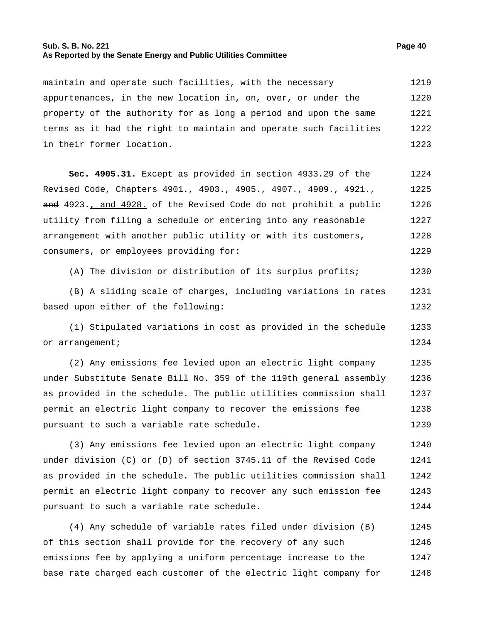## **Sub. S. B. No. 221 Page 40 As Reported by the Senate Energy and Public Utilities Committee**

maintain and operate such facilities, with the necessary appurtenances, in the new location in, on, over, or under the property of the authority for as long a period and upon the same terms as it had the right to maintain and operate such facilities 1219 1220 1221 1222

**Sec. 4905.31.** Except as provided in section 4933.29 of the

in their former location.

Revised Code, Chapters 4901., 4903., 4905., 4907., 4909., 4921., and 4923., and 4928. of the Revised Code do not prohibit a public utility from filing a schedule or entering into any reasonable arrangement with another public utility or with its customers, consumers, or employees providing for: 1225 1226 1227 1228 1229

(A) The division or distribution of its surplus profits; 1230

(B) A sliding scale of charges, including variations in rates based upon either of the following: 1231 1232

(1) Stipulated variations in cost as provided in the schedule or arrangement; 1233 1234

(2) Any emissions fee levied upon an electric light company under Substitute Senate Bill No. 359 of the 119th general assembly as provided in the schedule. The public utilities commission shall permit an electric light company to recover the emissions fee pursuant to such a variable rate schedule. 1235 1236 1237 1238 1239

(3) Any emissions fee levied upon an electric light company under division (C) or (D) of section 3745.11 of the Revised Code as provided in the schedule. The public utilities commission shall permit an electric light company to recover any such emission fee pursuant to such a variable rate schedule. 1240 1241 1242 1243 1244

(4) Any schedule of variable rates filed under division (B) of this section shall provide for the recovery of any such emissions fee by applying a uniform percentage increase to the base rate charged each customer of the electric light company for 1245 1246 1247 1248

1223

1224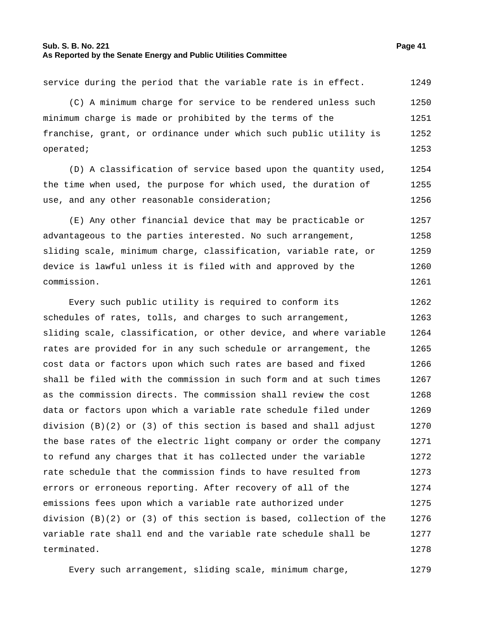## **Sub. S. B. No. 221 Page 41 As Reported by the Senate Energy and Public Utilities Committee**

service during the period that the variable rate is in effect. 1249

(C) A minimum charge for service to be rendered unless such minimum charge is made or prohibited by the terms of the franchise, grant, or ordinance under which such public utility is operated; 1250 1251 1252 1253

(D) A classification of service based upon the quantity used, the time when used, the purpose for which used, the duration of use, and any other reasonable consideration; 1254 1255 1256

(E) Any other financial device that may be practicable or advantageous to the parties interested. No such arrangement, sliding scale, minimum charge, classification, variable rate, or device is lawful unless it is filed with and approved by the commission. 1257 1258 1259 1260 1261

Every such public utility is required to conform its schedules of rates, tolls, and charges to such arrangement, sliding scale, classification, or other device, and where variable rates are provided for in any such schedule or arrangement, the cost data or factors upon which such rates are based and fixed shall be filed with the commission in such form and at such times as the commission directs. The commission shall review the cost data or factors upon which a variable rate schedule filed under division  $(B)(2)$  or  $(3)$  of this section is based and shall adjust the base rates of the electric light company or order the company to refund any charges that it has collected under the variable rate schedule that the commission finds to have resulted from errors or erroneous reporting. After recovery of all of the emissions fees upon which a variable rate authorized under division (B)(2) or (3) of this section is based, collection of the variable rate shall end and the variable rate schedule shall be terminated. 1262 1263 1264 1265 1266 1267 1268 1269 1270 1271 1272 1273 1274 1275 1276 1277 1278

Every such arrangement, sliding scale, minimum charge, 1279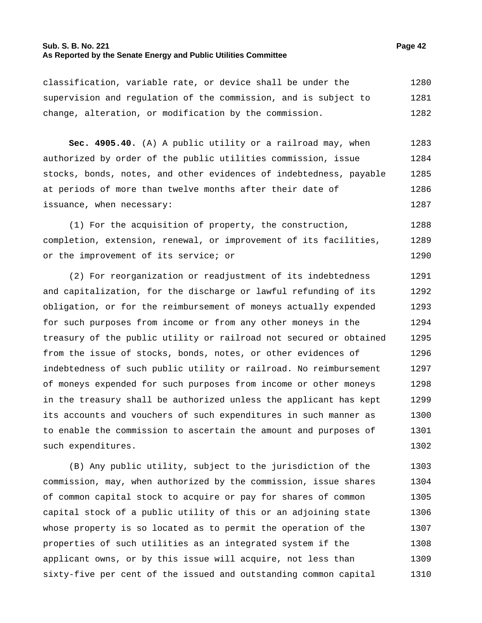## **Sub. S. B. No. 221 Page 42 As Reported by the Senate Energy and Public Utilities Committee**

classification, variable rate, or device shall be under the supervision and regulation of the commission, and is subject to change, alteration, or modification by the commission. 1280 1281 1282

**Sec. 4905.40.** (A) A public utility or a railroad may, when authorized by order of the public utilities commission, issue stocks, bonds, notes, and other evidences of indebtedness, payable at periods of more than twelve months after their date of issuance, when necessary: 1283 1284 1285 1286 1287

(1) For the acquisition of property, the construction, completion, extension, renewal, or improvement of its facilities, or the improvement of its service; or 1288 1289 1290

(2) For reorganization or readjustment of its indebtedness and capitalization, for the discharge or lawful refunding of its obligation, or for the reimbursement of moneys actually expended for such purposes from income or from any other moneys in the treasury of the public utility or railroad not secured or obtained from the issue of stocks, bonds, notes, or other evidences of indebtedness of such public utility or railroad. No reimbursement of moneys expended for such purposes from income or other moneys in the treasury shall be authorized unless the applicant has kept its accounts and vouchers of such expenditures in such manner as to enable the commission to ascertain the amount and purposes of such expenditures. 1291 1292 1293 1294 1295 1296 1297 1298 1299 1300 1301 1302

(B) Any public utility, subject to the jurisdiction of the commission, may, when authorized by the commission, issue shares of common capital stock to acquire or pay for shares of common capital stock of a public utility of this or an adjoining state whose property is so located as to permit the operation of the properties of such utilities as an integrated system if the applicant owns, or by this issue will acquire, not less than sixty-five per cent of the issued and outstanding common capital 1303 1304 1305 1306 1307 1308 1309 1310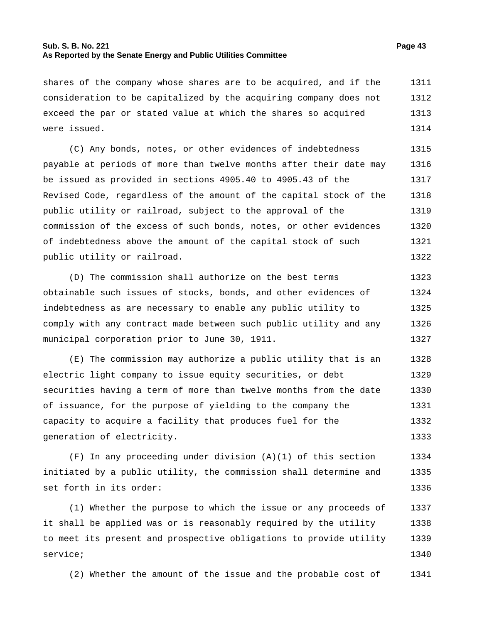## **Sub. S. B. No. 221 Page 43 As Reported by the Senate Energy and Public Utilities Committee**

shares of the company whose shares are to be acquired, and if the consideration to be capitalized by the acquiring company does not 1311 1312

exceed the par or stated value at which the shares so acquired were issued. 1313 1314

(C) Any bonds, notes, or other evidences of indebtedness payable at periods of more than twelve months after their date may be issued as provided in sections 4905.40 to 4905.43 of the Revised Code, regardless of the amount of the capital stock of the public utility or railroad, subject to the approval of the commission of the excess of such bonds, notes, or other evidences of indebtedness above the amount of the capital stock of such public utility or railroad. 1315 1316 1317 1318 1319 1320 1321 1322

(D) The commission shall authorize on the best terms obtainable such issues of stocks, bonds, and other evidences of indebtedness as are necessary to enable any public utility to comply with any contract made between such public utility and any municipal corporation prior to June 30, 1911. 1323 1324 1325 1326 1327

(E) The commission may authorize a public utility that is an electric light company to issue equity securities, or debt securities having a term of more than twelve months from the date of issuance, for the purpose of yielding to the company the capacity to acquire a facility that produces fuel for the generation of electricity. 1328 1329 1330 1331 1332 1333

 $(F)$  In any proceeding under division  $(A)(1)$  of this section initiated by a public utility, the commission shall determine and set forth in its order: 1334 1335 1336

(1) Whether the purpose to which the issue or any proceeds of it shall be applied was or is reasonably required by the utility to meet its present and prospective obligations to provide utility service; 1337 1338 1339 1340

(2) Whether the amount of the issue and the probable cost of 1341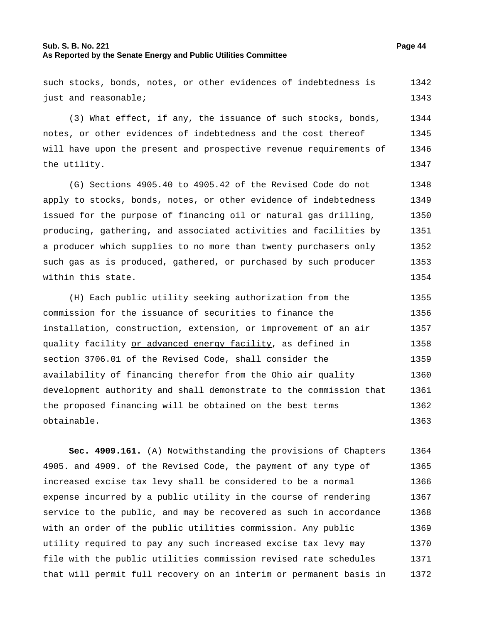## **Sub. S. B. No. 221 Page 44 As Reported by the Senate Energy and Public Utilities Committee**

such stocks, bonds, notes, or other evidences of indebtedness is just and reasonable; 1342 1343

(3) What effect, if any, the issuance of such stocks, bonds, notes, or other evidences of indebtedness and the cost thereof will have upon the present and prospective revenue requirements of the utility. 1344 1345 1346 1347

(G) Sections 4905.40 to 4905.42 of the Revised Code do not apply to stocks, bonds, notes, or other evidence of indebtedness issued for the purpose of financing oil or natural gas drilling, producing, gathering, and associated activities and facilities by a producer which supplies to no more than twenty purchasers only such gas as is produced, gathered, or purchased by such producer within this state. 1348 1349 1350 1351 1352 1353 1354

(H) Each public utility seeking authorization from the commission for the issuance of securities to finance the installation, construction, extension, or improvement of an air quality facility or advanced energy facility, as defined in section 3706.01 of the Revised Code, shall consider the availability of financing therefor from the Ohio air quality development authority and shall demonstrate to the commission that the proposed financing will be obtained on the best terms obtainable. 1355 1356 1357 1358 1359 1360 1361 1362 1363

**Sec. 4909.161.** (A) Notwithstanding the provisions of Chapters 4905. and 4909. of the Revised Code, the payment of any type of increased excise tax levy shall be considered to be a normal expense incurred by a public utility in the course of rendering service to the public, and may be recovered as such in accordance with an order of the public utilities commission. Any public utility required to pay any such increased excise tax levy may file with the public utilities commission revised rate schedules that will permit full recovery on an interim or permanent basis in 1364 1365 1366 1367 1368 1369 1370 1371 1372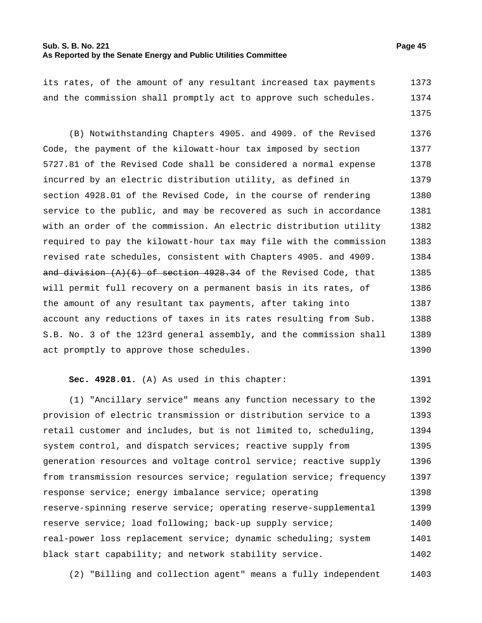## **Sub. S. B. No. 221 Page 45 As Reported by the Senate Energy and Public Utilities Committee**

1375

its rates, of the amount of any resultant increased tax payments and the commission shall promptly act to approve such schedules. 1373 1374

(B) Notwithstanding Chapters 4905. and 4909. of the Revised Code, the payment of the kilowatt-hour tax imposed by section 5727.81 of the Revised Code shall be considered a normal expense incurred by an electric distribution utility, as defined in section 4928.01 of the Revised Code, in the course of rendering service to the public, and may be recovered as such in accordance with an order of the commission. An electric distribution utility required to pay the kilowatt-hour tax may file with the commission revised rate schedules, consistent with Chapters 4905. and 4909. and division  $(A)(6)$  of section 4928.34 of the Revised Code, that will permit full recovery on a permanent basis in its rates, of the amount of any resultant tax payments, after taking into account any reductions of taxes in its rates resulting from Sub. S.B. No. 3 of the 123rd general assembly, and the commission shall act promptly to approve those schedules. 1376 1377 1378 1379 1380 1381 1382 1383 1384 1385 1386 1387 1388 1389 1390

### **Sec. 4928.01.** (A) As used in this chapter: 1391

(1) "Ancillary service" means any function necessary to the provision of electric transmission or distribution service to a retail customer and includes, but is not limited to, scheduling, system control, and dispatch services; reactive supply from generation resources and voltage control service; reactive supply from transmission resources service; regulation service; frequency response service; energy imbalance service; operating reserve-spinning reserve service; operating reserve-supplemental reserve service; load following; back-up supply service; real-power loss replacement service; dynamic scheduling; system black start capability; and network stability service. 1392 1393 1394 1395 1396 1397 1398 1399 1400 1401 1402

(2) "Billing and collection agent" means a fully independent 1403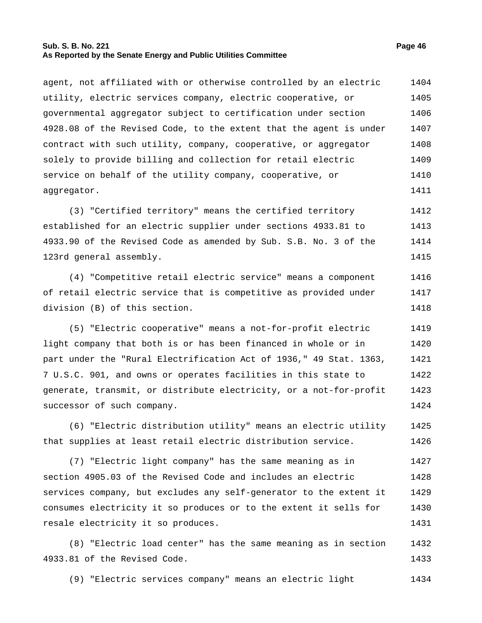#### **Sub. S. B. No. 221 Page 46 As Reported by the Senate Energy and Public Utilities Committee**

agent, not affiliated with or otherwise controlled by an electric utility, electric services company, electric cooperative, or governmental aggregator subject to certification under section 4928.08 of the Revised Code, to the extent that the agent is under contract with such utility, company, cooperative, or aggregator solely to provide billing and collection for retail electric service on behalf of the utility company, cooperative, or aggregator. 1404 1405 1406 1407 1408 1409 1410 1411

(3) "Certified territory" means the certified territory established for an electric supplier under sections 4933.81 to 4933.90 of the Revised Code as amended by Sub. S.B. No. 3 of the 123rd general assembly. 1412 1413 1414 1415

(4) "Competitive retail electric service" means a component of retail electric service that is competitive as provided under division (B) of this section. 1416 1417 1418

(5) "Electric cooperative" means a not-for-profit electric light company that both is or has been financed in whole or in part under the "Rural Electrification Act of 1936," 49 Stat. 1363, 7 U.S.C. 901, and owns or operates facilities in this state to generate, transmit, or distribute electricity, or a not-for-profit successor of such company. 1419 1420 1421 1422 1423 1424

(6) "Electric distribution utility" means an electric utility that supplies at least retail electric distribution service. 1425 1426

(7) "Electric light company" has the same meaning as in section 4905.03 of the Revised Code and includes an electric services company, but excludes any self-generator to the extent it consumes electricity it so produces or to the extent it sells for resale electricity it so produces. 1427 1428 1429 1430 1431

(8) "Electric load center" has the same meaning as in section 4933.81 of the Revised Code. 1432 1433

(9) "Electric services company" means an electric light 1434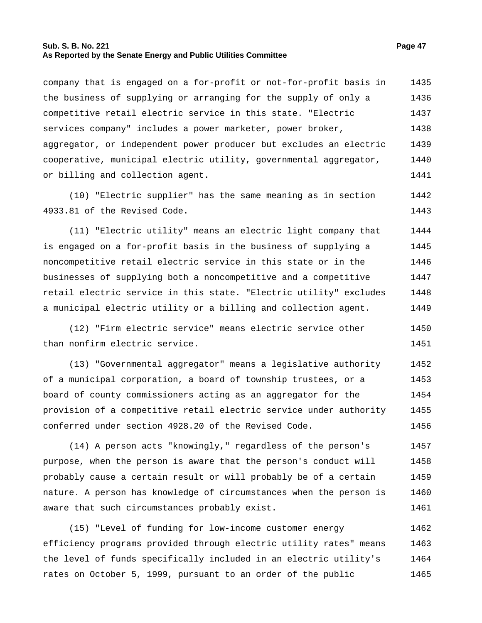## **Sub. S. B. No. 221 Page 47 As Reported by the Senate Energy and Public Utilities Committee**

company that is engaged on a for-profit or not-for-profit basis in the business of supplying or arranging for the supply of only a competitive retail electric service in this state. "Electric services company" includes a power marketer, power broker, aggregator, or independent power producer but excludes an electric cooperative, municipal electric utility, governmental aggregator, or billing and collection agent. 1435 1436 1437 1438 1439 1440 1441

(10) "Electric supplier" has the same meaning as in section 4933.81 of the Revised Code. 1442 1443

(11) "Electric utility" means an electric light company that is engaged on a for-profit basis in the business of supplying a noncompetitive retail electric service in this state or in the businesses of supplying both a noncompetitive and a competitive retail electric service in this state. "Electric utility" excludes a municipal electric utility or a billing and collection agent. 1444 1445 1446 1447 1448 1449

(12) "Firm electric service" means electric service other than nonfirm electric service. 1450 1451

(13) "Governmental aggregator" means a legislative authority of a municipal corporation, a board of township trustees, or a board of county commissioners acting as an aggregator for the provision of a competitive retail electric service under authority conferred under section 4928.20 of the Revised Code. 1452 1453 1454 1455 1456

(14) A person acts "knowingly," regardless of the person's purpose, when the person is aware that the person's conduct will probably cause a certain result or will probably be of a certain nature. A person has knowledge of circumstances when the person is aware that such circumstances probably exist. 1457 1458 1459 1460 1461

(15) "Level of funding for low-income customer energy efficiency programs provided through electric utility rates" means the level of funds specifically included in an electric utility's rates on October 5, 1999, pursuant to an order of the public 1462 1463 1464 1465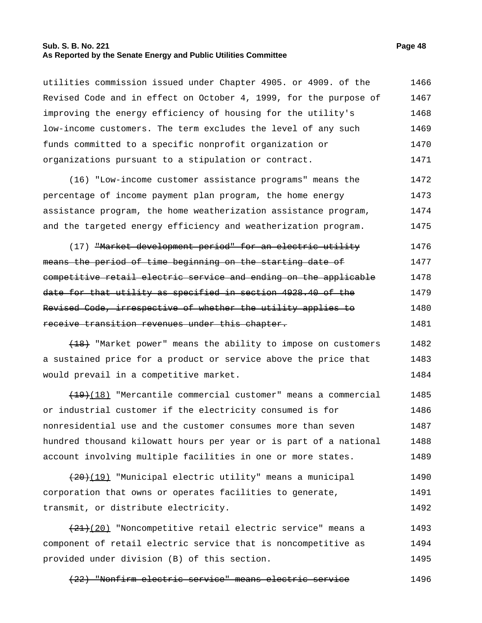## **Sub. S. B. No. 221 Page 48 As Reported by the Senate Energy and Public Utilities Committee**

utilities commission issued under Chapter 4905. or 4909. of the Revised Code and in effect on October 4, 1999, for the purpose of improving the energy efficiency of housing for the utility's low-income customers. The term excludes the level of any such funds committed to a specific nonprofit organization or organizations pursuant to a stipulation or contract. 1466 1467 1468 1469 1470 1471

(16) "Low-income customer assistance programs" means the percentage of income payment plan program, the home energy assistance program, the home weatherization assistance program, and the targeted energy efficiency and weatherization program. 1472 1473 1474 1475

(17) <del>"Market development period" for an electric utility</del> means the period of time beginning on the starting date of competitive retail electric service and ending on the applicable date for that utility as specified in section 4928.40 of the Revised Code, irrespective of whether the utility applies to receive transition revenues under this chapter. 1476 1477 1478 1479 1480 1481

(18) "Market power" means the ability to impose on customers a sustained price for a product or service above the price that would prevail in a competitive market. 1482 1483 1484

 $(19)(18)$  "Mercantile commercial customer" means a commercial or industrial customer if the electricity consumed is for nonresidential use and the customer consumes more than seven hundred thousand kilowatt hours per year or is part of a national account involving multiple facilities in one or more states. 1485 1486 1487 1488 1489

(20)(19) "Municipal electric utility" means a municipal corporation that owns or operates facilities to generate, transmit, or distribute electricity. 1490 1491 1492

(21)(20) "Noncompetitive retail electric service" means a component of retail electric service that is noncompetitive as provided under division (B) of this section. 1493 1494 1495

(22) "Nonfirm electric service" means electric service 1496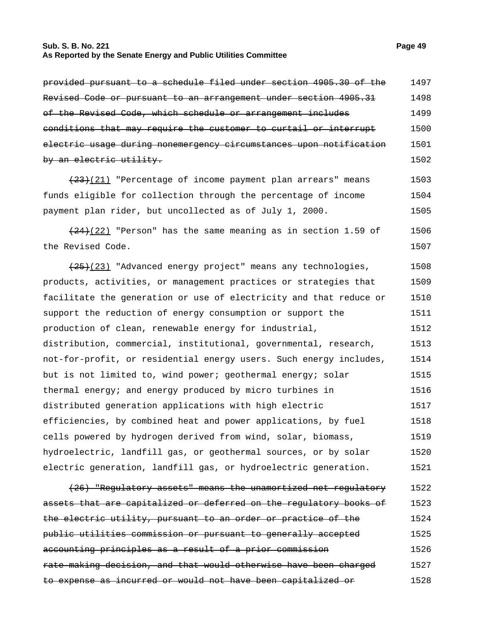## **Sub. S. B. No. 221 Page 49 As Reported by the Senate Energy and Public Utilities Committee**

| Revised Code or pursuant to an arrangement under section 4905.31          | 1498 |
|---------------------------------------------------------------------------|------|
| of the Revised Code, which schedule or arrangement includes               | 1499 |
| conditions that may require the customer to curtail or interrupt          | 1500 |
| <u>electric usage during nonemergency circumstances upon notification</u> | 1501 |
| by an electric utility.                                                   | 1502 |
| $(23)(21)$ "Percentage of income payment plan arrears" means              | 1503 |
| funds eligible for collection through the percentage of income            | 1504 |
| payment plan rider, but uncollected as of July 1, 2000.                   | 1505 |
| $(24)$ (22) "Person" has the same meaning as in section 1.59 of           | 1506 |
| the Revised Code.                                                         | 1507 |
| (25) [23] "Advanced energy project" means any technologies,               | 1508 |
| products, activities, or management practices or strategies that          | 1509 |
| facilitate the generation or use of electricity and that reduce or        | 1510 |
| support the reduction of energy consumption or support the                | 1511 |
| production of clean, renewable energy for industrial,                     | 1512 |
| distribution, commercial, institutional, governmental, research,          | 1513 |
| not-for-profit, or residential energy users. Such energy includes,        | 1514 |
| but is not limited to, wind power; geothermal energy; solar               | 1515 |
| thermal energy; and energy produced by micro turbines in                  | 1516 |
| distributed generation applications with high electric                    | 1517 |
| efficiencies, by combined heat and power applications, by fuel            | 1518 |
| cells powered by hydrogen derived from wind, solar, biomass,              | 1519 |
| hydroelectric, landfill gas, or geothermal sources, or by solar           | 1520 |
| electric generation, landfill gas, or hydroelectric generation.           | 1521 |
| (26) "Regulatory assets" means the unamortized net regulatory             | 1522 |
| assets that are capitalized or deferred on the regulatory books of        | 1523 |
| the electric utility, pursuant to an order or practice of the             | 1524 |

public utilities commission or pursuant to generally accepted accounting principles as a result of a prior commission rate-making decision, and that would otherwise have been charged to expense as incurred or would not have been capitalized or 1524 1525 1526 1527 1528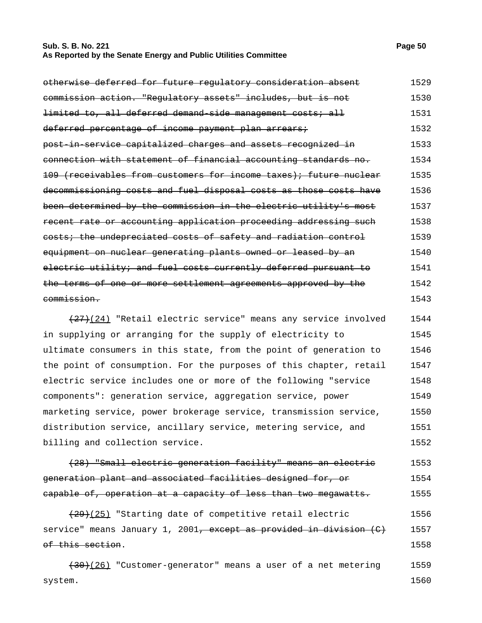## **Sub. S. B. No. 221 Page 50 As Reported by the Senate Energy and Public Utilities Committee**

| otherwise deferred for future regulatory consideration absent                                | 1529 |
|----------------------------------------------------------------------------------------------|------|
| commission action. "Regulatory assets" includes, but is not                                  | 1530 |
| limited to, all deferred demand side management costs; all                                   | 1531 |
| deferred percentage of income payment plan arrears;                                          | 1532 |
| post in service capitalized charges and assets recognized in                                 | 1533 |
| connection with statement of financial accounting standards no.                              | 1534 |
| (receivables from customers for income taxes); future nuclear<br>$+0.9 -$                    | 1535 |
| decommissioning costs and fuel disposal costs as those costs have                            | 1536 |
| been determined by the commission in the electric utility's most                             | 1537 |
| recent rate or accounting application proceeding addressing such                             | 1538 |
| costs; the undepreciated costs of safety and radiation control                               | 1539 |
| equipment on nuclear generating plants owned or leased by an                                 | 1540 |
| electric utility; and fuel costs currently deferred pursuant                                 | 1541 |
| one or more settlement agreements approved by the<br>− <del>o£</del><br><del>the terms</del> | 1542 |
| <del>commission.</del>                                                                       | 1543 |

 $(27)(24)$  "Retail electric service" means any service involved in supplying or arranging for the supply of electricity to ultimate consumers in this state, from the point of generation to the point of consumption. For the purposes of this chapter, retail electric service includes one or more of the following "service components": generation service, aggregation service, power marketing service, power brokerage service, transmission service, distribution service, ancillary service, metering service, and billing and collection service. 1544 1545 1546 1547 1548 1549 1550 1551 1552

(28) "Small electric generation facility" means an electric generation plant and associated facilities designed for, or capable of, operation at a capacity of less than two megawatts. 1553 1554 1555

 $(29)(25)$  "Starting date of competitive retail electric service" means January 1, 2001<del>, except as provided in division (C)</del> of this section. 1556 1557 1558

 $(30)(26)$  "Customer-generator" means a user of a net metering system. 1559 1560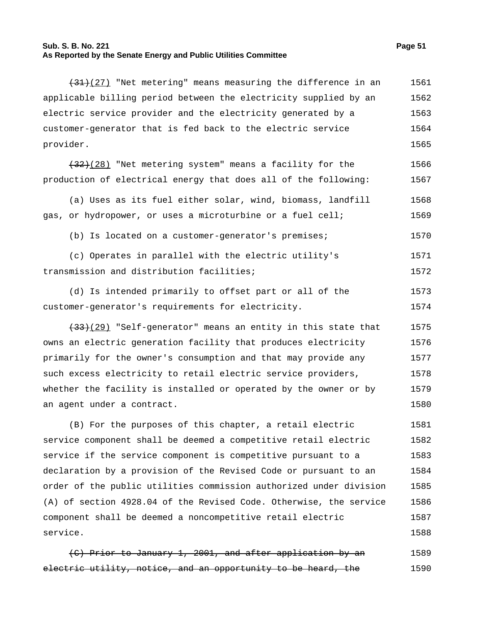## **Sub. S. B. No. 221 Page 51 As Reported by the Senate Energy and Public Utilities Committee**

1588

| $(31)$ (27) "Net metering" means measuring the difference in an    | 1561 |
|--------------------------------------------------------------------|------|
| applicable billing period between the electricity supplied by an   | 1562 |
| electric service provider and the electricity generated by a       | 1563 |
| customer-generator that is fed back to the electric service        | 1564 |
| provider.                                                          | 1565 |
| $(32)$ (28) "Net metering system" means a facility for the         | 1566 |
| production of electrical energy that does all of the following:    | 1567 |
| (a) Uses as its fuel either solar, wind, biomass, landfill         | 1568 |
| gas, or hydropower, or uses a microturbine or a fuel cell;         | 1569 |
| (b) Is located on a customer-generator's premises;                 | 1570 |
| (c) Operates in parallel with the electric utility's               | 1571 |
| transmission and distribution facilities;                          | 1572 |
| (d) Is intended primarily to offset part or all of the             | 1573 |
| customer-generator's requirements for electricity.                 | 1574 |
| (33)(29) "Self-generator" means an entity in this state that       | 1575 |
| owns an electric generation facility that produces electricity     | 1576 |
| primarily for the owner's consumption and that may provide any     | 1577 |
| such excess electricity to retail electric service providers,      | 1578 |
| whether the facility is installed or operated by the owner or by   | 1579 |
| an agent under a contract.                                         | 1580 |
| (B) For the purposes of this chapter, a retail electric            | 1581 |
| service component shall be deemed a competitive retail electric    | 1582 |
| service if the service component is competitive pursuant to a      | 1583 |
| declaration by a provision of the Revised Code or pursuant to an   | 1584 |
| order of the public utilities commission authorized under division | 1585 |
| (A) of section 4928.04 of the Revised Code. Otherwise, the service | 1586 |
| component shall be deemed a noncompetitive retail electric         | 1587 |
|                                                                    |      |

(C) Prior to January 1, 2001, and after application by an electric utility, notice, and an opportunity to be heard, the 1589 1590

service.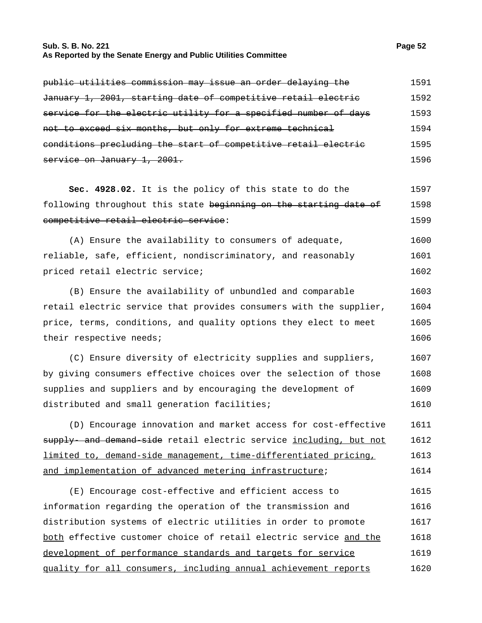## **Sub. S. B. No. 221 Page 52 As Reported by the Senate Energy and Public Utilities Committee**

| public utilities commission may issue an order delaying the     | 1591 |
|-----------------------------------------------------------------|------|
| January 1, 2001, starting date of competitive retail electric   | 1592 |
| service for the electric utility for a specified number of days | 1593 |
| not to exceed six months, but only for extreme technical        | 1594 |
| conditions precluding the start of competitive retail electric  | 1595 |
| service on January 1, 2001.                                     | 1596 |

**Sec. 4928.02.** It is the policy of this state to do the following throughout this state beginning on the starting date of competitive retail electric service: 1597 1598 1599

(A) Ensure the availability to consumers of adequate, reliable, safe, efficient, nondiscriminatory, and reasonably priced retail electric service; 1600 1601 1602

(B) Ensure the availability of unbundled and comparable retail electric service that provides consumers with the supplier, price, terms, conditions, and quality options they elect to meet their respective needs; 1603 1604 1605 1606

(C) Ensure diversity of electricity supplies and suppliers, by giving consumers effective choices over the selection of those supplies and suppliers and by encouraging the development of distributed and small generation facilities; 1607 1608 1609 1610

(D) Encourage innovation and market access for cost-effective supply- and demand-side retail electric service including, but not limited to, demand-side management, time-differentiated pricing, and implementation of advanced metering infrastructure; 1611 1612 1613 1614

(E) Encourage cost-effective and efficient access to information regarding the operation of the transmission and distribution systems of electric utilities in order to promote both effective customer choice of retail electric service and the development of performance standards and targets for service quality for all consumers, including annual achievement reports 1615 1616 1617 1618 1619 1620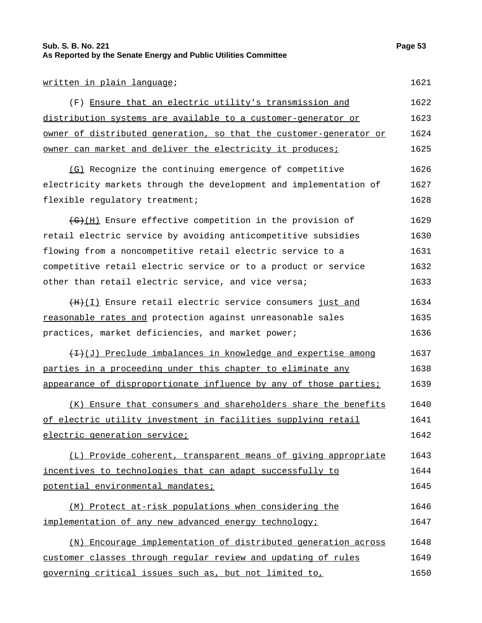## **Sub. S. B. No. 221 Page 53 As Reported by the Senate Energy and Public Utilities Committee**

#### written in plain language; 1621

| (F) Ensure that an electric utility's transmission and               | 1622 |
|----------------------------------------------------------------------|------|
| <u>distribution systems are available to a customer-generator or</u> | 1623 |
| owner of distributed generation, so that the customer-generator or   | 1624 |
| <u>owner can market and deliver the electricity it produces;</u>     | 1625 |

(G) Recognize the continuing emergence of competitive electricity markets through the development and implementation of flexible regulatory treatment; 1626 1627 1628

(G)(H) Ensure effective competition in the provision of retail electric service by avoiding anticompetitive subsidies flowing from a noncompetitive retail electric service to a competitive retail electric service or to a product or service other than retail electric service, and vice versa; 1629 1630 1631 1632 1633

(H)(I) Ensure retail electric service consumers just and reasonable rates and protection against unreasonable sales practices, market deficiencies, and market power; 1634 1635 1636

 $(1, 1)$  Preclude imbalances in knowledge and expertise among parties in a proceeding under this chapter to eliminate any appearance of disproportionate influence by any of those parties; 1637 1638 1639

(K) Ensure that consumers and shareholders share the benefits of electric utility investment in facilities supplying retail electric generation service; 1640 1641 1642

(L) Provide coherent, transparent means of giving appropriate incentives to technologies that can adapt successfully to potential environmental mandates; 1643 1644 1645

(M) Protect at-risk populations when considering the implementation of any new advanced energy technology; 1646 1647

(N) Encourage implementation of distributed generation across customer classes through regular review and updating of rules governing critical issues such as, but not limited to, 1648 1649 1650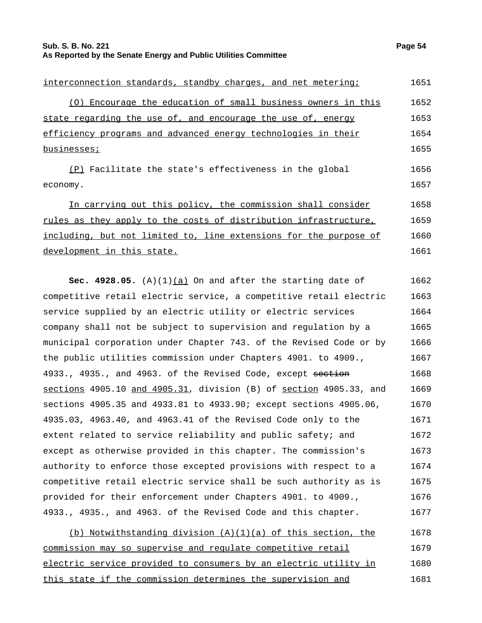**Sub. S. B. No. 221 Page 54 As Reported by the Senate Energy and Public Utilities Committee**

| interconnection standards, standby charges, and net metering;      | 1651         |
|--------------------------------------------------------------------|--------------|
| Encourage the education of small business owners in this<br>( O )  | 1652         |
| state regarding the use of, and encourage the use of, energy       | 1653         |
| efficiency programs and advanced energy technologies in their      | 1654         |
| businesses;                                                        | 1655         |
| (P) Facilitate the state's effectiveness in the global<br>economy. | 1656<br>1657 |
| In carrying out this policy, the commission shall consider         | 1658         |
| rules as they apply to the costs of distribution infrastructure,   | 1659         |
| including, but not limited to, line extensions for the purpose of  | 1660         |
| development in this state.                                         | 1661         |

**Sec. 4928.05.** (A)(1) $(a)$  On and after the starting date of competitive retail electric service, a competitive retail electric service supplied by an electric utility or electric services company shall not be subject to supervision and regulation by a municipal corporation under Chapter 743. of the Revised Code or by the public utilities commission under Chapters 4901. to 4909., 4933., 4935., and 4963. of the Revised Code, except section sections 4905.10 and 4905.31, division (B) of section 4905.33, and sections 4905.35 and 4933.81 to 4933.90; except sections 4905.06, 4935.03, 4963.40, and 4963.41 of the Revised Code only to the extent related to service reliability and public safety; and except as otherwise provided in this chapter. The commission's authority to enforce those excepted provisions with respect to a competitive retail electric service shall be such authority as is provided for their enforcement under Chapters 4901. to 4909., 4933., 4935., and 4963. of the Revised Code and this chapter. 1662 1663 1664 1665 1666 1667 1668 1669 1670 1671 1672 1673 1674 1675 1676 1677

(b) Notwithstanding division  $(A)(1)(a)$  of this section, the commission may so supervise and regulate competitive retail electric service provided to consumers by an electric utility in this state if the commission determines the supervision and 1678 1679 1680 1681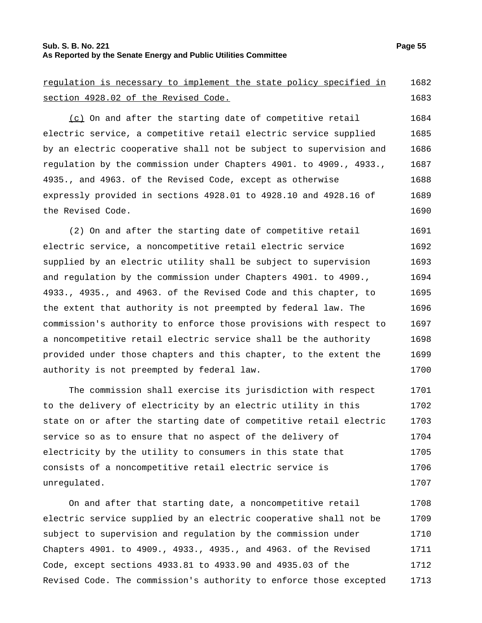## **Sub. S. B. No. 221 Page 55 As Reported by the Senate Energy and Public Utilities Committee**

regulation is necessary to implement the state policy specified in section 4928.02 of the Revised Code. 1682 1683 (c) On and after the starting date of competitive retail electric service, a competitive retail electric service supplied by an electric cooperative shall not be subject to supervision and regulation by the commission under Chapters 4901. to 4909., 4933., 4935., and 4963. of the Revised Code, except as otherwise expressly provided in sections 4928.01 to 4928.10 and 4928.16 of the Revised Code. 1684 1685 1686 1687 1688 1689 1690

(2) On and after the starting date of competitive retail electric service, a noncompetitive retail electric service supplied by an electric utility shall be subject to supervision and regulation by the commission under Chapters 4901. to 4909., 4933., 4935., and 4963. of the Revised Code and this chapter, to the extent that authority is not preempted by federal law. The commission's authority to enforce those provisions with respect to a noncompetitive retail electric service shall be the authority provided under those chapters and this chapter, to the extent the authority is not preempted by federal law. 1691 1692 1693 1694 1695 1696 1697 1698 1699 1700

The commission shall exercise its jurisdiction with respect to the delivery of electricity by an electric utility in this state on or after the starting date of competitive retail electric service so as to ensure that no aspect of the delivery of electricity by the utility to consumers in this state that consists of a noncompetitive retail electric service is unregulated. 1701 1702 1703 1704 1705 1706 1707

On and after that starting date, a noncompetitive retail electric service supplied by an electric cooperative shall not be subject to supervision and regulation by the commission under Chapters 4901. to 4909., 4933., 4935., and 4963. of the Revised Code, except sections 4933.81 to 4933.90 and 4935.03 of the Revised Code. The commission's authority to enforce those excepted 1708 1709 1710 1711 1712 1713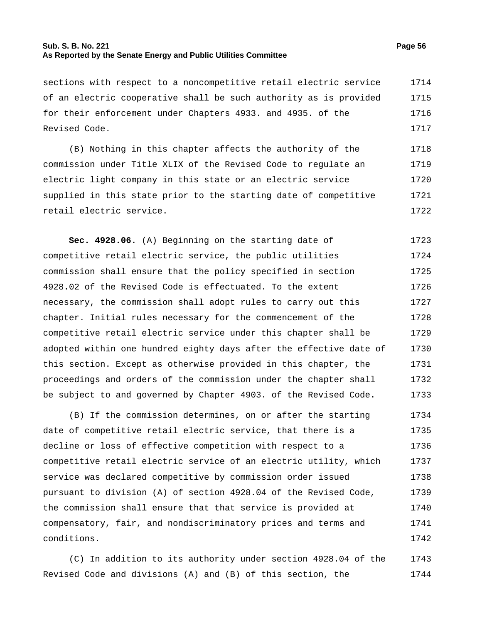## **Sub. S. B. No. 221 Page 56 As Reported by the Senate Energy and Public Utilities Committee**

sections with respect to a noncompetitive retail electric service of an electric cooperative shall be such authority as is provided for their enforcement under Chapters 4933. and 4935. of the Revised Code. 1714 1715 1716 1717

(B) Nothing in this chapter affects the authority of the commission under Title XLIX of the Revised Code to regulate an electric light company in this state or an electric service supplied in this state prior to the starting date of competitive retail electric service. 1718 1719 1720 1721 1722

**Sec. 4928.06.** (A) Beginning on the starting date of competitive retail electric service, the public utilities commission shall ensure that the policy specified in section 4928.02 of the Revised Code is effectuated. To the extent necessary, the commission shall adopt rules to carry out this chapter. Initial rules necessary for the commencement of the competitive retail electric service under this chapter shall be adopted within one hundred eighty days after the effective date of this section. Except as otherwise provided in this chapter, the proceedings and orders of the commission under the chapter shall be subject to and governed by Chapter 4903. of the Revised Code. 1723 1724 1725 1726 1727 1728 1729 1730 1731 1732 1733

(B) If the commission determines, on or after the starting date of competitive retail electric service, that there is a decline or loss of effective competition with respect to a competitive retail electric service of an electric utility, which service was declared competitive by commission order issued pursuant to division (A) of section 4928.04 of the Revised Code, the commission shall ensure that that service is provided at compensatory, fair, and nondiscriminatory prices and terms and conditions. 1734 1735 1736 1737 1738 1739 1740 1741 1742

(C) In addition to its authority under section 4928.04 of the Revised Code and divisions (A) and (B) of this section, the 1743 1744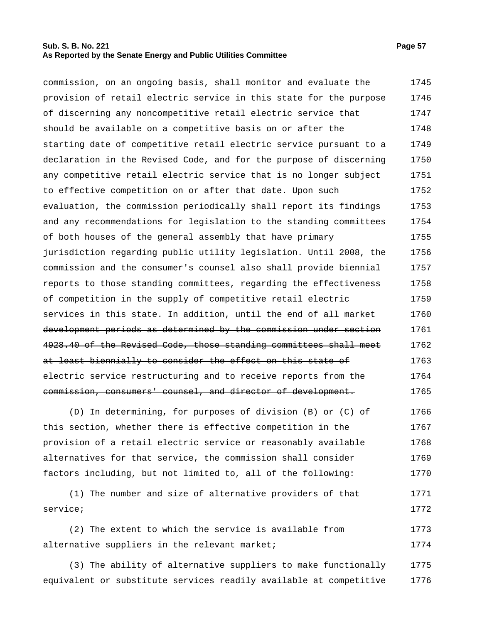## **Sub. S. B. No. 221 Page 57 As Reported by the Senate Energy and Public Utilities Committee**

commission, on an ongoing basis, shall monitor and evaluate the provision of retail electric service in this state for the purpose of discerning any noncompetitive retail electric service that should be available on a competitive basis on or after the starting date of competitive retail electric service pursuant to a declaration in the Revised Code, and for the purpose of discerning any competitive retail electric service that is no longer subject to effective competition on or after that date. Upon such evaluation, the commission periodically shall report its findings and any recommendations for legislation to the standing committees of both houses of the general assembly that have primary jurisdiction regarding public utility legislation. Until 2008, the commission and the consumer's counsel also shall provide biennial reports to those standing committees, regarding the effectiveness of competition in the supply of competitive retail electric services in this state. <del>In addition, until the end of all market</del> development periods as determined by the commission under section 4928.40 of the Revised Code, those standing committees shall meet at least biennially to consider the effect on this state of electric service restructuring and to receive reports from the commission, consumers' counsel, and director of development. 1745 1746 1747 1748 1749 1750 1751 1752 1753 1754 1755 1756 1757 1758 1759 1760 1761 1762 1763 1764 1765

(D) In determining, for purposes of division (B) or (C) of this section, whether there is effective competition in the provision of a retail electric service or reasonably available alternatives for that service, the commission shall consider factors including, but not limited to, all of the following: 1766 1767 1768 1769 1770

(1) The number and size of alternative providers of that service; 1771 1772

(2) The extent to which the service is available from alternative suppliers in the relevant market; 1773 1774

(3) The ability of alternative suppliers to make functionally equivalent or substitute services readily available at competitive 1775 1776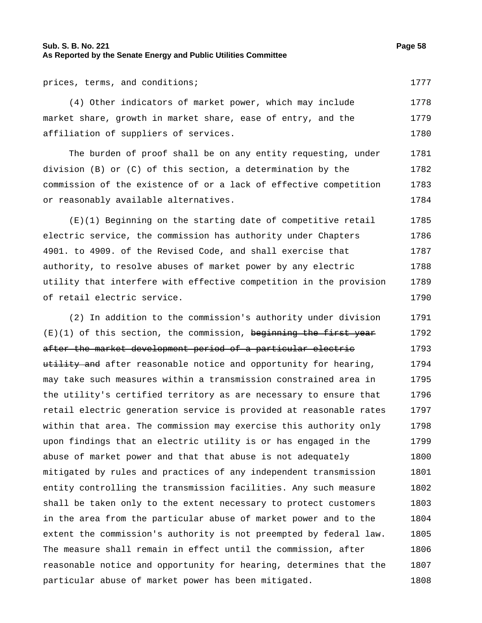## **Sub. S. B. No. 221 Page 58 As Reported by the Senate Energy and Public Utilities Committee**

prices, terms, and conditions; 1777

(4) Other indicators of market power, which may include market share, growth in market share, ease of entry, and the affiliation of suppliers of services. 1778 1779 1780

The burden of proof shall be on any entity requesting, under division (B) or (C) of this section, a determination by the commission of the existence of or a lack of effective competition or reasonably available alternatives. 1781 1782 1783 1784

(E)(1) Beginning on the starting date of competitive retail electric service, the commission has authority under Chapters 4901. to 4909. of the Revised Code, and shall exercise that authority, to resolve abuses of market power by any electric utility that interfere with effective competition in the provision of retail electric service. 1785 1786 1787 1788 1789 1790

(2) In addition to the commission's authority under division  $(E)(1)$  of this section, the commission, beginning the first year after the market development period of a particular electric utility and after reasonable notice and opportunity for hearing, may take such measures within a transmission constrained area in the utility's certified territory as are necessary to ensure that retail electric generation service is provided at reasonable rates within that area. The commission may exercise this authority only upon findings that an electric utility is or has engaged in the abuse of market power and that that abuse is not adequately mitigated by rules and practices of any independent transmission entity controlling the transmission facilities. Any such measure shall be taken only to the extent necessary to protect customers in the area from the particular abuse of market power and to the extent the commission's authority is not preempted by federal law. The measure shall remain in effect until the commission, after reasonable notice and opportunity for hearing, determines that the particular abuse of market power has been mitigated. 1791 1792 1793 1794 1795 1796 1797 1798 1799 1800 1801 1802 1803 1804 1805 1806 1807 1808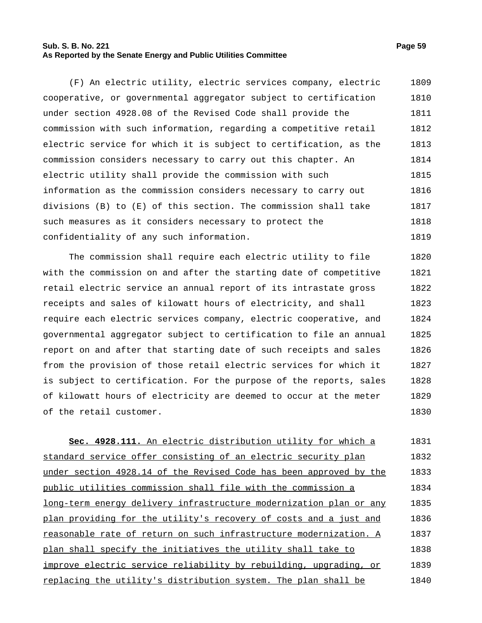#### **Sub. S. B. No. 221 Page 59 As Reported by the Senate Energy and Public Utilities Committee**

(F) An electric utility, electric services company, electric cooperative, or governmental aggregator subject to certification under section 4928.08 of the Revised Code shall provide the commission with such information, regarding a competitive retail electric service for which it is subject to certification, as the commission considers necessary to carry out this chapter. An electric utility shall provide the commission with such information as the commission considers necessary to carry out divisions (B) to (E) of this section. The commission shall take such measures as it considers necessary to protect the confidentiality of any such information. 1809 1810 1811 1812 1813 1814 1815 1816 1817 1818 1819

The commission shall require each electric utility to file with the commission on and after the starting date of competitive retail electric service an annual report of its intrastate gross receipts and sales of kilowatt hours of electricity, and shall require each electric services company, electric cooperative, and governmental aggregator subject to certification to file an annual report on and after that starting date of such receipts and sales from the provision of those retail electric services for which it is subject to certification. For the purpose of the reports, sales of kilowatt hours of electricity are deemed to occur at the meter of the retail customer. 1820 1821 1822 1823 1824 1825 1826 1827 1828 1829 1830

**Sec. 4928.111.** An electric distribution utility for which a standard service offer consisting of an electric security plan under section 4928.14 of the Revised Code has been approved by the public utilities commission shall file with the commission a long-term energy delivery infrastructure modernization plan or any plan providing for the utility's recovery of costs and a just and reasonable rate of return on such infrastructure modernization. A plan shall specify the initiatives the utility shall take to improve electric service reliability by rebuilding, upgrading, or replacing the utility's distribution system. The plan shall be 1831 1832 1833 1834 1835 1836 1837 1838 1839 1840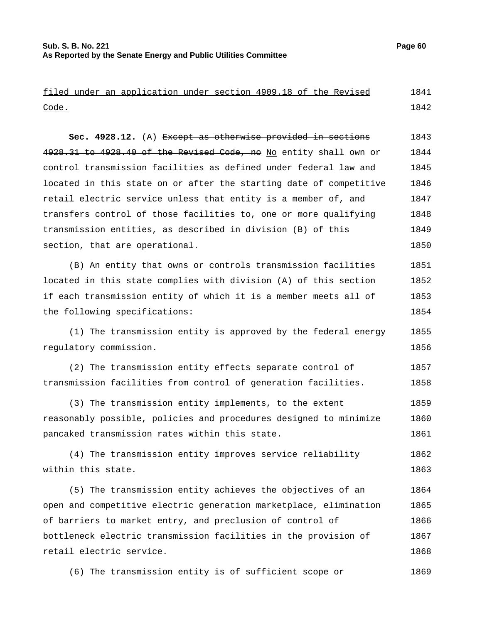|              |  | filed under an application under section 4909.18 of the Revised |  |  |  | 1841 |
|--------------|--|-----------------------------------------------------------------|--|--|--|------|
| <u>Code.</u> |  |                                                                 |  |  |  | 1842 |
|              |  |                                                                 |  |  |  |      |

**Sec. 4928.12.** (A) Except as otherwise provided in sections 4928.31 to 4928.40 of the Revised Code, no No entity shall own or control transmission facilities as defined under federal law and located in this state on or after the starting date of competitive retail electric service unless that entity is a member of, and transfers control of those facilities to, one or more qualifying transmission entities, as described in division (B) of this section, that are operational. 1843 1844 1845 1846 1847 1848 1849 1850

(B) An entity that owns or controls transmission facilities located in this state complies with division (A) of this section if each transmission entity of which it is a member meets all of the following specifications: 1851 1852 1853 1854

(1) The transmission entity is approved by the federal energy regulatory commission. 1855 1856

(2) The transmission entity effects separate control of transmission facilities from control of generation facilities. 1857 1858

(3) The transmission entity implements, to the extent reasonably possible, policies and procedures designed to minimize pancaked transmission rates within this state. 1859 1860 1861

(4) The transmission entity improves service reliability within this state. 1862 1863

(5) The transmission entity achieves the objectives of an open and competitive electric generation marketplace, elimination of barriers to market entry, and preclusion of control of bottleneck electric transmission facilities in the provision of retail electric service. 1864 1865 1866 1867 1868

(6) The transmission entity is of sufficient scope or 1869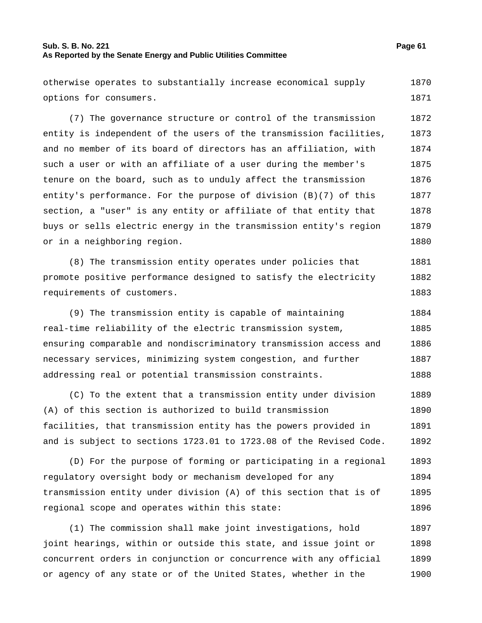## **Sub. S. B. No. 221 Page 61 As Reported by the Senate Energy and Public Utilities Committee**

otherwise operates to substantially increase economical supply options for consumers. 1870 1871

(7) The governance structure or control of the transmission entity is independent of the users of the transmission facilities, and no member of its board of directors has an affiliation, with such a user or with an affiliate of a user during the member's tenure on the board, such as to unduly affect the transmission entity's performance. For the purpose of division (B)(7) of this section, a "user" is any entity or affiliate of that entity that buys or sells electric energy in the transmission entity's region or in a neighboring region. 1872 1873 1874 1875 1876 1877 1878 1879 1880

(8) The transmission entity operates under policies that promote positive performance designed to satisfy the electricity requirements of customers. 1881 1882 1883

(9) The transmission entity is capable of maintaining real-time reliability of the electric transmission system, ensuring comparable and nondiscriminatory transmission access and necessary services, minimizing system congestion, and further addressing real or potential transmission constraints. 1884 1885 1886 1887 1888

(C) To the extent that a transmission entity under division (A) of this section is authorized to build transmission facilities, that transmission entity has the powers provided in and is subject to sections 1723.01 to 1723.08 of the Revised Code. 1889 1890 1891 1892

(D) For the purpose of forming or participating in a regional regulatory oversight body or mechanism developed for any transmission entity under division (A) of this section that is of regional scope and operates within this state: 1893 1894 1895 1896

(1) The commission shall make joint investigations, hold joint hearings, within or outside this state, and issue joint or concurrent orders in conjunction or concurrence with any official or agency of any state or of the United States, whether in the 1897 1898 1899 1900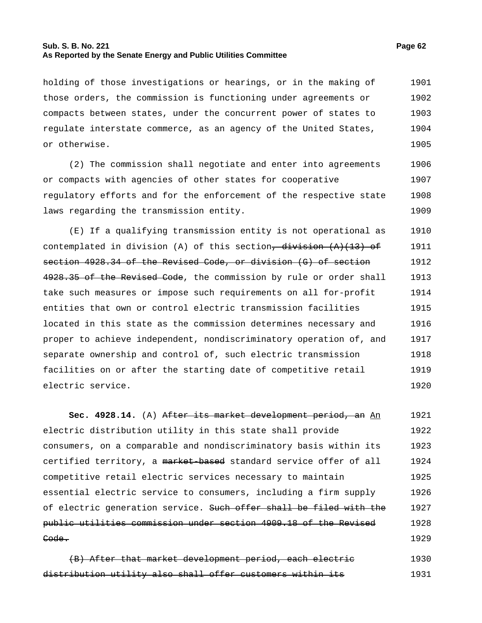## **Sub. S. B. No. 221 Page 62 As Reported by the Senate Energy and Public Utilities Committee**

holding of those investigations or hearings, or in the making of those orders, the commission is functioning under agreements or compacts between states, under the concurrent power of states to regulate interstate commerce, as an agency of the United States, or otherwise. 1901 1902 1903 1904 1905

(2) The commission shall negotiate and enter into agreements or compacts with agencies of other states for cooperative regulatory efforts and for the enforcement of the respective state laws regarding the transmission entity. 1906 1907 1908 1909

(E) If a qualifying transmission entity is not operational as contemplated in division (A) of this section,  $\frac{division}{(A)(13)-of}$ section 4928.34 of the Revised Code, or division (G) of section 4928.35 of the Revised Code, the commission by rule or order shall take such measures or impose such requirements on all for-profit entities that own or control electric transmission facilities located in this state as the commission determines necessary and proper to achieve independent, nondiscriminatory operation of, and separate ownership and control of, such electric transmission facilities on or after the starting date of competitive retail electric service. 1910 1911 1912 1913 1914 1915 1916 1917 1918 1919 1920

**Sec. 4928.14.** (A) After its market development period, an An electric distribution utility in this state shall provide consumers, on a comparable and nondiscriminatory basis within its certified territory, a market-based standard service offer of all competitive retail electric services necessary to maintain essential electric service to consumers, including a firm supply of electric generation service. Such offer shall be filed with the public utilities commission under section 4909.18 of the Revised Code. 1921 1922 1923 1924 1925 1926 1927 1928 1929

(B) After that market development period, each electric distribution utility also shall offer customers within its 1930 1931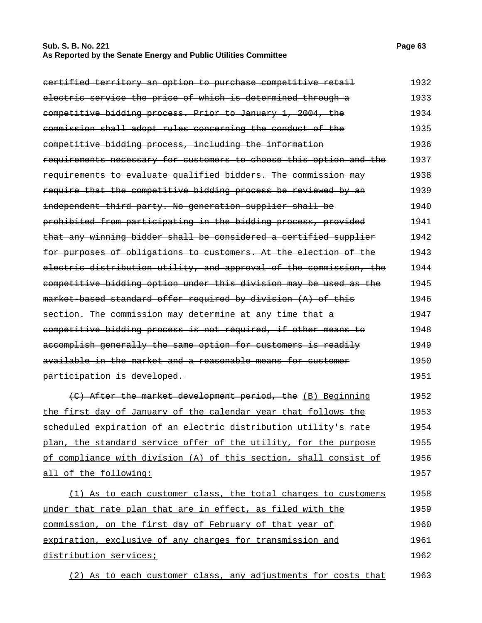## **Sub. S. B. No. 221 Page 63 As Reported by the Senate Energy and Public Utilities Committee**

| eertified territory an option to purchase competitive retail       | 1932 |
|--------------------------------------------------------------------|------|
| electric service the price of which is determined through a        | 1933 |
| competitive bidding process. Prior to January 1, 2004, the         | 1934 |
| commission shall adopt rules concerning the conduct of the         | 1935 |
| competitive bidding process, including the information             | 1936 |
| requirements necessary for customers to choose this option and the | 1937 |
| requirements to evaluate qualified bidders. The commission may     | 1938 |
| require that the competitive bidding process be reviewed by an     | 1939 |
| independent third party. No generation supplier shall be           | 1940 |
| prohibited from participating in the bidding process, provided     | 1941 |
| that any winning bidder shall be considered a certified supplier   | 1942 |
| for purposes of obligations to customers. At the election of the   | 1943 |
| electric distribution utility, and approval of the commission, the | 1944 |
| competitive bidding option under this division may be used as the  | 1945 |
| market based standard offer required by division (A) of this       | 1946 |
| section. The commission may determine at any time that a           | 1947 |
| competitive bidding process is not required, if other means to     | 1948 |
| accomplish generally the same option for customers is readily      | 1949 |
| available in the market and a reasonable means for customer        | 1950 |
| participation is developed.                                        | 1951 |
| (C) After the market development period, the (B) Beginning         | 1952 |
| the first day of January of the calendar year that follows the     | 1953 |
| scheduled expiration of an electric distribution utility's rate    | 1954 |
| plan, the standard service offer of the utility, for the purpose   | 1955 |
| of compliance with division (A) of this section, shall consist of  | 1956 |
| all of the following:                                              | 1957 |
| (1) As to each customer class, the total charges to customers      | 1958 |

under that rate plan that are in effect, as filed with the commission, on the first day of February of that year of expiration, exclusive of any charges for transmission and distribution services; 1959 1960 1961 1962

(2) As to each customer class, any adjustments for costs that 1963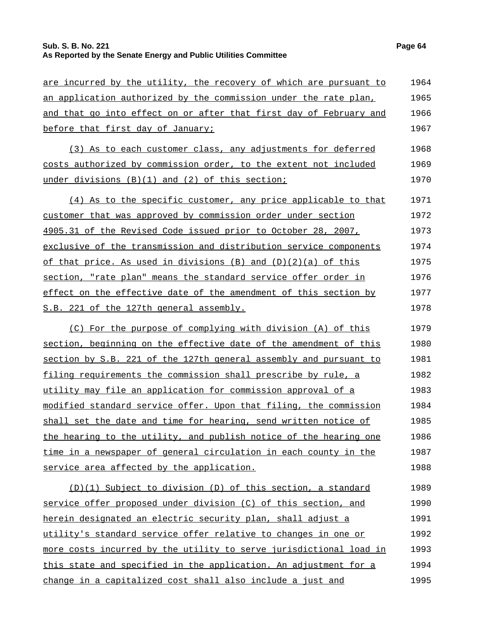# **Sub. S. B. No. 221 Page 64 As Reported by the Senate Energy and Public Utilities Committee**

| are incurred by the utility, the recovery of which are pursuant to | 1964 |
|--------------------------------------------------------------------|------|
| an application authorized by the commission under the rate plan,   | 1965 |
| and that go into effect on or after that first day of February and | 1966 |
| before that first day of January;                                  | 1967 |
| (3) As to each customer class, any adjustments for deferred        | 1968 |
| costs authorized by commission order, to the extent not included   | 1969 |
| under divisions $(B)(1)$ and $(2)$ of this section;                | 1970 |
| (4) As to the specific customer, any price applicable to that      | 1971 |
| customer that was approved by commission order under section       | 1972 |
| 4905.31 of the Revised Code issued prior to October 28, 2007,      | 1973 |
| exclusive of the transmission and distribution service components  | 1974 |
| of that price. As used in divisions $(B)$ and $(D)(2)(a)$ of this  | 1975 |
| section, "rate plan" means the standard service offer order in     | 1976 |
| effect on the effective date of the amendment of this section by   | 1977 |
| S.B. 221 of the 127th general assembly.                            | 1978 |
| (C) For the purpose of complying with division (A) of this         | 1979 |
| section, beginning on the effective date of the amendment of this  | 1980 |
| section by S.B. 221 of the 127th general assembly and pursuant to  | 1981 |
| filing requirements the commission shall prescribe by rule, a      | 1982 |
| utility may file an application for commission approval of a       | 1983 |
| modified standard service offer. Upon that filing, the commission  | 1984 |
| shall set the date and time for hearing, send written notice of    | 1985 |
| the hearing to the utility, and publish notice of the hearing one  | 1986 |
| time in a newspaper of general circulation in each county in the   | 1987 |
| service area affected by the application.                          | 1988 |
| (D)(1) Subject to division (D) of this section, a standard         | 1989 |
| service offer proposed under division (C) of this section, and     | 1990 |
| herein designated an electric security plan, shall adjust a        | 1991 |
| utility's standard service offer relative to changes in one or     | 1992 |
| more costs incurred by the utility to serve jurisdictional load in | 1993 |
| this state and specified in the application. An adjustment for a   | 1994 |
| change in a capitalized cost shall also include a just and         | 1995 |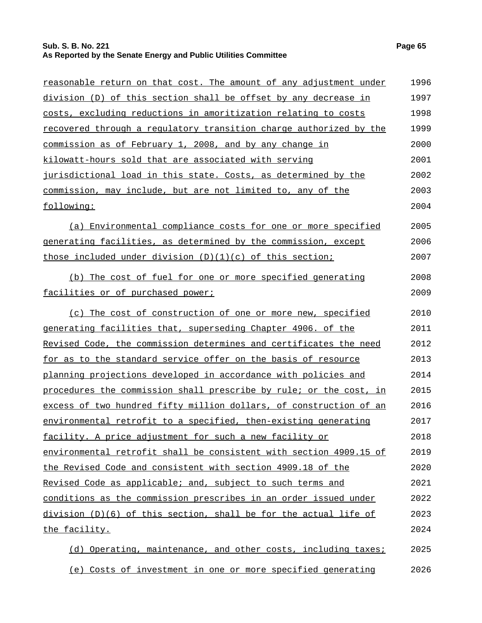## **Sub. S. B. No. 221 Page 65 As Reported by the Senate Energy and Public Utilities Committee**

| <u>reasonable return on that cost. The amount of any adjustment under</u> | 1996 |
|---------------------------------------------------------------------------|------|
| division (D) of this section shall be offset by any decrease in           | 1997 |
| costs, excluding reductions in amoritization relating to costs            | 1998 |
| recovered through a regulatory transition charge authorized by the        | 1999 |
| <u>commission as of February 1, 2008, and by any change in</u>            | 2000 |
| kilowatt-hours sold that are associated with serving                      | 2001 |
| jurisdictional load in this state. Costs, as determined by the            | 2002 |
| <u>commission, may include, but are not limited to, any of the </u>       | 2003 |
| following:                                                                | 2004 |
| (a) Environmental compliance costs for one or more specified              | 2005 |
| <u>generating facilities, as determined by the commission, except</u>     | 2006 |
| those included under division (D)(1)(c) of this section;                  | 2007 |
| (b) The cost of fuel for one or more specified generating                 | 2008 |
| facilities or of purchased power;                                         | 2009 |
| (c) The cost of construction of one or more new, specified                | 2010 |
| <u>generating facilities that, superseding Chapter 4906. of the </u>      | 2011 |
| <u>Revised Code, the commission determines and certificates the need</u>  | 2012 |
| <u>for as to the standard service offer on the basis of resource</u>      | 2013 |
| <u>planning projections developed in accordance with policies and </u>    | 2014 |
| procedures the commission shall prescribe by rule; or the cost, in        | 2015 |
| excess of two hundred fifty million dollars, of construction of an        | 2016 |
| environmental retrofit to a specified, then-existing generating           | 2017 |
| facility. A price adjustment for such a new facility or                   | 2018 |
| environmental retrofit shall be consistent with section 4909.15 of        | 2019 |
| <u>the Revised Code and consistent with section 4909.18 of the </u>       | 2020 |
| Revised Code as applicable; and, subject to such terms and                | 2021 |
| conditions as the commission prescribes in an order issued under          | 2022 |
| division (D)(6) of this section, shall be for the actual life of          | 2023 |
| <u>the facility.</u>                                                      | 2024 |
| (d) Operating, maintenance, and other costs, including taxes;             | 2025 |

(e) Costs of investment in one or more specified generating 2026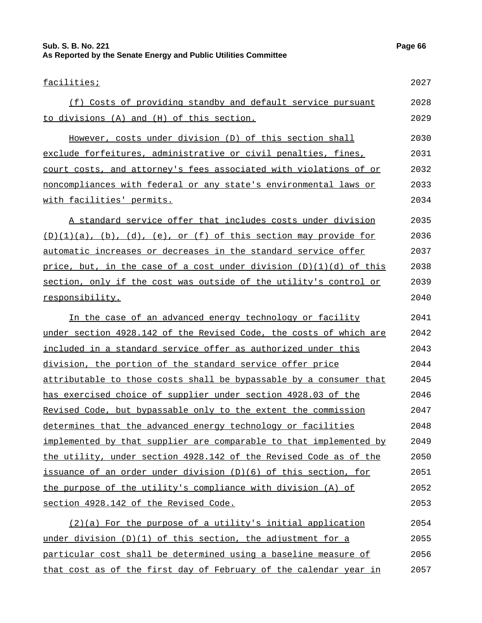# **Sub. S. B. No. 221 Page 66 As Reported by the Senate Energy and Public Utilities Committee**

| facilities;                                                          | 2027 |
|----------------------------------------------------------------------|------|
| (f) Costs of providing standby and default service pursuant          | 2028 |
| to divisions (A) and (H) of this section.                            | 2029 |
| However, costs under division (D) of this section shall              | 2030 |
| exclude forfeitures, administrative or civil penalties, fines,       | 2031 |
| court costs, and attorney's fees associated with violations of or    | 2032 |
| noncompliances with federal or any state's environmental laws or     | 2033 |
| with facilities' permits.                                            | 2034 |
| A standard service offer that includes costs under division          | 2035 |
| $(D)(1)(a)$ , (b), (d), (e), or (f) of this section may provide for  | 2036 |
| automatic increases or decreases in the standard service offer       | 2037 |
| price, but, in the case of a cost under division $(D)(1)(d)$ of this | 2038 |
| section, only if the cost was outside of the utility's control or    | 2039 |
| responsibility.                                                      | 2040 |
| In the case of an advanced energy technology or facility             | 2041 |
| under section 4928.142 of the Revised Code, the costs of which are   | 2042 |
| included in a standard service offer as authorized under this        | 2043 |
| division, the portion of the standard service offer price            | 2044 |
| attributable to those costs shall be bypassable by a consumer that   | 2045 |
| has exercised choice of supplier under section 4928.03 of the        | 2046 |
| Revised Code, but bypassable only to the extent the commission       | 2047 |
| determines that the advanced energy technology or facilities         | 2048 |
| implemented by that supplier are comparable to that implemented by   | 2049 |
| the utility, under section 4928.142 of the Revised Code as of the    | 2050 |
| issuance of an order under division (D)(6) of this section, for      | 2051 |
| the purpose of the utility's compliance with division (A) of         | 2052 |
| section 4928.142 of the Revised Code.                                | 2053 |
| (2)(a) For the purpose of a utility's initial application            | 2054 |
| under division $(D)(1)$ of this section, the adjustment for a        | 2055 |
| particular cost shall be determined using a baseline measure of      | 2056 |
| that cost as of the first day of February of the calendar year in    | 2057 |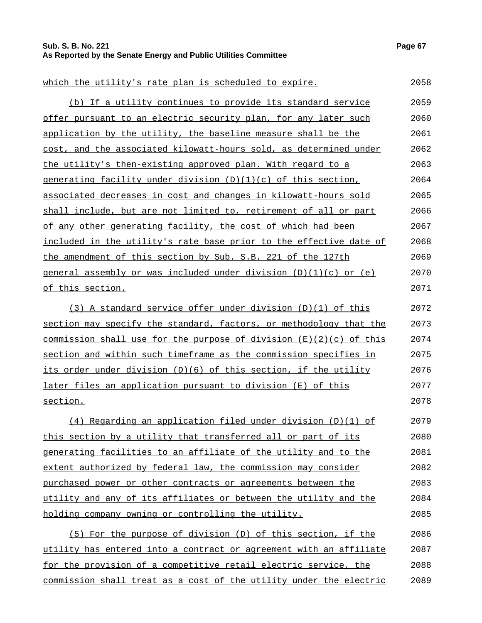# **Sub. S. B. No. 221 Page 67 As Reported by the Senate Energy and Public Utilities Committee**

| which the utility's rate plan is scheduled to expire.                                  | 2058 |
|----------------------------------------------------------------------------------------|------|
| (b) If a utility continues to provide its standard service                             | 2059 |
| offer pursuant to an electric security plan, for any later such                        | 2060 |
| application by the utility, the baseline measure shall be the                          | 2061 |
| cost, and the associated kilowatt-hours sold, as determined under                      | 2062 |
| the utility's then-existing approved plan. With regard to a                            | 2063 |
| generating facility under division (D)(1)(c) of this section,                          | 2064 |
| associated decreases in cost and changes in kilowatt-hours sold                        | 2065 |
| shall include, but are not limited to, retirement of all or part                       | 2066 |
| of any other generating facility, the cost of which had been                           | 2067 |
| included in the utility's rate base prior to the effective date of                     | 2068 |
| the amendment of this section by Sub. S.B. 221 of the 127th                            | 2069 |
| general assembly or was included under division (D)(1)(c) or (e)                       | 2070 |
| of this section.                                                                       | 2071 |
| (3) A standard service offer under division (D)(1) of this                             | 2072 |
| section may specify the standard, factors, or methodology that the                     | 2073 |
| <u>commission shall use for the purpose of division <math>(E)(2)(c)</math> of this</u> | 2074 |
| section and within such timeframe as the commission specifies in                       | 2075 |
| its order under division (D)(6) of this section, if the utility                        | 2076 |
| <u>later files an application pursuant to division (E) of this</u>                     | 2077 |
| section.                                                                               | 2078 |
| $(4)$ Regarding an application filed under division $(D)(1)$ of                        | 2079 |
| this section by a utility that transferred all or part of its                          | 2080 |
| <u>generating facilities to an affiliate of the utility and to the </u>                | 2081 |
| extent authorized by federal law, the commission may consider                          | 2082 |
| purchased power or other contracts or agreements between the                           | 2083 |
| utility and any of its affiliates or between the utility and the                       | 2084 |
| holding company owning or controlling the utility.                                     | 2085 |
| (5) For the purpose of division (D) of this section, if the                            | 2086 |
| utility has entered into a contract or agreement with an affiliate                     | 2087 |
| for the provision of a competitive retail electric service, the                        | 2088 |
| commission shall treat as a cost of the utility under the electric                     | 2089 |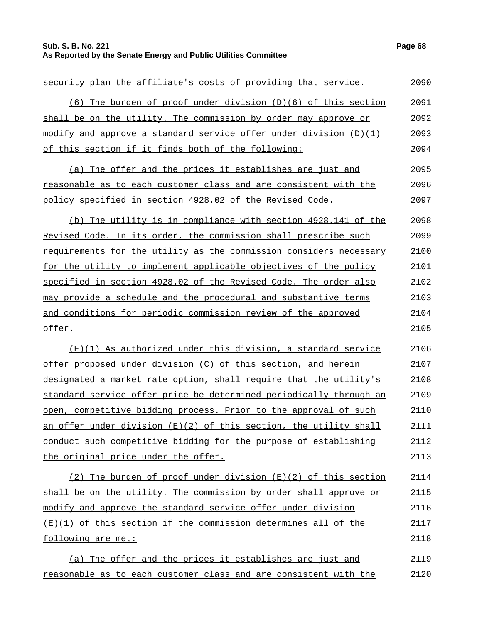# **Sub. S. B. No. 221 Page 68 As Reported by the Senate Energy and Public Utilities Committee**

| security plan the affiliate's costs of providing that service.     | 2090 |
|--------------------------------------------------------------------|------|
| (6) The burden of proof under division (D)(6) of this section      | 2091 |
| shall be on the utility. The commission by order may approve or    | 2092 |
| modify and approve a standard service offer under division (D)(1)  | 2093 |
| of this section if it finds both of the following:                 | 2094 |
| (a) The offer and the prices it establishes are just and           | 2095 |
| reasonable as to each customer class and are consistent with the   | 2096 |
| policy specified in section 4928.02 of the Revised Code.           | 2097 |
| (b) The utility is in compliance with section 4928.141 of the      | 2098 |
| Revised Code. In its order, the commission shall prescribe such    | 2099 |
| requirements for the utility as the commission considers necessary | 2100 |
| for the utility to implement applicable objectives of the policy   | 2101 |
| specified in section 4928.02 of the Revised Code. The order also   | 2102 |
| may provide a schedule and the procedural and substantive terms    | 2103 |
| and conditions for periodic commission review of the approved      | 2104 |
| offer.                                                             | 2105 |
| (E)(1) As authorized under this division, a standard service       | 2106 |
| offer proposed under division (C) of this section, and herein      | 2107 |
| designated a market rate option, shall require that the utility's  | 2108 |
| standard service offer price be determined periodically through an | 2109 |
| open, competitive bidding process. Prior to the approval of such   | 2110 |
| an offer under division (E)(2) of this section, the utility shall  | 2111 |
| conduct such competitive bidding for the purpose of establishing   | 2112 |
| the original price under the offer.                                | 2113 |
| (2) The burden of proof under division $(E)(2)$ of this section    | 2114 |
| shall be on the utility. The commission by order shall approve or  | 2115 |
| modify and approve the standard service offer under division       | 2116 |
| $(E)(1)$ of this section if the commission determines all of the   | 2117 |
| following are met:                                                 | 2118 |
| (a) The offer and the prices it establishes are just and           | 2119 |
| reasonable as to each customer class and are consistent with the   | 2120 |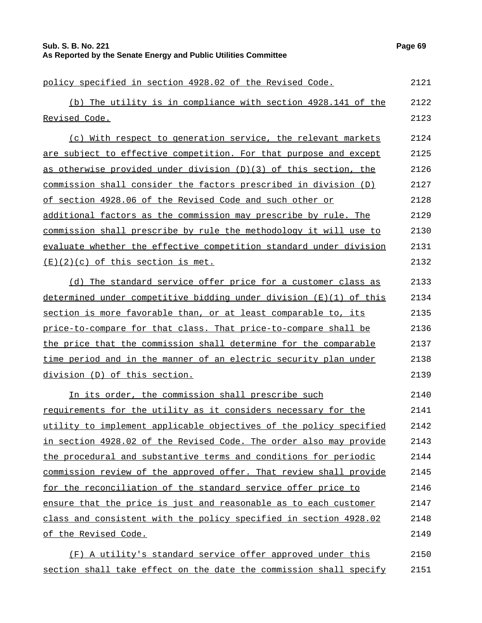| Sub. S. B. No. 221                                              | Page 69 |
|-----------------------------------------------------------------|---------|
| As Reported by the Senate Energy and Public Utilities Committee |         |

policy specified in section 4928.02 of the Revised Code. 2121 (b) The utility is in compliance with section 4928.141 of the Revised Code. 2122 2123 (c) With respect to generation service, the relevant markets are subject to effective competition. For that purpose and except as otherwise provided under division (D)(3) of this section, the commission shall consider the factors prescribed in division (D) of section 4928.06 of the Revised Code and such other or additional factors as the commission may prescribe by rule. The commission shall prescribe by rule the methodology it will use to evaluate whether the effective competition standard under division  $(E)(2)(c)$  of this section is met. 2124 2125 2126 2127 2128 2129 2130 2131 2132 (d) The standard service offer price for a customer class as determined under competitive bidding under division (E)(1) of this section is more favorable than, or at least comparable to, its price-to-compare for that class. That price-to-compare shall be the price that the commission shall determine for the comparable time period and in the manner of an electric security plan under division (D) of this section. 2133 2134 2135 2136 2137 2138 2139 In its order, the commission shall prescribe such requirements for the utility as it considers necessary for the utility to implement applicable objectives of the policy specified in section 4928.02 of the Revised Code. The order also may provide the procedural and substantive terms and conditions for periodic commission review of the approved offer. That review shall provide for the reconciliation of the standard service offer price to ensure that the price is just and reasonable as to each customer class and consistent with the policy specified in section 4928.02 of the Revised Code. 2140 2141 2142 2143 2144 2145 2146 2147 2148 2149 (F) A utility's standard service offer approved under this 2150

section shall take effect on the date the commission shall specify 2151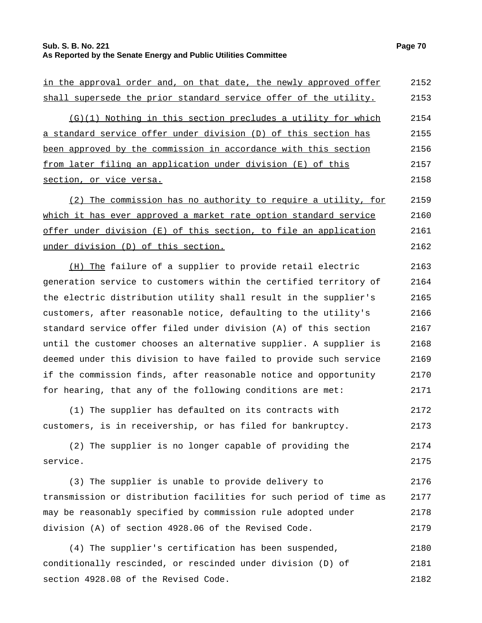## **Sub. S. B. No. 221 Page 70 As Reported by the Senate Energy and Public Utilities Committee**

| in the approval order and, on that date, the newly approved offer | 2152 |
|-------------------------------------------------------------------|------|
| shall supersede the prior standard service offer of the utility.  | 2153 |
| $(G)(1)$ Nothing in this section precludes a utility for which    | 2154 |
| a standard service offer under division (D) of this section has   | 2155 |
| been approved by the commission in accordance with this section   | 2156 |
| from later filing an application under division (E) of this       | 2157 |
| section, or vice versa.                                           | 2158 |
| (2) The commission has no authority to require a utility, for     | 2159 |
| which it has ever approved a market rate option standard service  | 2160 |
| offer under division (E) of this section, to file an application  | 2161 |
| under division (D) of this section.                               | 2162 |
| (H) The failure of a supplier to provide retail electric          | 2163 |

generation service to customers within the certified territory of the electric distribution utility shall result in the supplier's customers, after reasonable notice, defaulting to the utility's standard service offer filed under division (A) of this section until the customer chooses an alternative supplier. A supplier is deemed under this division to have failed to provide such service if the commission finds, after reasonable notice and opportunity for hearing, that any of the following conditions are met: 2164 2165 2166 2167 2168 2169 2170 2171

(1) The supplier has defaulted on its contracts with customers, is in receivership, or has filed for bankruptcy. 2172 2173

(2) The supplier is no longer capable of providing the service. 2174 2175

(3) The supplier is unable to provide delivery to transmission or distribution facilities for such period of time as may be reasonably specified by commission rule adopted under division (A) of section 4928.06 of the Revised Code. 2176 2177 2178 2179

(4) The supplier's certification has been suspended, conditionally rescinded, or rescinded under division (D) of section 4928.08 of the Revised Code. 2180 2181 2182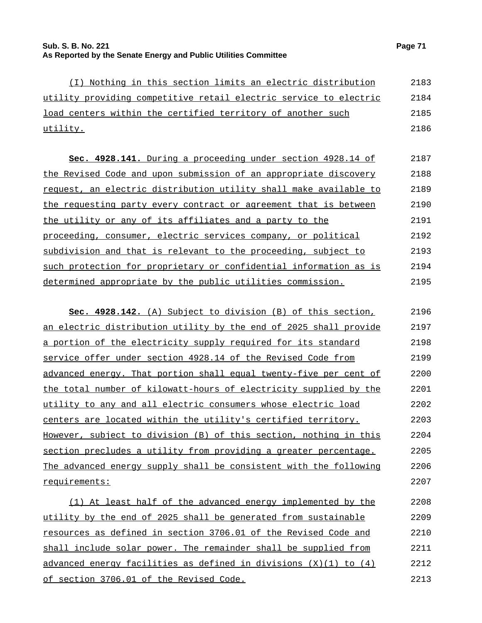| (I) Nothing in this section limits an electric distribution       | 2183 |
|-------------------------------------------------------------------|------|
| utility providing competitive retail electric service to electric | 2184 |
| load centers within the certified territory of another such       | 2185 |
| utility.                                                          | 2186 |

**Sec. 4928.141.** During a proceeding under section 4928.14 of the Revised Code and upon submission of an appropriate discovery request, an electric distribution utility shall make available to the requesting party every contract or agreement that is between the utility or any of its affiliates and a party to the proceeding, consumer, electric services company, or political subdivision and that is relevant to the proceeding, subject to such protection for proprietary or confidential information as is determined appropriate by the public utilities commission. 2187 2188 2189 2190 2191 2192 2193 2194 2195

| Sec. 4928.142. (A) Subject to division (B) of this section,       | 2196 |
|-------------------------------------------------------------------|------|
| an electric distribution utility by the end of 2025 shall provide | 2197 |
| a portion of the electricity supply required for its standard     | 2198 |
| service offer under section 4928.14 of the Revised Code from      | 2199 |
| advanced energy. That portion shall equal twenty-five per cent of | 2200 |
| the total number of kilowatt-hours of electricity supplied by the | 2201 |
| utility to any and all electric consumers whose electric load     | 2202 |
| centers are located within the utility's certified territory.     | 2203 |
| However, subject to division (B) of this section, nothing in this | 2204 |
| section precludes a utility from providing a greater percentage.  | 2205 |
| The advanced energy supply shall be consistent with the following | 2206 |
| requirements:                                                     | 2207 |
|                                                                   |      |

(1) At least half of the advanced energy implemented by the utility by the end of 2025 shall be generated from sustainable resources as defined in section 3706.01 of the Revised Code and shall include solar power. The remainder shall be supplied from advanced energy facilities as defined in divisions (X)(1) to (4) of section 3706.01 of the Revised Code. 2208 2209 2210 2211 2212 2213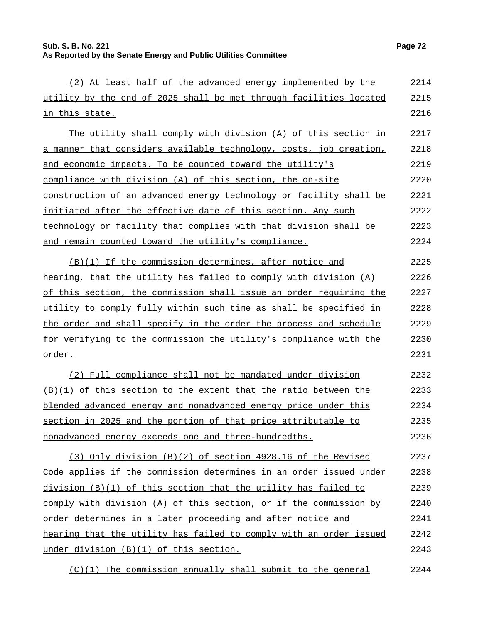| (2) At least half of the advanced energy implemented by the        | 2214 |
|--------------------------------------------------------------------|------|
| utility by the end of 2025 shall be met through facilities located | 2215 |
| in this state.                                                     | 2216 |
| The utility shall comply with division (A) of this section in      | 2217 |
| a manner that considers available technology, costs, job creation, | 2218 |
| and economic impacts. To be counted toward the utility's           | 2219 |
| compliance with division (A) of this section, the on-site          | 2220 |
| construction of an advanced energy technology or facility shall be | 2221 |
| initiated after the effective date of this section. Any such       | 2222 |
| technology or facility that complies with that division shall be   | 2223 |
| and remain counted toward the utility's compliance.                | 2224 |
| (B)(1) If the commission determines, after notice and              | 2225 |
| hearing, that the utility has failed to comply with division (A)   | 2226 |
| of this section, the commission shall issue an order requiring the | 2227 |
| utility to comply fully within such time as shall be specified in  | 2228 |
| the order and shall specify in the order the process and schedule  | 2229 |
| for verifying to the commission the utility's compliance with the  | 2230 |
| order.                                                             | 2231 |
| (2) Full compliance shall not be mandated under division           | 2232 |
| (B)(1) of this section to the extent that the ratio between the    | 2233 |
| blended advanced energy and nonadvanced energy price under this    | 2234 |
| section in 2025 and the portion of that price attributable to      | 2235 |
| nonadvanced energy exceeds one and three-hundredths.               | 2236 |
| (3) Only division (B)(2) of section 4928.16 of the Revised         | 2237 |
| Code applies if the commission determines in an order issued under | 2238 |
| division (B)(1) of this section that the utility has failed to     | 2239 |
| comply with division (A) of this section, or if the commission by  | 2240 |
| order determines in a later proceeding and after notice and        | 2241 |
| hearing that the utility has failed to comply with an order issued | 2242 |
| under division (B)(1) of this section.                             | 2243 |
| (C)(1) The commission annually shall submit to the general         | 2244 |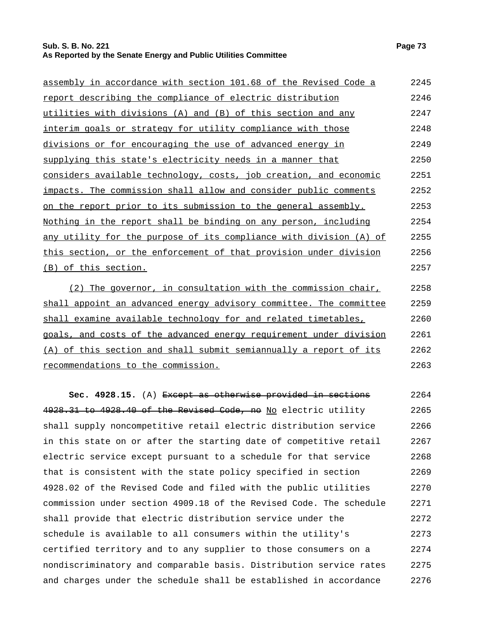# **Sub. S. B. No. 221 Page 73 As Reported by the Senate Energy and Public Utilities Committee**

| assembly in accordance with section 101.68 of the Revised Code a   | 2245 |
|--------------------------------------------------------------------|------|
| report describing the compliance of electric distribution          | 2246 |
| utilities with divisions (A) and (B) of this section and any       | 2247 |
| interim goals or strategy for utility compliance with those        | 2248 |
| divisions or for encouraging the use of advanced energy in         | 2249 |
| supplying this state's electricity needs in a manner that          | 2250 |
| considers available technology, costs, job creation, and economic  | 2251 |
| impacts. The commission shall allow and consider public comments   | 2252 |
| on the report prior to its submission to the general assembly.     | 2253 |
| Nothing in the report shall be binding on any person, including    | 2254 |
| any utility for the purpose of its compliance with division (A) of | 2255 |
| this section, or the enforcement of that provision under division  | 2256 |
| (B) of this section.                                               | 2257 |
| $(2)$ The governor, in consultation with the commission chair,     | 2258 |

shall appoint an advanced energy advisory committee. The committee shall examine available technology for and related timetables, goals, and costs of the advanced energy requirement under division (A) of this section and shall submit semiannually a report of its recommendations to the commission. 2259 2260 2261 2262 2263

**Sec. 4928.15.** (A) Except as otherwise provided in sections 4928.31 to 4928.40 of the Revised Code, no No electric utility shall supply noncompetitive retail electric distribution service in this state on or after the starting date of competitive retail electric service except pursuant to a schedule for that service that is consistent with the state policy specified in section 4928.02 of the Revised Code and filed with the public utilities commission under section 4909.18 of the Revised Code. The schedule shall provide that electric distribution service under the schedule is available to all consumers within the utility's certified territory and to any supplier to those consumers on a nondiscriminatory and comparable basis. Distribution service rates and charges under the schedule shall be established in accordance 2264 2265 2266 2267 2268 2269 2270 2271 2272 2273 2274 2275 2276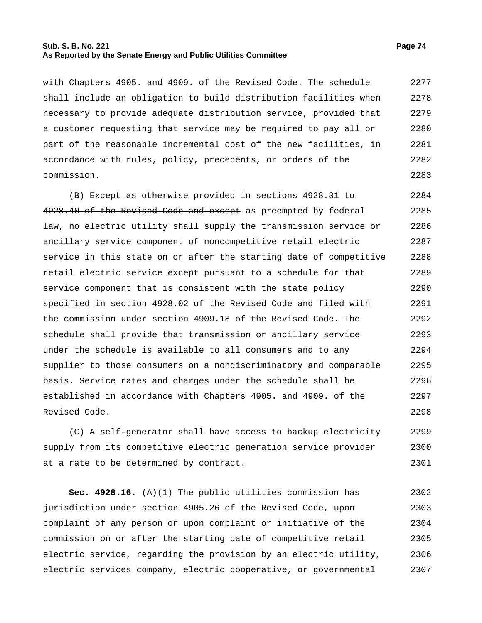## **Sub. S. B. No. 221 Page 74 As Reported by the Senate Energy and Public Utilities Committee**

with Chapters 4905. and 4909. of the Revised Code. The schedule shall include an obligation to build distribution facilities when necessary to provide adequate distribution service, provided that a customer requesting that service may be required to pay all or part of the reasonable incremental cost of the new facilities, in accordance with rules, policy, precedents, or orders of the commission. 2277 2278 2279 2280 2281 2282 2283

(B) Except as otherwise provided in sections 4928.31 to 4928.40 of the Revised Code and except as preempted by federal law, no electric utility shall supply the transmission service or ancillary service component of noncompetitive retail electric service in this state on or after the starting date of competitive retail electric service except pursuant to a schedule for that service component that is consistent with the state policy specified in section 4928.02 of the Revised Code and filed with the commission under section 4909.18 of the Revised Code. The schedule shall provide that transmission or ancillary service under the schedule is available to all consumers and to any supplier to those consumers on a nondiscriminatory and comparable basis. Service rates and charges under the schedule shall be established in accordance with Chapters 4905. and 4909. of the Revised Code. 2284 2285 2286 2287 2288 2289 2290 2291 2292 2293 2294 2295 2296 2297 2298

(C) A self-generator shall have access to backup electricity supply from its competitive electric generation service provider at a rate to be determined by contract. 2299 2300 2301

**Sec. 4928.16.** (A)(1) The public utilities commission has jurisdiction under section 4905.26 of the Revised Code, upon complaint of any person or upon complaint or initiative of the commission on or after the starting date of competitive retail electric service, regarding the provision by an electric utility, electric services company, electric cooperative, or governmental 2302 2303 2304 2305 2306 2307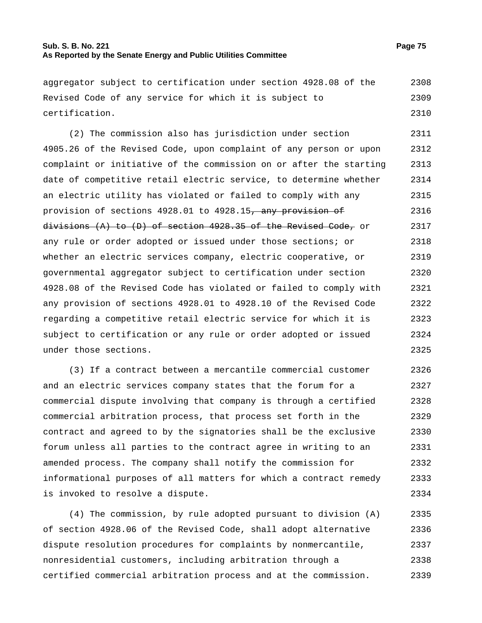## **Sub. S. B. No. 221 Page 75 As Reported by the Senate Energy and Public Utilities Committee**

aggregator subject to certification under section 4928.08 of the Revised Code of any service for which it is subject to certification. 2308 2309 2310

(2) The commission also has jurisdiction under section 4905.26 of the Revised Code, upon complaint of any person or upon complaint or initiative of the commission on or after the starting date of competitive retail electric service, to determine whether an electric utility has violated or failed to comply with any provision of sections 4928.01 to 4928.15, any provision of divisions (A) to (D) of section 4928.35 of the Revised Code, or any rule or order adopted or issued under those sections; or whether an electric services company, electric cooperative, or governmental aggregator subject to certification under section 4928.08 of the Revised Code has violated or failed to comply with any provision of sections 4928.01 to 4928.10 of the Revised Code regarding a competitive retail electric service for which it is subject to certification or any rule or order adopted or issued under those sections. 2311 2312 2313 2314 2315 2316 2317 2318 2319 2320 2321 2322 2323 2324 2325

(3) If a contract between a mercantile commercial customer and an electric services company states that the forum for a commercial dispute involving that company is through a certified commercial arbitration process, that process set forth in the contract and agreed to by the signatories shall be the exclusive forum unless all parties to the contract agree in writing to an amended process. The company shall notify the commission for informational purposes of all matters for which a contract remedy is invoked to resolve a dispute. 2326 2327 2328 2329 2330 2331 2332 2333 2334

(4) The commission, by rule adopted pursuant to division (A) of section 4928.06 of the Revised Code, shall adopt alternative dispute resolution procedures for complaints by nonmercantile, nonresidential customers, including arbitration through a certified commercial arbitration process and at the commission. 2335 2336 2337 2338 2339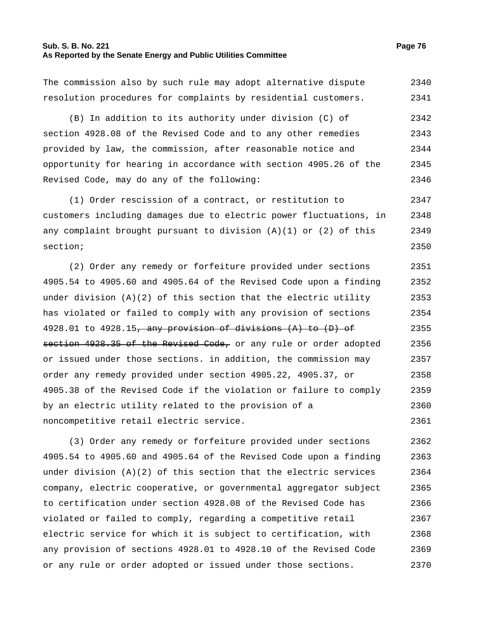## **Sub. S. B. No. 221 Page 76 As Reported by the Senate Energy and Public Utilities Committee**

The commission also by such rule may adopt alternative dispute resolution procedures for complaints by residential customers. 2340 2341

(B) In addition to its authority under division (C) of section 4928.08 of the Revised Code and to any other remedies provided by law, the commission, after reasonable notice and opportunity for hearing in accordance with section 4905.26 of the Revised Code, may do any of the following: 2342 2343 2344 2345 2346

(1) Order rescission of a contract, or restitution to customers including damages due to electric power fluctuations, in any complaint brought pursuant to division  $(A)(1)$  or  $(2)$  of this section; 2347 2348 2349 2350

(2) Order any remedy or forfeiture provided under sections 4905.54 to 4905.60 and 4905.64 of the Revised Code upon a finding under division  $(A)(2)$  of this section that the electric utility has violated or failed to comply with any provision of sections 4928.01 to 4928.15, any provision of divisions  $(A)$  to  $(D)$  of section 4928.35 of the Revised Code, or any rule or order adopted or issued under those sections. in addition, the commission may order any remedy provided under section 4905.22, 4905.37, or 4905.38 of the Revised Code if the violation or failure to comply by an electric utility related to the provision of a noncompetitive retail electric service. 2351 2352 2353 2354 2355 2356 2357 2358 2359 2360 2361

(3) Order any remedy or forfeiture provided under sections 4905.54 to 4905.60 and 4905.64 of the Revised Code upon a finding under division  $(A)(2)$  of this section that the electric services company, electric cooperative, or governmental aggregator subject to certification under section 4928.08 of the Revised Code has violated or failed to comply, regarding a competitive retail electric service for which it is subject to certification, with any provision of sections 4928.01 to 4928.10 of the Revised Code or any rule or order adopted or issued under those sections. 2362 2363 2364 2365 2366 2367 2368 2369 2370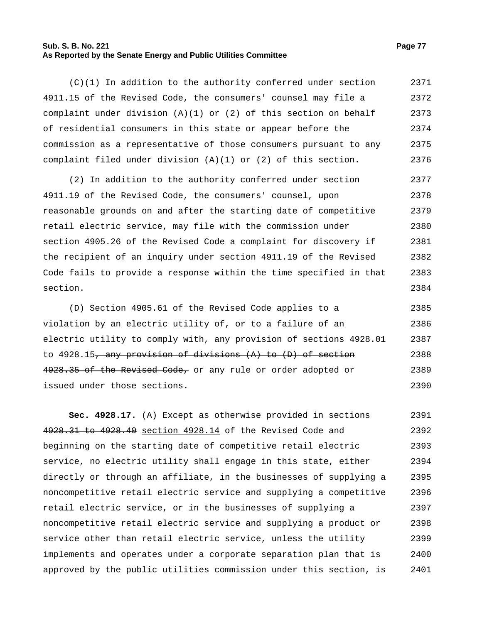#### **Sub. S. B. No. 221 Page 77 As Reported by the Senate Energy and Public Utilities Committee**

(C)(1) In addition to the authority conferred under section 4911.15 of the Revised Code, the consumers' counsel may file a complaint under division  $(A)(1)$  or  $(2)$  of this section on behalf of residential consumers in this state or appear before the commission as a representative of those consumers pursuant to any complaint filed under division (A)(1) or (2) of this section. 2371 2372 2373 2374 2375 2376

(2) In addition to the authority conferred under section 4911.19 of the Revised Code, the consumers' counsel, upon reasonable grounds on and after the starting date of competitive retail electric service, may file with the commission under section 4905.26 of the Revised Code a complaint for discovery if the recipient of an inquiry under section 4911.19 of the Revised Code fails to provide a response within the time specified in that section. 2377 2378 2379 2380 2381 2382 2383 2384

(D) Section 4905.61 of the Revised Code applies to a violation by an electric utility of, or to a failure of an electric utility to comply with, any provision of sections 4928.01 to  $4928.15$ , any provision of divisions  $(A)$  to  $(D)$  of section 4928.35 of the Revised Code, or any rule or order adopted or issued under those sections. 2385 2386 2387 2388 2389 2390

Sec. 4928.17. (A) Except as otherwise provided in sections 4928.31 to 4928.40 section 4928.14 of the Revised Code and beginning on the starting date of competitive retail electric service, no electric utility shall engage in this state, either directly or through an affiliate, in the businesses of supplying a noncompetitive retail electric service and supplying a competitive retail electric service, or in the businesses of supplying a noncompetitive retail electric service and supplying a product or service other than retail electric service, unless the utility implements and operates under a corporate separation plan that is approved by the public utilities commission under this section, is 2391 2392 2393 2394 2395 2396 2397 2398 2399 2400 2401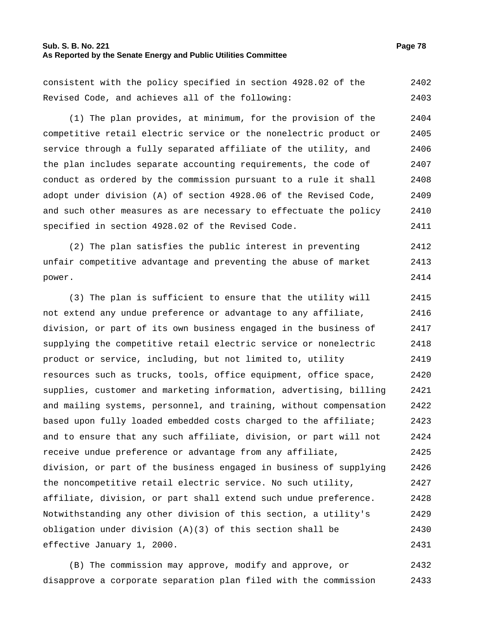## **Sub. S. B. No. 221 Page 78 As Reported by the Senate Energy and Public Utilities Committee**

consistent with the policy specified in section 4928.02 of the Revised Code, and achieves all of the following: 2402 2403

(1) The plan provides, at minimum, for the provision of the competitive retail electric service or the nonelectric product or service through a fully separated affiliate of the utility, and the plan includes separate accounting requirements, the code of conduct as ordered by the commission pursuant to a rule it shall adopt under division (A) of section 4928.06 of the Revised Code, and such other measures as are necessary to effectuate the policy specified in section 4928.02 of the Revised Code. 2404 2405 2406 2407 2408 2409 2410 2411

(2) The plan satisfies the public interest in preventing unfair competitive advantage and preventing the abuse of market power. 2412 2413 2414

(3) The plan is sufficient to ensure that the utility will not extend any undue preference or advantage to any affiliate, division, or part of its own business engaged in the business of supplying the competitive retail electric service or nonelectric product or service, including, but not limited to, utility resources such as trucks, tools, office equipment, office space, supplies, customer and marketing information, advertising, billing and mailing systems, personnel, and training, without compensation based upon fully loaded embedded costs charged to the affiliate; and to ensure that any such affiliate, division, or part will not receive undue preference or advantage from any affiliate, division, or part of the business engaged in business of supplying the noncompetitive retail electric service. No such utility, affiliate, division, or part shall extend such undue preference. Notwithstanding any other division of this section, a utility's obligation under division (A)(3) of this section shall be effective January 1, 2000. 2415 2416 2417 2418 2419 2420 2421 2422 2423 2424 2425 2426 2427 2428 2429 2430 2431

(B) The commission may approve, modify and approve, or disapprove a corporate separation plan filed with the commission 2432 2433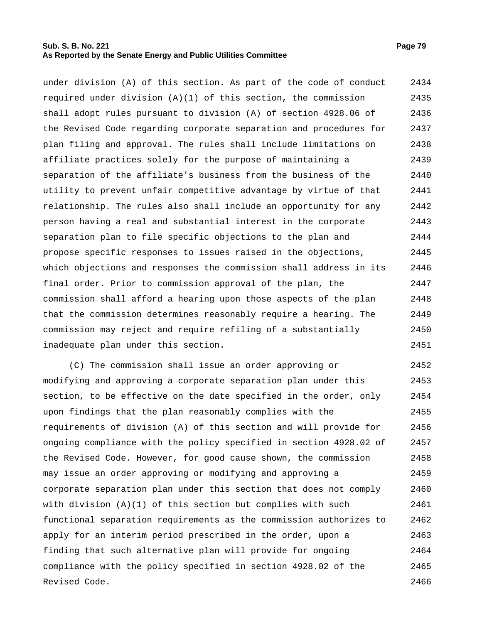### **Sub. S. B. No. 221 Page 79 As Reported by the Senate Energy and Public Utilities Committee**

under division (A) of this section. As part of the code of conduct required under division  $(A)(1)$  of this section, the commission shall adopt rules pursuant to division (A) of section 4928.06 of the Revised Code regarding corporate separation and procedures for plan filing and approval. The rules shall include limitations on affiliate practices solely for the purpose of maintaining a separation of the affiliate's business from the business of the utility to prevent unfair competitive advantage by virtue of that relationship. The rules also shall include an opportunity for any person having a real and substantial interest in the corporate separation plan to file specific objections to the plan and propose specific responses to issues raised in the objections, which objections and responses the commission shall address in its final order. Prior to commission approval of the plan, the commission shall afford a hearing upon those aspects of the plan that the commission determines reasonably require a hearing. The commission may reject and require refiling of a substantially inadequate plan under this section. 2434 2435 2436 2437 2438 2439 2440 2441 2442 2443 2444 2445 2446 2447 2448 2449 2450 2451

(C) The commission shall issue an order approving or modifying and approving a corporate separation plan under this section, to be effective on the date specified in the order, only upon findings that the plan reasonably complies with the requirements of division (A) of this section and will provide for ongoing compliance with the policy specified in section 4928.02 of the Revised Code. However, for good cause shown, the commission may issue an order approving or modifying and approving a corporate separation plan under this section that does not comply with division  $(A)(1)$  of this section but complies with such functional separation requirements as the commission authorizes to apply for an interim period prescribed in the order, upon a finding that such alternative plan will provide for ongoing compliance with the policy specified in section 4928.02 of the Revised Code. 2452 2453 2454 2455 2456 2457 2458 2459 2460 2461 2462 2463 2464 2465 2466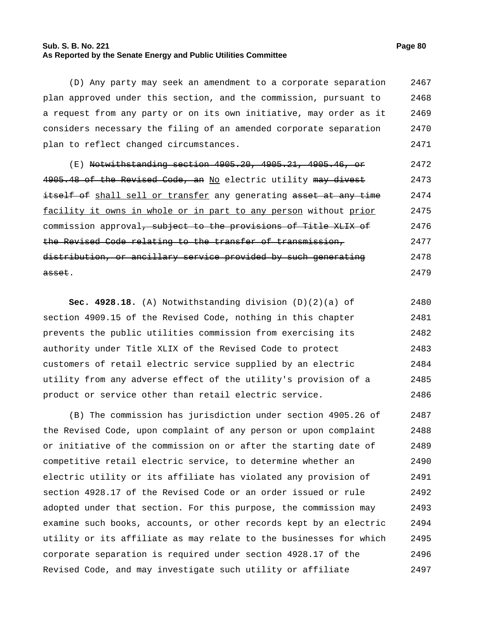## **Sub. S. B. No. 221 Page 80 As Reported by the Senate Energy and Public Utilities Committee**

(D) Any party may seek an amendment to a corporate separation plan approved under this section, and the commission, pursuant to a request from any party or on its own initiative, may order as it considers necessary the filing of an amended corporate separation plan to reflect changed circumstances. 2467 2468 2469 2470 2471

(E) Notwithstanding section 4905.20, 4905.21, 4905.46, or 4905.48 of the Revised Code, an No electric utility may divest itself of shall sell or transfer any generating asset at any time facility it owns in whole or in part to any person without prior commission approval<del>, subject to the provisions of Title XLIX of</del> the Revised Code relating to the transfer of transmission, distribution, or ancillary service provided by such generating asset. 2472 2473 2474 2475 2476 2477 2478 2479

**Sec. 4928.18.** (A) Notwithstanding division (D)(2)(a) of section 4909.15 of the Revised Code, nothing in this chapter prevents the public utilities commission from exercising its authority under Title XLIX of the Revised Code to protect customers of retail electric service supplied by an electric utility from any adverse effect of the utility's provision of a product or service other than retail electric service. 2480 2481 2482 2483 2484 2485 2486

(B) The commission has jurisdiction under section 4905.26 of the Revised Code, upon complaint of any person or upon complaint or initiative of the commission on or after the starting date of competitive retail electric service, to determine whether an electric utility or its affiliate has violated any provision of section 4928.17 of the Revised Code or an order issued or rule adopted under that section. For this purpose, the commission may examine such books, accounts, or other records kept by an electric utility or its affiliate as may relate to the businesses for which corporate separation is required under section 4928.17 of the Revised Code, and may investigate such utility or affiliate 2487 2488 2489 2490 2491 2492 2493 2494 2495 2496 2497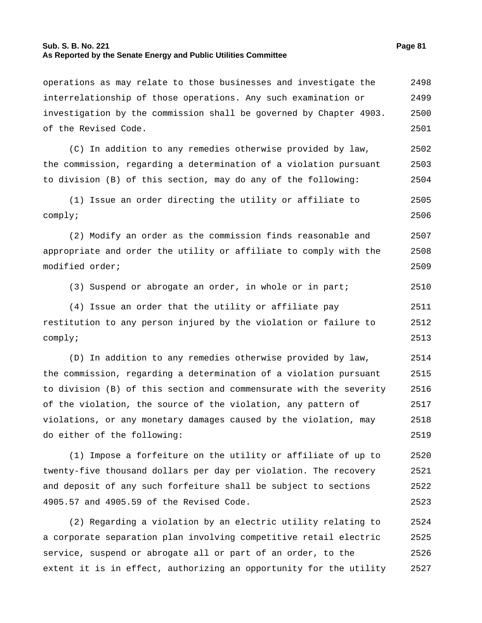## **Sub. S. B. No. 221 Page 81 As Reported by the Senate Energy and Public Utilities Committee**

operations as may relate to those businesses and investigate the interrelationship of those operations. Any such examination or investigation by the commission shall be governed by Chapter 4903. of the Revised Code. 2498 2499 2500 2501 (C) In addition to any remedies otherwise provided by law, the commission, regarding a determination of a violation pursuant to division (B) of this section, may do any of the following: 2502 2503 2504 (1) Issue an order directing the utility or affiliate to comply; 2505 2506 (2) Modify an order as the commission finds reasonable and appropriate and order the utility or affiliate to comply with the modified order; 2507 2508 2509 (3) Suspend or abrogate an order, in whole or in part; 2510 (4) Issue an order that the utility or affiliate pay restitution to any person injured by the violation or failure to comply; 2511 2512 2513 (D) In addition to any remedies otherwise provided by law, the commission, regarding a determination of a violation pursuant to division (B) of this section and commensurate with the severity of the violation, the source of the violation, any pattern of violations, or any monetary damages caused by the violation, may do either of the following: 2514 2515 2516 2517 2518 2519 (1) Impose a forfeiture on the utility or affiliate of up to twenty-five thousand dollars per day per violation. The recovery and deposit of any such forfeiture shall be subject to sections 4905.57 and 4905.59 of the Revised Code. 2520 2521 2522 2523

(2) Regarding a violation by an electric utility relating to a corporate separation plan involving competitive retail electric service, suspend or abrogate all or part of an order, to the extent it is in effect, authorizing an opportunity for the utility 2524 2525 2526 2527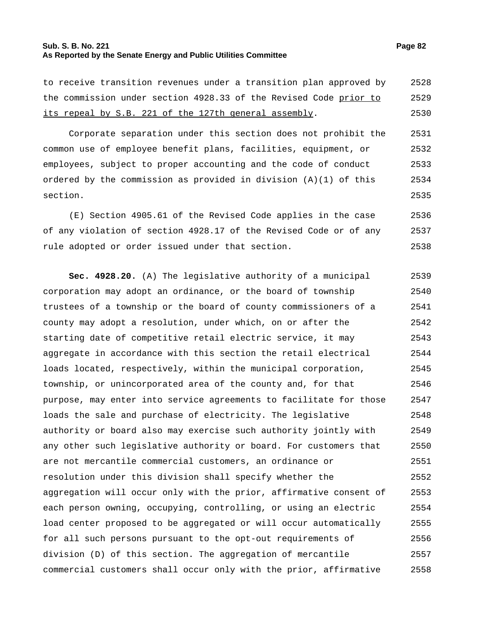## **Sub. S. B. No. 221 Page 82 As Reported by the Senate Energy and Public Utilities Committee**

to receive transition revenues under a transition plan approved by the commission under section 4928.33 of the Revised Code prior to its repeal by S.B. 221 of the 127th general assembly. 2528 2529 2530

Corporate separation under this section does not prohibit the common use of employee benefit plans, facilities, equipment, or employees, subject to proper accounting and the code of conduct ordered by the commission as provided in division (A)(1) of this section. 2531 2532 2533 2534 2535

(E) Section 4905.61 of the Revised Code applies in the case of any violation of section 4928.17 of the Revised Code or of any rule adopted or order issued under that section. 2536 2537 2538

**Sec. 4928.20.** (A) The legislative authority of a municipal corporation may adopt an ordinance, or the board of township trustees of a township or the board of county commissioners of a county may adopt a resolution, under which, on or after the starting date of competitive retail electric service, it may aggregate in accordance with this section the retail electrical loads located, respectively, within the municipal corporation, township, or unincorporated area of the county and, for that purpose, may enter into service agreements to facilitate for those loads the sale and purchase of electricity. The legislative authority or board also may exercise such authority jointly with any other such legislative authority or board. For customers that are not mercantile commercial customers, an ordinance or resolution under this division shall specify whether the aggregation will occur only with the prior, affirmative consent of each person owning, occupying, controlling, or using an electric load center proposed to be aggregated or will occur automatically for all such persons pursuant to the opt-out requirements of division (D) of this section. The aggregation of mercantile commercial customers shall occur only with the prior, affirmative 2539 2540 2541 2542 2543 2544 2545 2546 2547 2548 2549 2550 2551 2552 2553 2554 2555 2556 2557 2558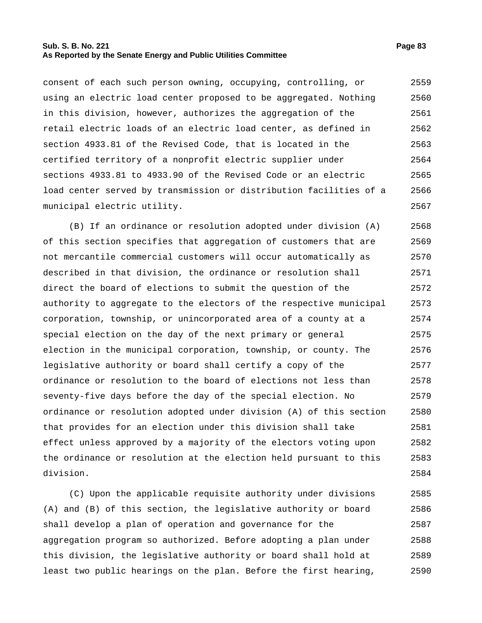## **Sub. S. B. No. 221 Page 83 As Reported by the Senate Energy and Public Utilities Committee**

consent of each such person owning, occupying, controlling, or using an electric load center proposed to be aggregated. Nothing in this division, however, authorizes the aggregation of the retail electric loads of an electric load center, as defined in section 4933.81 of the Revised Code, that is located in the certified territory of a nonprofit electric supplier under sections 4933.81 to 4933.90 of the Revised Code or an electric load center served by transmission or distribution facilities of a municipal electric utility. 2559 2560 2561 2562 2563 2564 2565 2566 2567

(B) If an ordinance or resolution adopted under division (A) of this section specifies that aggregation of customers that are not mercantile commercial customers will occur automatically as described in that division, the ordinance or resolution shall direct the board of elections to submit the question of the authority to aggregate to the electors of the respective municipal corporation, township, or unincorporated area of a county at a special election on the day of the next primary or general election in the municipal corporation, township, or county. The legislative authority or board shall certify a copy of the ordinance or resolution to the board of elections not less than seventy-five days before the day of the special election. No ordinance or resolution adopted under division (A) of this section that provides for an election under this division shall take effect unless approved by a majority of the electors voting upon the ordinance or resolution at the election held pursuant to this division. 2568 2569 2570 2571 2572 2573 2574 2575 2576 2577 2578 2579 2580 2581 2582 2583 2584

(C) Upon the applicable requisite authority under divisions (A) and (B) of this section, the legislative authority or board shall develop a plan of operation and governance for the aggregation program so authorized. Before adopting a plan under this division, the legislative authority or board shall hold at least two public hearings on the plan. Before the first hearing, 2585 2586 2587 2588 2589 2590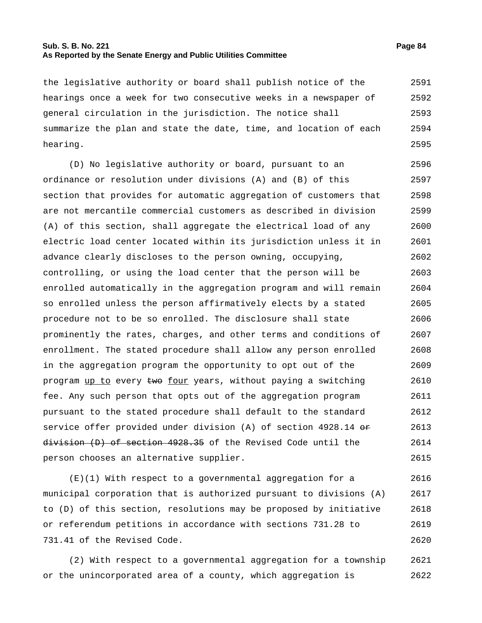## **Sub. S. B. No. 221 Page 84 As Reported by the Senate Energy and Public Utilities Committee**

the legislative authority or board shall publish notice of the hearings once a week for two consecutive weeks in a newspaper of general circulation in the jurisdiction. The notice shall summarize the plan and state the date, time, and location of each hearing. 2591 2592 2593 2594 2595

(D) No legislative authority or board, pursuant to an ordinance or resolution under divisions (A) and (B) of this section that provides for automatic aggregation of customers that are not mercantile commercial customers as described in division (A) of this section, shall aggregate the electrical load of any electric load center located within its jurisdiction unless it in advance clearly discloses to the person owning, occupying, controlling, or using the load center that the person will be enrolled automatically in the aggregation program and will remain so enrolled unless the person affirmatively elects by a stated procedure not to be so enrolled. The disclosure shall state prominently the rates, charges, and other terms and conditions of enrollment. The stated procedure shall allow any person enrolled in the aggregation program the opportunity to opt out of the program up to every two four years, without paying a switching fee. Any such person that opts out of the aggregation program pursuant to the stated procedure shall default to the standard service offer provided under division (A) of section  $4928.14$  or division (D) of section 4928.35 of the Revised Code until the person chooses an alternative supplier. 2596 2597 2598 2599 2600 2601 2602 2603 2604 2605 2606 2607 2608 2609 2610 2611 2612 2613 2614 2615

(E)(1) With respect to a governmental aggregation for a municipal corporation that is authorized pursuant to divisions (A) to (D) of this section, resolutions may be proposed by initiative or referendum petitions in accordance with sections 731.28 to 731.41 of the Revised Code. 2616 2617 2618 2619 2620

(2) With respect to a governmental aggregation for a township or the unincorporated area of a county, which aggregation is 2621 2622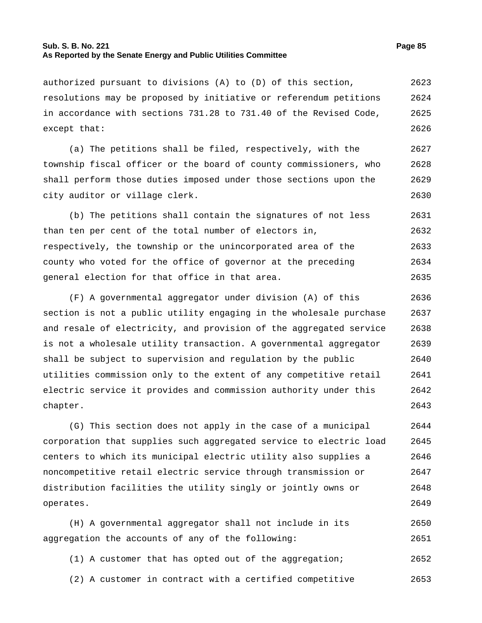### **Sub. S. B. No. 221 Page 85 As Reported by the Senate Energy and Public Utilities Committee**

except that:

authorized pursuant to divisions (A) to (D) of this section, resolutions may be proposed by initiative or referendum petitions in accordance with sections 731.28 to 731.40 of the Revised Code, 2623 2624 2625

(a) The petitions shall be filed, respectively, with the township fiscal officer or the board of county commissioners, who shall perform those duties imposed under those sections upon the city auditor or village clerk. 2627 2628 2629 2630

(b) The petitions shall contain the signatures of not less than ten per cent of the total number of electors in, respectively, the township or the unincorporated area of the county who voted for the office of governor at the preceding general election for that office in that area. 2631 2632 2633 2634 2635

(F) A governmental aggregator under division (A) of this section is not a public utility engaging in the wholesale purchase and resale of electricity, and provision of the aggregated service is not a wholesale utility transaction. A governmental aggregator shall be subject to supervision and regulation by the public utilities commission only to the extent of any competitive retail electric service it provides and commission authority under this chapter. 2636 2637 2638 2639 2640 2641 2642 2643

(G) This section does not apply in the case of a municipal corporation that supplies such aggregated service to electric load centers to which its municipal electric utility also supplies a noncompetitive retail electric service through transmission or distribution facilities the utility singly or jointly owns or operates. 2644 2645 2646 2647 2648 2649

(H) A governmental aggregator shall not include in its aggregation the accounts of any of the following: 2650 2651

- (1) A customer that has opted out of the aggregation; 2652
- (2) A customer in contract with a certified competitive 2653

2626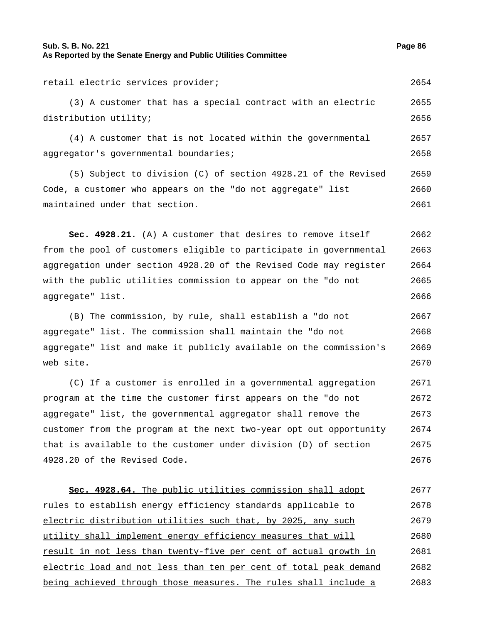# **Sub. S. B. No. 221 Page 86 As Reported by the Senate Energy and Public Utilities Committee**

retail electric services provider; 2654

(3) A customer that has a special contract with an electric distribution utility; 2655 2656

(4) A customer that is not located within the governmental aggregator's governmental boundaries; 2657 2658

(5) Subject to division (C) of section 4928.21 of the Revised Code, a customer who appears on the "do not aggregate" list maintained under that section. 2659 2660 2661

**Sec. 4928.21.** (A) A customer that desires to remove itself from the pool of customers eligible to participate in governmental aggregation under section 4928.20 of the Revised Code may register with the public utilities commission to appear on the "do not aggregate" list. 2662 2663 2664 2665 2666

(B) The commission, by rule, shall establish a "do not aggregate" list. The commission shall maintain the "do not aggregate" list and make it publicly available on the commission's web site. 2667 2668 2669 2670

(C) If a customer is enrolled in a governmental aggregation program at the time the customer first appears on the "do not aggregate" list, the governmental aggregator shall remove the customer from the program at the next two year opt out opportunity that is available to the customer under division (D) of section 4928.20 of the Revised Code. 2671 2672 2673 2674 2675 2676

**Sec. 4928.64.** The public utilities commission shall adopt rules to establish energy efficiency standards applicable to electric distribution utilities such that, by 2025, any such utility shall implement energy efficiency measures that will result in not less than twenty-five per cent of actual growth in electric load and not less than ten per cent of total peak demand being achieved through those measures. The rules shall include a 2677 2678 2679 2680 2681 2682 2683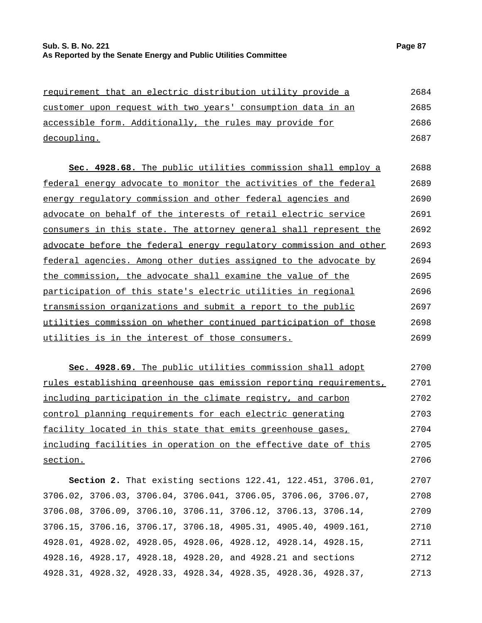| requirement that an electric distribution utility provide a  | 2684 |
|--------------------------------------------------------------|------|
| customer upon request with two years' consumption data in an | 2685 |
| accessible form. Additionally, the rules may provide for     | 2686 |
| decoupling.                                                  | 2687 |
|                                                              |      |

| Sec. 4928.68. The public utilities commission shall employ a       | 2688 |
|--------------------------------------------------------------------|------|
| federal energy advocate to monitor the activities of the federal   | 2689 |
| energy regulatory commission and other federal agencies and        | 2690 |
| advocate on behalf of the interests of retail electric service     | 2691 |
| consumers in this state. The attorney general shall represent the  | 2692 |
| advocate before the federal energy regulatory commission and other | 2693 |
| federal agencies. Among other duties assigned to the advocate by   | 2694 |
| the commission, the advocate shall examine the value of the        | 2695 |
| participation of this state's electric utilities in regional       | 2696 |
| transmission organizations and submit a report to the public       | 2697 |
| utilities commission on whether continued participation of those   | 2698 |
| <u>utilities is in the interest of those consumers.</u>            | 2699 |

**Sec. 4928.69.** The public utilities commission shall adopt rules establishing greenhouse gas emission reporting requirements, including participation in the climate registry, and carbon control planning requirements for each electric generating facility located in this state that emits greenhouse gases, including facilities in operation on the effective date of this section. 2700 2701 2702 2703 2704 2705 2706

**Section 2.** That existing sections 122.41, 122.451, 3706.01, 3706.02, 3706.03, 3706.04, 3706.041, 3706.05, 3706.06, 3706.07, 3706.08, 3706.09, 3706.10, 3706.11, 3706.12, 3706.13, 3706.14, 3706.15, 3706.16, 3706.17, 3706.18, 4905.31, 4905.40, 4909.161, 4928.01, 4928.02, 4928.05, 4928.06, 4928.12, 4928.14, 4928.15, 4928.16, 4928.17, 4928.18, 4928.20, and 4928.21 and sections 4928.31, 4928.32, 4928.33, 4928.34, 4928.35, 4928.36, 4928.37, 2707 2708 2709 2710 2711 2712 2713